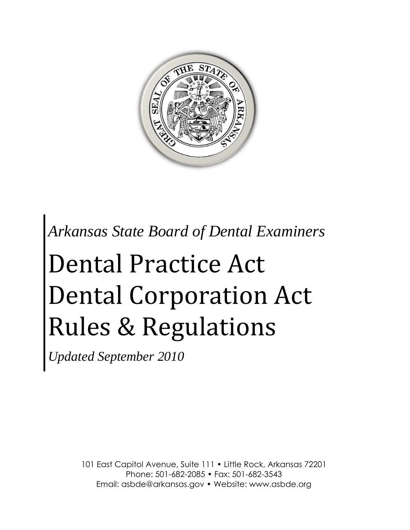

*Arkansas State Board of Dental Examiners*

# Dental Practice Act Dental Corporation Act Rules & Regulations

*Updated September 2010*

101 East Capitol Avenue, Suite 111 • Little Rock, Arkansas 72201 Phone: 501-682-2085 • Fax: 501-682-3543 Email: [asbde@arkansas.gov](mailto:asbde@arkansas.gov) • Website: www.asbde.org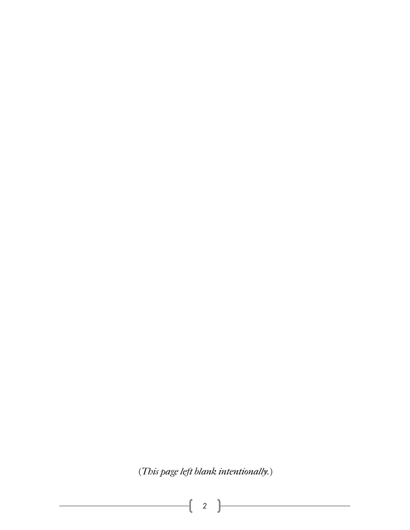*(This page left blank intentionally.)*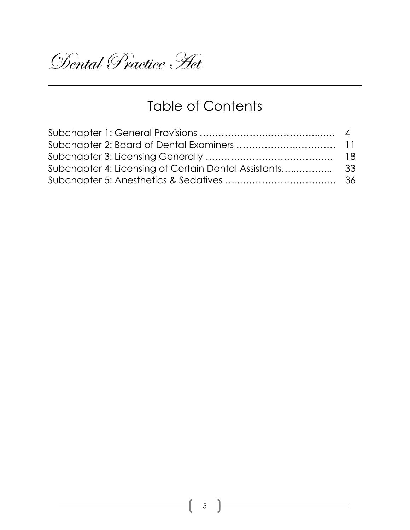

## Table of Contents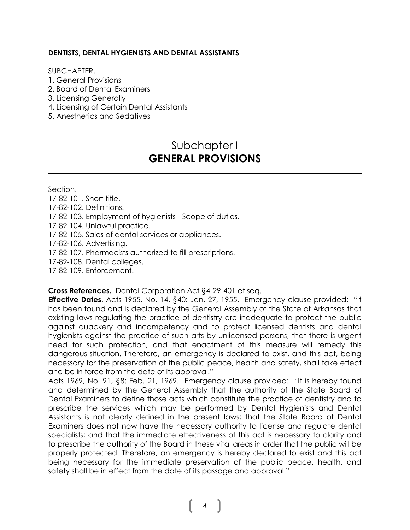#### **DENTISTS, DENTAL HYGIENISTS AND DENTAL ASSISTANTS**

SUBCHAPTER.

- 1. General Provisions
- 2. Board of Dental Examiners
- 3. Licensing Generally
- 4. Licensing of Certain Dental Assistants
- 5. Anesthetics and Sedatives

## Subchapter I **GENERAL PROVISIONS**

Section.

- 17-82-101. Short title.
- 17-82-102. Definitions.
- 17-82-103. Employment of hygienists Scope of duties.
- 17-82-104. Unlawful practice.
- 17-82-105. Sales of dental services or appliances.

17-82-106. Advertising.

- 17-82-107. Pharmacists authorized to fill prescriptions.
- 17-82-108. Dental colleges.
- 17-82-109. Enforcement.

**Cross References.** Dental Corporation Act §4-29-401 et seq.

**Effective Dates.** Acts 1955, No. 14, §40: Jan. 27, 1955. Emergency clause provided: "It has been found and is declared by the General Assembly of the State of Arkansas that existing laws regulating the practice of dentistry are inadequate to protect the public against quackery and incompetency and to protect licensed dentists and dental hygienists against the practice of such arts by unlicensed persons, that there is urgent need for such protection, and that enactment of this measure will remedy this dangerous situation. Therefore, an emergency is declared to exist, and this act, being necessary for the preservation of the public peace, health and safety, shall take effect and be in force from the date of its approval."

Acts 1969, No. 91, §8: Feb. 21, 1969. Emergency clause provided: "It is hereby found and determined by the General Assembly that the authority of the State Board of Dental Examiners to define those acts which constitute the practice of dentistry and to prescribe the services which may be performed by Dental Hygienists and Dental Assistants is not clearly defined in the present laws; that the State Board of Dental Examiners does not now have the necessary authority to license and regulate dental specialists; and that the immediate effectiveness of this act is necessary to clarify and to prescribe the authority of the Board in these vital areas in order that the public will be properly protected. Therefore, an emergency is hereby declared to exist and this act being necessary for the immediate preservation of the public peace, health, and safety shall be in effect from the date of its passage and approval."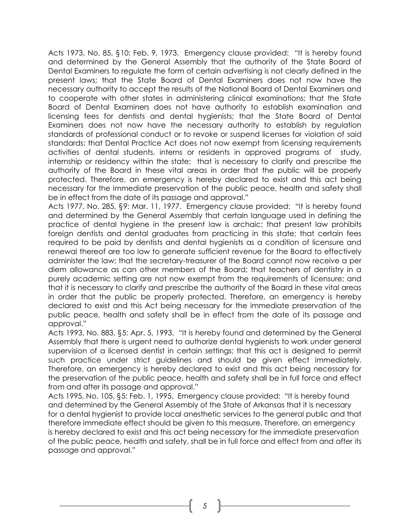Acts 1973, No. 85, §10: Feb. 9, 1973. Emergency clause provided: "It is hereby found and determined by the General Assembly that the authority of the State Board of Dental Examiners to regulate the form of certain advertising is not clearly defined in the present laws; that the State Board of Dental Examiners does not now have the necessary authority to accept the results of the National Board of Dental Examiners and to cooperate with other states in administering clinical examinations; that the State Board of Dental Examiners does not have authority to establish examination and licensing fees for dentists and dental hygienists; that the State Board of Dental Examiners does not now have the necessary authority to establish by regulation standards of professional conduct or to revoke or suspend licenses for violation of said standards; that Dental Practice Act does not now exempt from licensing requirements activities of dental students, interns or residents in approved programs of study, internship or residency within the state; that is necessary to clarify and prescribe the authority of the Board in these vital areas in order that the public will be properly protected. Therefore, an emergency is hereby declared to exist and this act being necessary for the immediate preservation of the public peace, health and safety shall be in effect from the date of its passage and approval."

Acts 1977, No. 285, §9: Mar. 11, 1977. Emergency clause provided: "It is hereby found and determined by the General Assembly that certain language used in defining the practice of dental hygiene in the present law is archaic; that present law prohibits foreign dentists and dental graduates from practicing in this state; that certain fees required to be paid by dentists and dental hygienists as a condition of licensure and renewal thereof are too low to generate sufficient revenue for the Board to effectively administer the law; that the secretary-treasurer of the Board cannot now receive a per diem allowance as can other members of the Board; that teachers of dentistry in a purely academic setting are not now exempt from the requirements of licensure; and that it is necessary to clarify and prescribe the authority of the Board in these vital areas in order that the public be properly protected. Therefore, an emergency is hereby declared to exist and this Act being necessary for the immediate preservation of the public peace, health and safety shall be in effect from the date of its passage and approval.‖

Acts 1993, No. 883, §5: Apr. 5, 1993. "It is hereby found and determined by the General Assembly that there is urgent need to authorize dental hygienists to work under general supervision of a licensed dentist in certain settings; that this act is designed to permit such practice under strict guidelines and should be given effect immediately. Therefore, an emergency is hereby declared to exist and this act being necessary for the preservation of the public peace, health and safety shall be in full force and effect from and after its passage and approval."

Acts 1995, No. 105, §5: Feb. 1, 1995. Emergency clause provided: "It is hereby found and determined by the General Assembly of the State of Arkansas that it is necessary for a dental hygienist to provide local anesthetic services to the general public and that therefore immediate effect should be given to this measure. Therefore, an emergency is hereby declared to exist and this act being necessary for the immediate preservation of the public peace, health and safety, shall be in full force and effect from and after its passage and approval.‖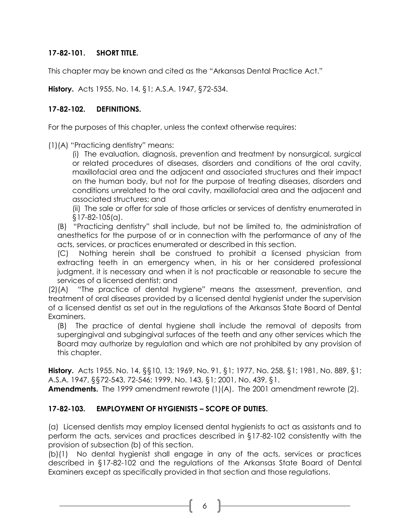#### **17-82-101. SHORT TITLE.**

This chapter may be known and cited as the "Arkansas Dental Practice Act."

**History.** Acts 1955, No. 14, §1; A.S.A. 1947, §72-534.

#### **17-82-102. DEFINITIONS.**

For the purposes of this chapter, unless the context otherwise requires:

 $(1)(A)$  "Practicing dentistry" means:

(i) The evaluation, diagnosis, prevention and treatment by nonsurgical, surgical or related procedures of diseases, disorders and conditions of the oral cavity, maxillofacial area and the adjacent and associated structures and their impact on the human body, but not for the purpose of treating diseases, disorders and conditions unrelated to the oral cavity, maxillofacial area and the adjacent and associated structures; and

(ii) The sale or offer for sale of those articles or services of dentistry enumerated in §17-82-105(a).

(B) "Practicing dentistry" shall include, but not be limited to, the administration of anesthetics for the purpose of or in connection with the performance of any of the acts, services, or practices enumerated or described in this section.

(C) Nothing herein shall be construed to prohibit a licensed physician from extracting teeth in an emergency when, in his or her considered professional judgment, it is necessary and when it is not practicable or reasonable to secure the services of a licensed dentist; and

(2)(A) "The practice of dental hygiene" means the assessment, prevention, and treatment of oral diseases provided by a licensed dental hygienist under the supervision of a licensed dentist as set out in the regulations of the Arkansas State Board of Dental Examiners.

(B) The practice of dental hygiene shall include the removal of deposits from supergingival and subgingival surfaces of the teeth and any other services which the Board may authorize by regulation and which are not prohibited by any provision of this chapter.

**History.** Acts 1955. No. 14, §§10, 13; 1969, No. 91, §1; 1977, No. 258, §1; 1981, No. 889, §1; A.S.A. 1947, §§72-543, 72-546; 1999, No. 143, §1; 2001, No. 439, §1.

**Amendments.** The 1999 amendment rewrote (1)(A). The 2001 amendment rewrote (2).

#### **17-82-103. EMPLOYMENT OF HYGIENISTS – SCOPE OF DUTIES.**

(a) Licensed dentists may employ licensed dental hygienists to act as assistants and to perform the acts, services and practices described in §17-82-102 consistently with the provision of subsection (b) of this section.

(b)(1) No dental hygienist shall engage in any of the acts, services or practices described in §17-82-102 and the regulations of the Arkansas State Board of Dental Examiners except as specifically provided in that section and those regulations.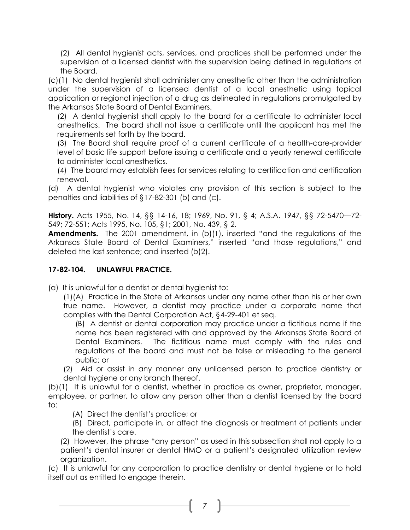(2) All dental hygienist acts, services, and practices shall be performed under the supervision of a licensed dentist with the supervision being defined in regulations of the Board.

(c)(1) No dental hygienist shall administer any anesthetic other than the administration under the supervision of a licensed dentist of a local anesthetic using topical application or regional injection of a drug as delineated in regulations promulgated by the Arkansas State Board of Dental Examiners.

(2) A dental hygienist shall apply to the board for a certificate to administer local anesthetics. The board shall not issue a certificate until the applicant has met the requirements set forth by the board.

(3) The Board shall require proof of a current certificate of a health-care-provider level of basic life support before issuing a certificate and a yearly renewal certificate to administer local anesthetics.

(4) The board may establish fees for services relating to certification and certification renewal.

(d) A dental hygienist who violates any provision of this section is subject to the penalties and liabilities of §17-82-301 (b) and (c).

**History.** Acts 1955, No. 14, §§ 14-16, 18; 1969, No. 91, § 4; A.S.A. 1947, §§ 72-5470—72- 549; 72-551; Acts 1995, No. 105, §1; 2001, No. 439, § 2.

**Amendments.** The 2001 amendment, in (b)(1), inserted "and the regulations of the Arkansas State Board of Dental Examiners," inserted "and those regulations," and deleted the last sentence; and inserted (b)2).

#### **17-82-104. UNLAWFUL PRACTICE.**

(a) It is unlawful for a dentist or dental hygienist to:

(1)(A) Practice in the State of Arkansas under any name other than his or her own true name. However, a dentist may practice under a corporate name that complies with the Dental Corporation Act, §4-29-401 et seq.

(B) A dentist or dental corporation may practice under a fictitious name if the name has been registered with and approved by the Arkansas State Board of Dental Examiners. The fictitious name must comply with the rules and regulations of the board and must not be false or misleading to the general public; or

(2) Aid or assist in any manner any unlicensed person to practice dentistry or dental hygiene or any branch thereof.

(b)(1) It is unlawful for a dentist, whether in practice as owner, proprietor, manager, employee, or partner, to allow any person other than a dentist licensed by the board to:

(A) Direct the dentist's practice; or

(B) Direct, participate in, or affect the diagnosis or treatment of patients under the dentist's care.

(2) However, the phrase "any person" as used in this subsection shall not apply to a patient's dental insurer or dental HMO or a patient's designated utilization review organization.

(c) It is unlawful for any corporation to practice dentistry or dental hygiene or to hold itself out as entitled to engage therein.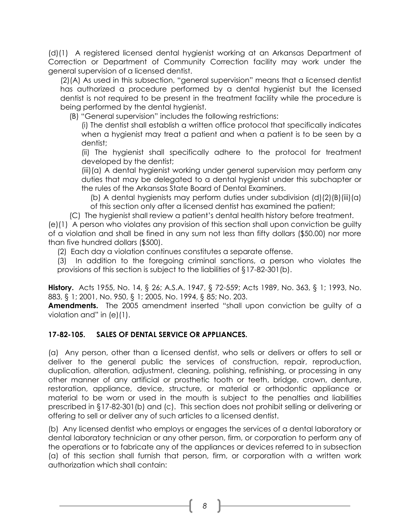(d)(1) A registered licensed dental hygienist working at an Arkansas Department of Correction or Department of Community Correction facility may work under the general supervision of a licensed dentist.

(2)(A) As used in this subsection, "general supervision" means that a licensed dentist has authorized a procedure performed by a dental hygienist but the licensed dentist is not required to be present in the treatment facility while the procedure is being performed by the dental hygienist.

(B) "General supervision" includes the following restrictions:

(i) The dentist shall establish a written office protocol that specifically indicates when a hygienist may treat a patient and when a patient is to be seen by a dentist;

(ii) The hygienist shall specifically adhere to the protocol for treatment developed by the dentist;

(iii)(a) A dental hygienist working under general supervision may perform any duties that may be delegated to a dental hygienist under this subchapter or the rules of the Arkansas State Board of Dental Examiners.

(b) A dental hygienists may perform duties under subdivision  $(d)(2)(B)(iii)(a)$ of this section only after a licensed dentist has examined the patient;

(C) The hygienist shall review a patient's dental health history before treatment.

(e)(1) A person who violates any provision of this section shall upon conviction be guilty of a violation and shall be fined in any sum not less than fifty dollars (\$50.00) nor more than five hundred dollars (\$500).

(2) Each day a violation continues constitutes a separate offense.

(3) In addition to the foregoing criminal sanctions, a person who violates the provisions of this section is subject to the liabilities of §17-82-301(b).

**History.** Acts 1955, No. 14, § 26; A.S.A. 1947, § 72-559; Acts 1989, No. 363, § 1; 1993, No. 883, § 1; 2001, No. 950, § 1; 2005, No. 1994, § 85; No. 203.

**Amendments.** The 2005 amendment inserted "shall upon conviction be guilty of a violation and" in (e)(1).

#### **17-82-105. SALES OF DENTAL SERVICE OR APPLIANCES.**

(a) Any person, other than a licensed dentist, who sells or delivers or offers to sell or deliver to the general public the services of construction, repair, reproduction, duplication, alteration, adjustment, cleaning, polishing, refinishing, or processing in any other manner of any artificial or prosthetic tooth or teeth, bridge, crown, denture, restoration, appliance, device, structure, or material or orthodontic appliance or material to be worn or used in the mouth is subject to the penalties and liabilities prescribed in §17-82-301(b) and (c). This section does not prohibit selling or delivering or offering to sell or deliver any of such articles to a licensed dentist.

(b) Any licensed dentist who employs or engages the services of a dental laboratory or dental laboratory technician or any other person, firm, or corporation to perform any of the operations or to fabricate any of the appliances or devices referred to in subsection (a) of this section shall furnish that person, firm, or corporation with a written work authorization which shall contain: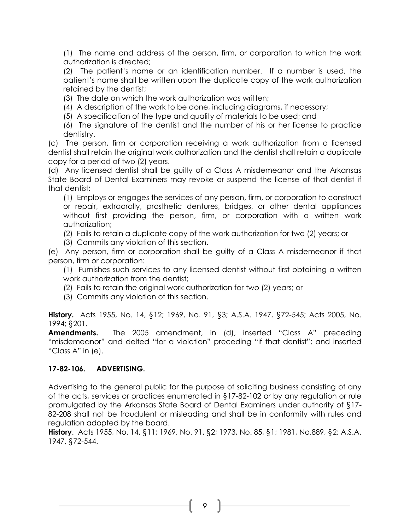(1) The name and address of the person, firm, or corporation to which the work authorization is directed;

(2) The patient's name or an identification number. If a number is used, the patient's name shall be written upon the duplicate copy of the work authorization retained by the dentist;

(3) The date on which the work authorization was written;

(4) A description of the work to be done, including diagrams, if necessary;

(5) A specification of the type and quality of materials to be used; and

(6) The signature of the dentist and the number of his or her license to practice dentistry.

(c) The person, firm or corporation receiving a work authorization from a licensed dentist shall retain the original work authorization and the dentist shall retain a duplicate copy for a period of two (2) years.

(d) Any licensed dentist shall be guilty of a Class A misdemeanor and the Arkansas State Board of Dental Examiners may revoke or suspend the license of that dentist if that dentist:

(1) Employs or engages the services of any person, firm, or corporation to construct or repair, extraorally, prosthetic dentures, bridges, or other dental appliances without first providing the person, firm, or corporation with a written work authorization;

(2) Fails to retain a duplicate copy of the work authorization for two (2) years; or

(3) Commits any violation of this section.

(e) Any person, firm or corporation shall be guilty of a Class A misdemeanor if that person, firm or corporation:

(1) Furnishes such services to any licensed dentist without first obtaining a written work authorization from the dentist;

(2) Fails to retain the original work authorization for two (2) years; or

(3) Commits any violation of this section.

**History.** Acts 1955, No. 14, §12; 1969, No. 91, §3; A.S.A. 1947, §72-545; Acts 2005, No. 1994; §201.

**Amendments.** The 2005 amendment, in (d), inserted "Class A" preceding "misdemeanor" and delted "for a violation" preceding "if that dentist"; and inserted "Class A" in (e).

#### **17-82-106. ADVERTISING.**

Advertising to the general public for the purpose of soliciting business consisting of any of the acts, services or practices enumerated in §17-82-102 or by any regulation or rule promulgated by the Arkansas State Board of Dental Examiners under authority of §17- 82-208 shall not be fraudulent or misleading and shall be in conformity with rules and regulation adopted by the board.

**History**. Acts 1955, No. 14, §11; 1969, No. 91, §2; 1973, No. 85, §1; 1981, No.889, §2; A.S.A. 1947, §72-544.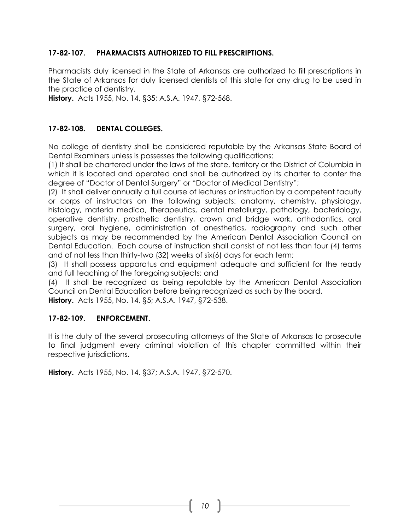#### **17-82-107. PHARMACISTS AUTHORIZED TO FILL PRESCRIPTIONS.**

Pharmacists duly licensed in the State of Arkansas are authorized to fill prescriptions in the State of Arkansas for duly licensed dentists of this state for any drug to be used in the practice of dentistry.

**History.** Acts 1955, No. 14, §35; A.S.A. 1947, §72-568.

#### **17-82-108. DENTAL COLLEGES.**

No college of dentistry shall be considered reputable by the Arkansas State Board of Dental Examiners unless is possesses the following qualifications:

(1) It shall be chartered under the laws of the state, territory or the District of Columbia in which it is located and operated and shall be authorized by its charter to confer the degree of "Doctor of Dental Surgery" or "Doctor of Medical Dentistry";

(2) It shall deliver annually a full course of lectures or instruction by a competent faculty or corps of instructors on the following subjects: anatomy, chemistry, physiology, histology, materia medica, therapeutics, dental metallurgy, pathology, bacteriology, operative dentistry, prosthetic dentistry, crown and bridge work, orthodontics, oral surgery, oral hygiene, administration of anesthetics, radiography and such other subjects as may be recommended by the American Dental Association Council on Dental Education. Each course of instruction shall consist of not less than four (4) terms and of not less than thirty-two (32) weeks of six(6) days for each term;

(3) It shall possess apparatus and equipment adequate and sufficient for the ready and full teaching of the foregoing subjects; and

(4) It shall be recognized as being reputable by the American Dental Association Council on Dental Education before being recognized as such by the board.

**History.** Acts 1955, No. 14, §5; A.S.A. 1947, §72-538.

#### **17-82-109. ENFORCEMENT.**

It is the duty of the several prosecuting attorneys of the State of Arkansas to prosecute to final judgment every criminal violation of this chapter committed within their respective jurisdictions.

**History.** Acts 1955, No. 14, §37; A.S.A. 1947, §72-570.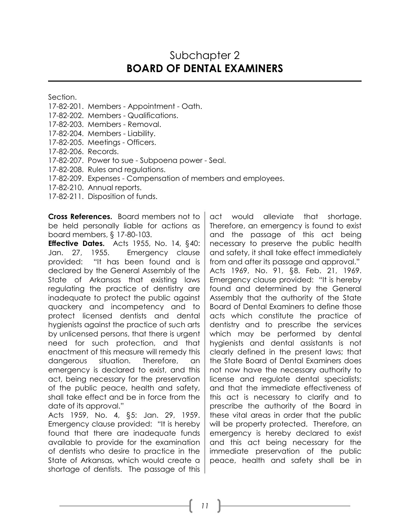## Subchapter 2 **BOARD OF DENTAL EXAMINERS**

Section.

17-82-201. Members - Appointment - Oath. 17-82-202. Members - Qualifications. 17-82-203. Members - Removal. 17-82-204. Members - Liability. 17-82-205. Meetings - Officers. 17-82-206. Records. 17-82-207. Power to sue - Subpoena power - Seal. 17-82-208. Rules and regulations. 17-82-209. Expenses - Compensation of members and employees. 17-82-210. Annual reports. 17-82-211. Disposition of funds.

**Cross References.** Board members not to be held personally liable for actions as

board members, § 17-80-103. **Effective Dates.** Acts 1955, No. 14, §40: Jan. 27, 1955. Emergency clause provided: "It has been found and is declared by the General Assembly of the State of Arkansas that existing laws regulating the practice of dentistry are inadequate to protect the public against quackery and incompetency and to protect licensed dentists and dental hygienists against the practice of such arts by unlicensed persons, that there is urgent need for such protection, and that enactment of this measure will remedy this dangerous situation. Therefore, an emergency is declared to exist, and this act, being necessary for the preservation of the public peace, health and safety, shall take effect and be in force from the date of its approval."

Acts 1959, No. 4, §5: Jan. 29, 1959. Emergency clause provided: "It is hereby found that there are inadequate funds available to provide for the examination of dentists who desire to practice in the State of Arkansas, which would create a shortage of dentists. The passage of this act would alleviate that shortage. Therefore, an emergency is found to exist and the passage of this act being necessary to preserve the public health and safety, it shall take effect immediately from and after its passage and approval." Acts 1969, No. 91, §8. Feb. 21, 1969. Emergency clause provided: "It is hereby found and determined by the General Assembly that the authority of the State Board of Dental Examiners to define those acts which constitute the practice of dentistry and to prescribe the services which may be performed by dental hygienists and dental assistants is not clearly defined in the present laws; that the State Board of Dental Examiners does not now have the necessary authority to license and regulate dental specialists; and that the immediate effectiveness of this act is necessary to clarify and to prescribe the authority of the Board in these vital areas in order that the public will be property protected. Therefore, an emergency is hereby declared to exist and this act being necessary for the immediate preservation of the public peace, health and safety shall be in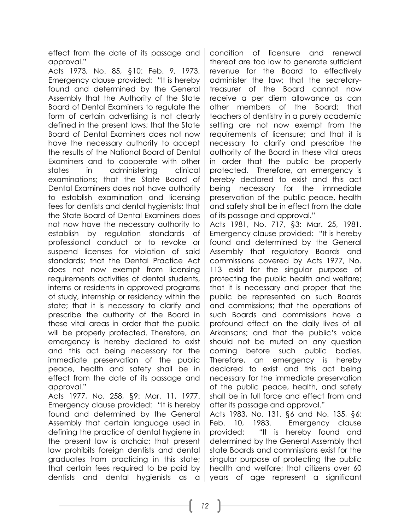effect from the date of its passage and approval."

Acts 1973, No. 85, §10: Feb. 9, 1973. Emergency clause provided: "It is hereby found and determined by the General Assembly that the Authority of the State Board of Dental Examiners to regulate the form of certain advertising is not clearly defined in the present laws; that the State Board of Dental Examiners does not now have the necessary authority to accept the results of the National Board of Dental Examiners and to cooperate with other states in administering clinical examinations; that the State Board of Dental Examiners does not have authority to establish examination and licensing fees for dentists and dental hygienists; that the State Board of Dental Examiners does not now have the necessary authority to establish by regulation standards of professional conduct or to revoke or suspend licenses for violation of said standards; that the Dental Practice Act does not now exempt from licensing requirements activities of dental students, interns or residents in approved programs of study, internship or residency within the state; that it is necessary to clarify and prescribe the authority of the Board in these vital areas in order that the public will be properly protected. Therefore, an emergency is hereby declared to exist and this act being necessary for the immediate preservation of the public peace, health and safety shall be in effect from the date of its passage and approval.‖

Acts 1977, No. 258, §9: Mar. 11, 1977. Emergency clause provided: "It is hereby found and determined by the General Assembly that certain language used in defining the practice of dental hygiene in the present law is archaic; that present law prohibits foreign dentists and dental graduates from practicing in this state; that certain fees required to be paid by dentists and dental hygienists as a

condition of licensure and renewal thereof are too low to generate sufficient revenue for the Board to effectively administer the law; that the secretarytreasurer of the Board cannot now receive a per diem allowance as can other members of the Board; that teachers of dentistry in a purely academic setting are not now exempt from the requirements of licensure; and that it is necessary to clarify and prescribe the authority of the Board in these vital areas in order that the public be property protected. Therefore, an emergency is hereby declared to exist and this act being necessary for the immediate preservation of the public peace, health and safety shall be in effect from the date of its passage and approval.‖

Acts 1981, No. 717, §3: Mar. 25, 1981. Emergency clause provided: "It is hereby found and determined by the General Assembly that regulatory Boards and commissions covered by Acts 1977, No. 113 exist for the singular purpose of protecting the public health and welfare; that it is necessary and proper that the public be represented on such Boards and commissions; that the operations of such Boards and commissions have a profound effect on the daily lives of all Arkansans; and that the public's voice should not be muted on any question coming before such public bodies. Therefore, an emergency is hereby declared to exist and this act being necessary for the immediate preservation of the public peace, health, and safety shall be in full force and effect from and after its passage and approval."

Acts 1983, No. 131, §6 and No. 135, §6: Feb. 10, 1983. Emergency clause provided: "It is hereby found and determined by the General Assembly that state Boards and commissions exist for the singular purpose of protecting the public health and welfare; that citizens over 60 years of age represent a significant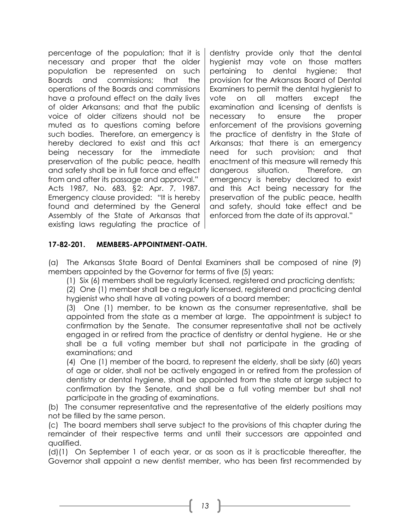percentage of the population; that it is necessary and proper that the older population be represented on such Boards and commissions; that the operations of the Boards and commissions have a profound effect on the daily lives of older Arkansans; and that the public voice of older citizens should not be muted as to questions coming before such bodies. Therefore, an emergency is hereby declared to exist and this act being necessary for the immediate preservation of the public peace, health and safety shall be in full force and effect from and after its passage and approval." Acts 1987, No. 683, §2: Apr. 7, 1987. Emergency clause provided: "It is hereby found and determined by the General Assembly of the State of Arkansas that existing laws regulating the practice of dentistry provide only that the dental hygienist may vote on those matters pertaining to dental hygiene; that provision for the Arkansas Board of Dental Examiners to permit the dental hygienist to vote on all matters except the examination and licensing of dentists is necessary to ensure the proper enforcement of the provisions governing the practice of dentistry in the State of Arkansas; that there is an emergency need for such provision; and that enactment of this measure will remedy this dangerous situation. Therefore, an emergency is hereby declared to exist and this Act being necessary for the preservation of the public peace, health and safety, should take effect and be enforced from the date of its approval.‖

#### **17-82-201. MEMBERS-APPOINTMENT-OATH.**

(a) The Arkansas State Board of Dental Examiners shall be composed of nine (9) members appointed by the Governor for terms of five (5) years:

(1) Six (6) members shall be regularly licensed, registered and practicing dentists;

(2) One (1) member shall be a regularly licensed, registered and practicing dental hygienist who shall have all voting powers of a board member;

(3) One (1) member, to be known as the consumer representative, shall be appointed from the state as a member at large. The appointment is subject to confirmation by the Senate. The consumer representative shall not be actively engaged in or retired from the practice of dentistry or dental hygiene. He or she shall be a full voting member but shall not participate in the grading of examinations; and

(4) One (1) member of the board, to represent the elderly, shall be sixty (60) years of age or older, shall not be actively engaged in or retired from the profession of dentistry or dental hygiene, shall be appointed from the state at large subject to confirmation by the Senate, and shall be a full voting member but shall not participate in the grading of examinations.

(b) The consumer representative and the representative of the elderly positions may not be filled by the same person.

(c) The board members shall serve subject to the provisions of this chapter during the remainder of their respective terms and until their successors are appointed and qualified.

(d)(1) On September 1 of each year, or as soon as it is practicable thereafter, the Governor shall appoint a new dentist member, who has been first recommended by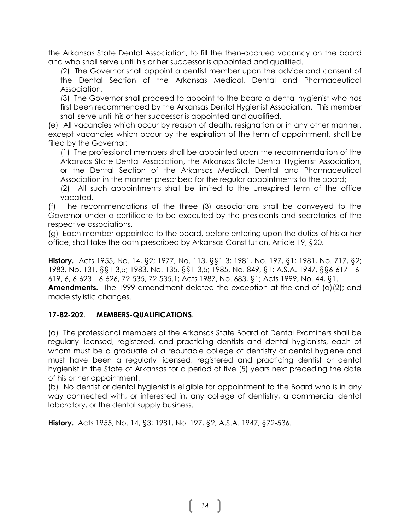the Arkansas State Dental Association, to fill the then-accrued vacancy on the board and who shall serve until his or her successor is appointed and qualified.

(2) The Governor shall appoint a dentist member upon the advice and consent of the Dental Section of the Arkansas Medical, Dental and Pharmaceutical Association.

(3) The Governor shall proceed to appoint to the board a dental hygienist who has first been recommended by the Arkansas Dental Hygienist Association. This member shall serve until his or her successor is appointed and qualified.

(e) All vacancies which occur by reason of death, resignation or in any other manner, except vacancies which occur by the expiration of the term of appointment, shall be filled by the Governor:

(1) The professional members shall be appointed upon the recommendation of the Arkansas State Dental Association, the Arkansas State Dental Hygienist Association, or the Dental Section of the Arkansas Medical, Dental and Pharmaceutical Association in the manner prescribed for the regular appointments to the board;

(2) All such appointments shall be limited to the unexpired term of the office vacated.

(f) The recommendations of the three (3) associations shall be conveyed to the Governor under a certificate to be executed by the presidents and secretaries of the respective associations.

(g) Each member appointed to the board, before entering upon the duties of his or her office, shall take the oath prescribed by Arkansas Constitution, Article 19, §20.

**History.** Acts 1955, No. 14, §2; 1977, No. 113, §§1-3; 1981, No. 197, §1; 1981, No. 717, §2; 1983, No. 131, §§1-3,5; 1983, No. 135, §§1-3,5; 1985, No. 849, §1; A.S.A. 1947, §§6-617—6- 619, 6, 6-623—6-626, 72-535, 72-535.1; Acts 1987, No. 683, §1; Acts 1999, No. 44, §1. **Amendments.** The 1999 amendment deleted the exception at the end of (a)(2); and made stylistic changes.

#### **17-82-202. MEMBERS-QUALIFICATIONS.**

(a) The professional members of the Arkansas State Board of Dental Examiners shall be regularly licensed, registered, and practicing dentists and dental hygienists, each of whom must be a graduate of a reputable college of dentistry or dental hygiene and must have been a regularly licensed, registered and practicing dentist or dental hygienist in the State of Arkansas for a period of five (5) years next preceding the date of his or her appointment.

(b) No dentist or dental hygienist is eligible for appointment to the Board who is in any way connected with, or interested in, any college of dentistry, a commercial dental laboratory, or the dental supply business.

**History.** Acts 1955, No. 14, §3; 1981, No. 197, §2; A.S.A. 1947, §72-536.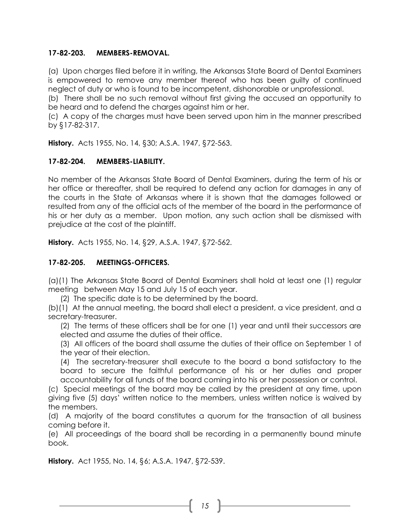#### **17-82-203. MEMBERS-REMOVAL.**

(a) Upon charges filed before it in writing, the Arkansas State Board of Dental Examiners is empowered to remove any member thereof who has been guilty of continued neglect of duty or who is found to be incompetent, dishonorable or unprofessional.

(b) There shall be no such removal without first giving the accused an opportunity to be heard and to defend the charges against him or her.

(c) A copy of the charges must have been served upon him in the manner prescribed by §17-82-317.

**History.** Acts 1955, No. 14, §30; A.S.A. 1947, §72-563.

#### **17-82-204. MEMBERS-LIABILITY.**

No member of the Arkansas State Board of Dental Examiners, during the term of his or her office or thereafter, shall be required to defend any action for damages in any of the courts in the State of Arkansas where it is shown that the damages followed or resulted from any of the official acts of the member of the board in the performance of his or her duty as a member. Upon motion, any such action shall be dismissed with prejudice at the cost of the plaintiff.

**History.** Acts 1955, No. 14, §29, A.S.A. 1947, §72-562.

#### **17-82-205. MEETINGS-OFFICERS.**

(a)(1) The Arkansas State Board of Dental Examiners shall hold at least one (1) regular meeting between May 15 and July 15 of each year.

(2) The specific date is to be determined by the board.

(b)(1) At the annual meeting, the board shall elect a president, a vice president, and a secretary-treasurer.

(2) The terms of these officers shall be for one (1) year and until their successors are elected and assume the duties of their office.

(3) All officers of the board shall assume the duties of their office on September 1 of the year of their election.

(4) The secretary-treasurer shall execute to the board a bond satisfactory to the board to secure the faithful performance of his or her duties and proper accountability for all funds of the board coming into his or her possession or control.

(c) Special meetings of the board may be called by the president at any time, upon giving five (5) days' written notice to the members, unless written notice is waived by the members.

(d) A majority of the board constitutes a quorum for the transaction of all business coming before it.

(e) All proceedings of the board shall be recording in a permanently bound minute book.

**History.** Act 1955, No. 14, §6; A.S.A. 1947, §72-539.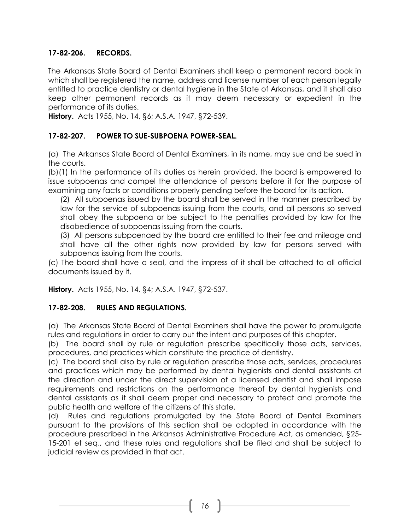#### **17-82-206. RECORDS.**

The Arkansas State Board of Dental Examiners shall keep a permanent record book in which shall be registered the name, address and license number of each person legally entitled to practice dentistry or dental hygiene in the State of Arkansas, and it shall also keep other permanent records as it may deem necessary or expedient in the performance of its duties.

**History.** Acts 1955, No. 14, §6; A.S.A. 1947, §72-539.

#### **17-82-207. POWER TO SUE-SUBPOENA POWER-SEAL.**

(a) The Arkansas State Board of Dental Examiners, in its name, may sue and be sued in the courts.

(b)(1) In the performance of its duties as herein provided, the board is empowered to issue subpoenas and compel the attendance of persons before it for the purpose of examining any facts or conditions properly pending before the board for its action.

(2) All subpoenas issued by the board shall be served in the manner prescribed by law for the service of subpoenas issuing from the courts, and all persons so served shall obey the subpoena or be subject to the penalties provided by law for the disobedience of subpoenas issuing from the courts.

(3) All persons subpoenaed by the board are entitled to their fee and mileage and shall have all the other rights now provided by law for persons served with subpoenas issuing from the courts.

(c) The board shall have a seal, and the impress of it shall be attached to all official documents issued by it.

**History.** Acts 1955, No. 14, §4; A.S.A. 1947, §72-537.

#### **17-82-208. RULES AND REGULATIONS.**

(a) The Arkansas State Board of Dental Examiners shall have the power to promulgate rules and regulations in order to carry out the intent and purposes of this chapter.

(b) The board shall by rule or regulation prescribe specifically those acts, services, procedures, and practices which constitute the practice of dentistry.

(c) The board shall also by rule or regulation prescribe those acts, services, procedures and practices which may be performed by dental hygienists and dental assistants at the direction and under the direct supervision of a licensed dentist and shall impose requirements and restrictions on the performance thereof by dental hygienists and dental assistants as it shall deem proper and necessary to protect and promote the public health and welfare of the citizens of this state.

(d) Rules and regulations promulgated by the State Board of Dental Examiners pursuant to the provisions of this section shall be adopted in accordance with the procedure prescribed in the Arkansas Administrative Procedure Act, as amended, §25- 15-201 et seq., and these rules and regulations shall be filed and shall be subject to judicial review as provided in that act.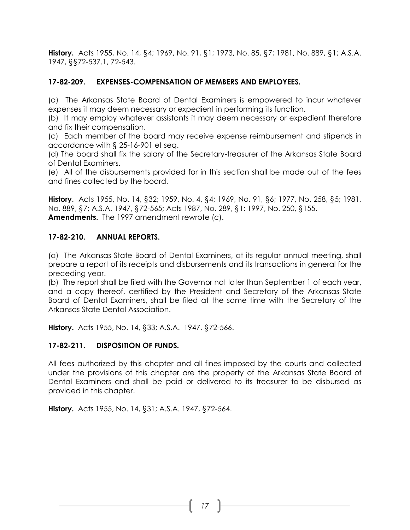**History.** Acts 1955, No. 14, §4; 1969, No. 91, §1; 1973, No. 85, §7; 1981, No. 889, §1; A.S.A. 1947, §§72-537.1, 72-543.

#### **17-82-209. EXPENSES-COMPENSATION OF MEMBERS AND EMPLOYEES.**

(a) The Arkansas State Board of Dental Examiners is empowered to incur whatever expenses it may deem necessary or expedient in performing its function.

(b) It may employ whatever assistants it may deem necessary or expedient therefore and fix their compensation.

(c) Each member of the board may receive expense reimbursement and stipends in accordance with § 25-16-901 et seq.

(d) The board shall fix the salary of the Secretary-treasurer of the Arkansas State Board of Dental Examiners.

(e) All of the disbursements provided for in this section shall be made out of the fees and fines collected by the board.

**History**. Acts 1955, No. 14, §32; 1959, No. 4, §4; 1969, No. 91, §6; 1977, No. 258, §5; 1981, No. 889, §7; A.S.A. 1947, §72-565; Acts 1987, No. 289, §1; 1997, No. 250, §155. **Amendments.** The 1997 amendment rewrote (c).

#### **17-82-210. ANNUAL REPORTS.**

(a) The Arkansas State Board of Dental Examiners, at its regular annual meeting, shall prepare a report of its receipts and disbursements and its transactions in general for the preceding year.

(b) The report shall be filed with the Governor not later than September 1 of each year, and a copy thereof, certified by the President and Secretary of the Arkansas State Board of Dental Examiners, shall be filed at the same time with the Secretary of the Arkansas State Dental Association.

**History.** Acts 1955, No. 14, §33; A.S.A. 1947, §72-566.

#### **17-82-211. DISPOSITION OF FUNDS.**

All fees authorized by this chapter and all fines imposed by the courts and collected under the provisions of this chapter are the property of the Arkansas State Board of Dental Examiners and shall be paid or delivered to its treasurer to be disbursed as provided in this chapter.

**History.** Acts 1955, No. 14, §31; A.S.A. 1947, §72-564.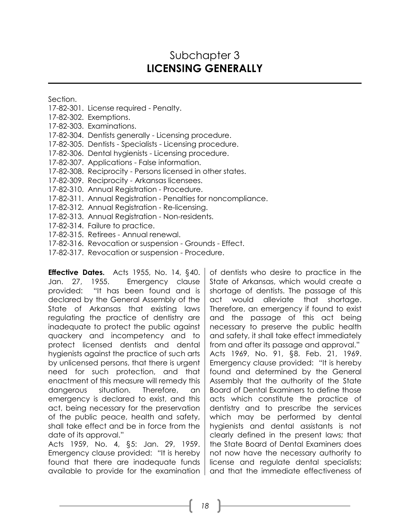## Subchapter 3 **LICENSING GENERALLY**

Section.

- 17-82-301. License required Penalty.
- 17-82-302. Exemptions.
- 17-82-303. Examinations.
- 17-82-304. Dentists generally Licensing procedure.
- 17-82-305. Dentists Specialists Licensing procedure.
- 17-82-306. Dental hygienists Licensing procedure.
- 17-82-307. Applications False information.
- 17-82-308. Reciprocity Persons licensed in other states.
- 17-82-309. Reciprocity Arkansas licensees.
- 17-82-310. Annual Registration Procedure.
- 17-82-311. Annual Registration Penalties for noncompliance.
- 17-82-312. Annual Registration Re-licensing.
- 17-82-313. Annual Registration Non-residents.
- 17-82-314. Failure to practice.
- 17-82-315. Retirees Annual renewal.
- 17-82-316. Revocation or suspension Grounds Effect.
- 17-82-317. Revocation or suspension Procedure.

**Effective Dates.** Acts 1955, No. 14, §40. Jan. 27, 1955. Emergency clause provided: "It has been found and is declared by the General Assembly of the State of Arkansas that existing laws regulating the practice of dentistry are inadequate to protect the public against quackery and incompetency and to protect licensed dentists and dental hygienists against the practice of such arts by unlicensed persons, that there is urgent need for such protection, and that enactment of this measure will remedy this dangerous situation. Therefore, an emergency is declared to exist, and this act, being necessary for the preservation of the public peace, health and safety, shall take effect and be in force from the date of its approval."

Acts 1959, No. 4, §5: Jan. 29, 1959. Emergency clause provided: "It is hereby found that there are inadequate funds available to provide for the examination of dentists who desire to practice in the State of Arkansas, which would create a shortage of dentists. The passage of this act would alleviate that shortage. Therefore, an emergency if found to exist and the passage of this act being necessary to preserve the public health and safety, it shall take effect immediately from and after its passage and approval." Acts 1969, No. 91, §8. Feb. 21, 1969. Emergency clause provided: "It is hereby found and determined by the General Assembly that the authority of the State Board of Dental Examiners to define those acts which constitute the practice of dentistry and to prescribe the services which may be performed by dental hygienists and dental assistants is not clearly defined in the present laws; that the State Board of Dental Examiners does not now have the necessary authority to license and regulate dental specialists; and that the immediate effectiveness of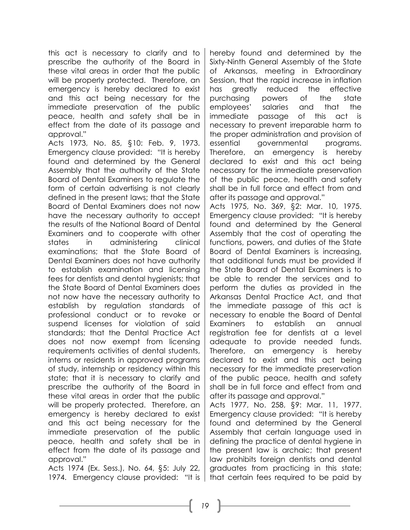this act is necessary to clarify and to prescribe the authority of the Board in these vital areas in order that the public will be properly protected. Therefore, an emergency is hereby declared to exist and this act being necessary for the immediate preservation of the public peace, health and safety shall be in effect from the date of its passage and approval.‖

Acts 1973, No. 85, §10: Feb. 9, 1973. Emergency clause provided: "It is hereby found and determined by the General Assembly that the authority of the State Board of Dental Examiners to regulate the form of certain advertising is not clearly defined in the present laws; that the State Board of Dental Examiners does not now have the necessary authority to accept the results of the National Board of Dental Examiners and to cooperate with other states in administering clinical examinations; that the State Board of Dental Examiners does not have authority to establish examination and licensing fees for dentists and dental hygienists; that the State Board of Dental Examiners does not now have the necessary authority to establish by regulation standards of professional conduct or to revoke or suspend licenses for violation of said standards; that the Dental Practice Act does not now exempt from licensing requirements activities of dental students, interns or residents in approved programs of study, internship or residency within this state; that it is necessary to clarify and prescribe the authority of the Board in these vital areas in order that the public will be properly protected. Therefore, an emergency is hereby declared to exist and this act being necessary for the immediate preservation of the public peace, health and safety shall be in effect from the date of its passage and approval.‖

Acts 1974 (Ex. Sess.), No. 64, §5: July 22, 1974. Emergency clause provided: "It is hereby found and determined by the Sixty-Ninth General Assembly of the State of Arkansas, meeting in Extraordinary Session, that the rapid increase in inflation has greatly reduced the effective purchasing powers of the state employees' salaries and that the immediate passage of this act is necessary to prevent irreparable harm to the proper administration and provision of essential governmental programs. Therefore, an emergency is hereby declared to exist and this act being necessary for the immediate preservation of the public peace, health and safety shall be in full force and effect from and after its passage and approval.‖ Acts 1975, No. 369, §2: Mar. 10, 1975. Emergency clause provided: "It is hereby found and determined by the General Assembly that the cost of operating the functions, powers, and duties of the State Board of Dental Examiners is increasing, that additional funds must be provided if the State Board of Dental Examiners is to be able to render the services and to perform the duties as provided in the Arkansas Dental Practice Act, and that the immediate passage of this act is necessary to enable the Board of Dental Examiners to establish an annual registration fee for dentists at a level adequate to provide needed funds. Therefore, an emergency is hereby declared to exist and this act being necessary for the immediate preservation of the public peace, health and safety shall be in full force and effect from and after its passage and approval.‖

Acts 1977, No. 258, §9: Mar. 11, 1977. Emergency clause provided: "It is hereby found and determined by the General Assembly that certain language used in defining the practice of dental hygiene in the present law is archaic; that present law prohibits foreign dentists and dental graduates from practicing in this state; I that certain fees required to be paid by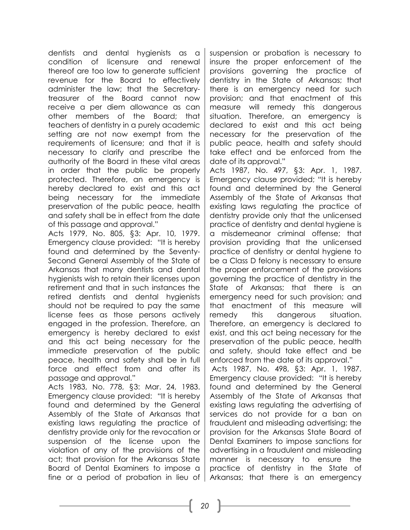dentists and dental hygienists as a condition of licensure and renewal thereof are too low to generate sufficient revenue for the Board to effectively administer the law; that the Secretarytreasurer of the Board cannot now receive a per diem allowance as can other members of the Board; that teachers of dentistry in a purely academic setting are not now exempt from the requirements of licensure; and that it is necessary to clarify and prescribe the authority of the Board in these vital areas in order that the public be properly protected. Therefore, an emergency is hereby declared to exist and this act being necessary for the immediate preservation of the public peace, health and safety shall be in effect from the date of this passage and approval.‖

Acts 1979, No. 805, §3: Apr. 10, 1979. Emergency clause provided: "It is hereby found and determined by the Seventy-Second General Assembly of the State of Arkansas that many dentists and dental hygienists wish to retain their licenses upon retirement and that in such instances the retired dentists and dental hygienists should not be required to pay the same license fees as those persons actively engaged in the profession. Therefore, an emergency is hereby declared to exist and this act being necessary for the immediate preservation of the public peace, health and safety shall be in full force and effect from and after its passage and approval.‖

Acts 1983, No. 778, §3: Mar. 24, 1983. Emergency clause provided: "It is hereby found and determined by the General Assembly of the State of Arkansas that existing laws regulating the practice of dentistry provide only for the revocation or suspension of the license upon the violation of any of the provisions of the act; that provision for the Arkansas State Board of Dental Examiners to impose a fine or a period of probation in lieu of

suspension or probation is necessary to insure the proper enforcement of the provisions governing the practice of dentistry in the State of Arkansas; that there is an emergency need for such provision; and that enactment of this measure will remedy this dangerous situation. Therefore, an emergency is declared to exist and this act being necessary for the preservation of the public peace, health and safety should take effect and be enforced from the date of its approval."

Acts 1987, No. 497, §3: Apr. 1, 1987. Emergency clause provided; "It is hereby found and determined by the General Assembly of the State of Arkansas that existing laws regulating the practice of dentistry provide only that the unlicensed practice of dentistry and dental hygiene is a misdemeanor criminal offense; that provision providing that the unlicensed practice of dentistry or dental hygiene to be a Class D felony is necessary to ensure the proper enforcement of the provisions governing the practice of dentistry in the State of Arkansas; that there is an emergency need for such provision; and that enactment of this measure will remedy this dangerous situation. Therefore, an emergency is declared to exist, and this act being necessary for the preservation of the public peace, health and safety, should take effect and be enforced from the date of its approval."

Acts 1987, No. 498, §3: Apr. 1, 1987. Emergency clause provided: "It is hereby found and determined by the General Assembly of the State of Arkansas that existing laws regulating the advertising of services do not provide for a ban on fraudulent and misleading advertising; the provision for the Arkansas State Board of Dental Examiners to impose sanctions for advertising in a fraudulent and misleading manner is necessary to ensure the practice of dentistry in the State of Arkansas; that there is an emergency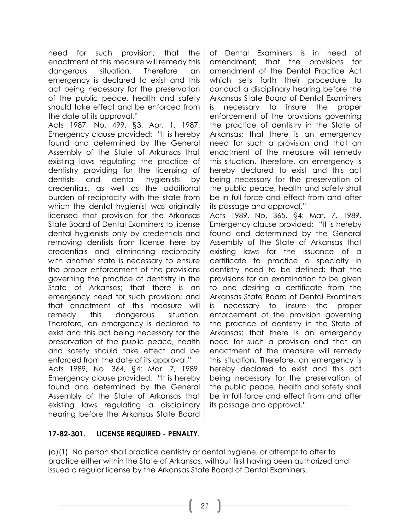need for such provision; that the enactment of this measure will remedy this dangerous situation. Therefore an emergency is declared to exist and this act being necessary for the preservation of the public peace, health and safety should take effect and be enforced from the date of its approval."

Acts 1987, No. 499, §3: Apr. 1, 1987. Emergency clause provided: "It is hereby found and determined by the General Assembly of the State of Arkansas that existing laws regulating the practice of dentistry providing for the licensing of dentists and dental hygienists by credentials, as well as the additional burden of reciprocity with the state from which the dental hygienist was originally licensed that provision for the Arkansas State Board of Dental Examiners to license dental hygienists only by credentials and removing dentists from license here by credentials and eliminating reciprocity with another state is necessary to ensure the proper enforcement of the provisions governing the practice of dentistry in the State of Arkansas; that there is an emergency need for such provision; and that enactment of this measure will remedy this dangerous situation. Therefore, an emergency is declared to exist and this act being necessary for the preservation of the public peace, health and safety should take effect and be enforced from the date of its approval." Acts 1989, No. 364, §4: Mar. 7, 1989.

Emergency clause provided: "It is hereby found and determined by the General Assembly of the State of Arkansas that existing laws regulating a disciplinary hearing before the Arkansas State Board

of Dental Examiners is in need of amendment; that the provisions for amendment of the Dental Practice Act which sets forth their procedure to conduct a disciplinary hearing before the Arkansas State Board of Dental Examiners is necessary to insure the proper enforcement of the provisions governing the practice of dentistry in the State of Arkansas; that there is an emergency need for such a provision and that an enactment of the measure will remedy this situation. Therefore, an emergency is hereby declared to exist and this act being necessary for the preservation of the public peace, health and safety shall be in full force and effect from and after its passage and approval." Acts 1989, No. 365, §4: Mar. 7, 1989. Emergency clause provided: "It is hereby found and determined by the General Assembly of the State of Arkansas that

existing laws for the issuance of a certificate to practice a specialty in dentistry need to be defined; that the provisions for an examination to be given to one desiring a certificate from the Arkansas State Board of Dental Examiners is necessary to insure the proper enforcement of the provision governing the practice of dentistry in the State of Arkansas; that there is an emergency need for such a provision and that an enactment of the measure will remedy this situation. Therefore, an emergency is hereby declared to exist and this act being necessary for the preservation of the public peace, health and safety shall be in full force and effect from and after its passage and approval."

#### **17-82-301. LICENSE REQUIRED - PENALTY.**

(a)(1) No person shall practice dentistry or dental hygiene, or attempt to offer to practice either within the State of Arkansas, without first having been authorized and issued a regular license by the Arkansas State Board of Dental Examiners.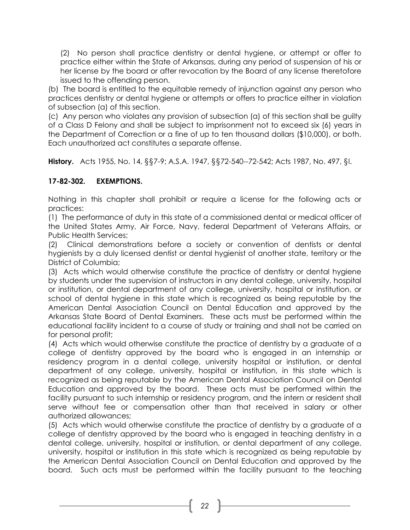(2) No person shall practice dentistry or dental hygiene, or attempt or offer to practice either within the State of Arkansas, during any period of suspension of his or her license by the board or after revocation by the Board of any license theretofore issued to the offending person.

(b) The board is entitled to the equitable remedy of injunction against any person who practices dentistry or dental hygiene or attempts or offers to practice either in violation of subsection (a) of this section.

(c) Any person who violates any provision of subsection (a) of this section shall be guilty of a Class D Felony and shall be subject to imprisonment not to exceed six (6) years in the Department of Correction or a fine of up to ten thousand dollars (\$10,000), or both. Each unauthorized act constitutes a separate offense.

**History.** Acts 1955, No. 14, §§7-9; A.S.A. 1947, §§72-540--72-542; Acts 1987, No. 497, §l.

#### **17-82-302. EXEMPTIONS.**

Nothing in this chapter shall prohibit or require a license for the following acts or practices:

(1) The performance of duty in this state of a commissioned dental or medical officer of the United States Army, Air Force, Navy, federal Department of Veterans Affairs, or Public Health Services;

(2) Clinical demonstrations before a society or convention of dentists or dental hygienists by a duly licensed dentist or dental hygienist of another state, territory or the District of Columbia;

(3) Acts which would otherwise constitute the practice of dentistry or dental hygiene by students under the supervision of instructors in any dental college, university, hospital or institution, or dental department of any college, university, hospital or institution, or school of dental hygiene in this state which is recognized as being reputable by the American Dental Association Council on Dental Education and approved by the Arkansas State Board of Dental Examiners. These acts must be performed within the educational facility incident to a course of study or training and shall not be carried on for personal profit;

(4) Acts which would otherwise constitute the practice of dentistry by a graduate of a college of dentistry approved by the board who is engaged in an internship or residency program in a dental college, university hospital or institution, or dental department of any college, university, hospital or institution, in this state which is recognized as being reputable by the American Dental Association Council on Dental Education and approved by the board. These acts must be performed within the facility pursuant to such internship or residency program, and the intern or resident shall serve without fee or compensation other than that received in salary or other authorized allowances;

(5) Acts which would otherwise constitute the practice of dentistry by a graduate of a college of dentistry approved by the board who is engaged in teaching dentistry in a dental college, university, hospital or institution, or dental department of any college, university, hospital or institution in this state which is recognized as being reputable by the American Dental Association Council on Dental Education and approved by the board. Such acts must be performed within the facility pursuant to the teaching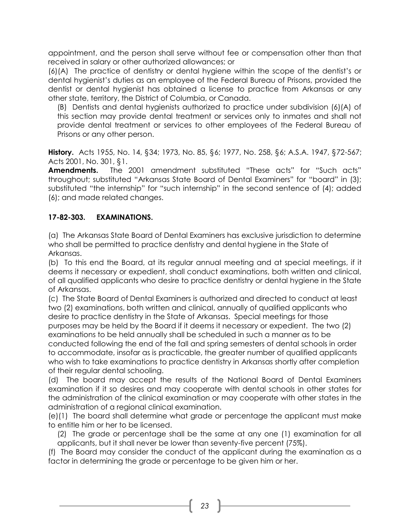appointment, and the person shall serve without fee or compensation other than that received in salary or other authorized allowances; or

(6)(A) The practice of dentistry or dental hygiene within the scope of the dentist's or dental hygienist's duties as an employee of the Federal Bureau of Prisons, provided the dentist or dental hygienist has obtained a license to practice from Arkansas or any other state, territory, the District of Columbia, or Canada.

(B) Dentists and dental hygienists authorized to practice under subdivision (6)(A) of this section may provide dental treatment or services only to inmates and shall not provide dental treatment or services to other employees of the Federal Bureau of Prisons or any other person.

**History.** Acts 1955, No. 14, §34; 1973, No. 85, §6; 1977, No. 258, §6; A.S.A. 1947, §72-567; Acts 2001, No. 301, §1.

**Amendments.** The 2001 amendment substituted "These acts" for "Such acts" throughout; substituted "Arkansas State Board of Dental Examiners" for "board" in (3); substituted "the internship" for "such internship" in the second sentence of (4); added (6); and made related changes.

#### **17-82-303. EXAMINATIONS.**

(a) The Arkansas State Board of Dental Examiners has exclusive jurisdiction to determine who shall be permitted to practice dentistry and dental hygiene in the State of Arkansas.

(b) To this end the Board, at its regular annual meeting and at special meetings, if it deems it necessary or expedient, shall conduct examinations, both written and clinical, of all qualified applicants who desire to practice dentistry or dental hygiene in the State of Arkansas.

(c) The State Board of Dental Examiners is authorized and directed to conduct at least two (2) examinations, both written and clinical, annually of qualified applicants who desire to practice dentistry in the State of Arkansas. Special meetings for those purposes may be held by the Board if it deems it necessary or expedient. The two (2) examinations to be held annually shall be scheduled in such a manner as to be conducted following the end of the fall and spring semesters of dental schools in order to accommodate, insofar as is practicable, the greater number of qualified applicants who wish to take examinations to practice dentistry in Arkansas shortly after completion of their regular dental schooling.

(d) The board may accept the results of the National Board of Dental Examiners examination if it so desires and may cooperate with dental schools in other states for the administration of the clinical examination or may cooperate with other states in the administration of a regional clinical examination.

(e)(1) The board shall determine what grade or percentage the applicant must make to entitle him or her to be licensed.

(2) The grade or percentage shall be the same at any one (1) examination for all applicants, but it shall never be lower than seventy-five percent (75%).

(f) The Board may consider the conduct of the applicant during the examination as a factor in determining the grade or percentage to be given him or her.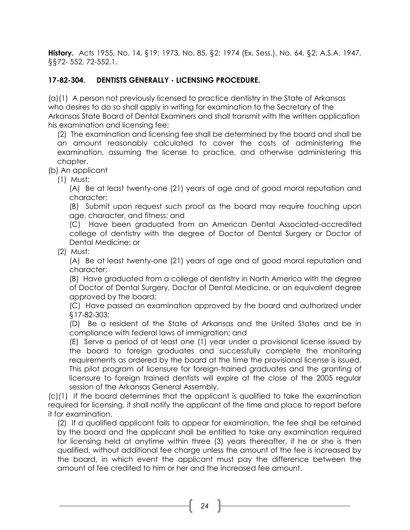**History.** Acts 1955, No. 14, §19; 1973, No. 85, §2; 1974 (Ex. Sess.), No. 64, §2; A.S.A. 1947, §§72- 552, 72-552.1.

#### **17-82-304. DENTISTS GENERALLY - LICENSING PROCEDURE.**

(a)(1) A person not previously licensed to practice dentistry in the State of Arkansas who desires to do so shall apply in writing for examination to the Secretary of the Arkansas State Board of Dental Examiners and shall transmit with the written application his examination and licensing fee;

(2) The examination and licensing fee shall be determined by the board and shall be an amount reasonably calculated to cover the costs of administering the examination, assuming the license to practice, and otherwise administering this chapter.

(b) An applicant

(1) Must:

(A) Be at least twenty-one (21) years of age and of good moral reputation and character;

(B) Submit upon request such proof as the board may require touching upon age, character, and fitness; and

(C) Have been graduated from an American Dental Associated-accredited college of dentistry with the degree of Doctor of Dental Surgery or Doctor of Dental Medicine; or

(2) Must:

(A) Be at least twenty-one (21) years of age and of good moral reputation and character;

(B) Have graduated from a college of dentistry in North America with the degree of Doctor of Dental Surgery, Doctor of Dental Medicine, or an equivalent degree approved by the board;

(C) Have passed an examination approved by the board and authorized under §17-82-303;

(D) Be a resident of the State of Arkansas and the United States and be in compliance with federal laws of immigration; and

(E) Serve a period of at least one (1) year under a provisional license issued by the board to foreign graduates and successfully complete the monitoring requirements as ordered by the board at the time the provisional license is issued. This pilot program of licensure for foreign-trained graduates and the granting of licensure to foreign trained dentists will expire at the close of the 2005 regular session of the Arkansas General Assembly.

(c)(1) If the board determines that the applicant is qualified to take the examination required for licensing, it shall notify the applicant of the time and place to report before it for examination.

(2) If a qualified applicant fails to appear for examination, the fee shall be retained by the board and the applicant shall be entitled to take any examination required for licensing held at anytime within three (3) years thereafter, if he or she is then qualified, without additional fee charge unless the amount of the fee is increased by the board, in which event the applicant must pay the difference between the amount of fee credited to him or her and the increased fee amount.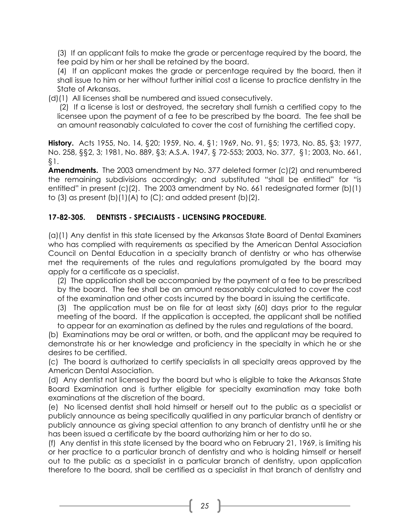(3) If an applicant fails to make the grade or percentage required by the board, the fee paid by him or her shall be retained by the board.

(4) If an applicant makes the grade or percentage required by the board, then it shall issue to him or her without further initial cost a license to practice dentistry in the State of Arkansas.

(d)(1) All licenses shall be numbered and issued consecutively.

(2) If a license is lost or destroyed, the secretary shall furnish a certified copy to the licensee upon the payment of a fee to be prescribed by the board. The fee shall be an amount reasonably calculated to cover the cost of furnishing the certified copy.

**History.** Acts 1955, No. 14, §20; 1959, No. 4, §1; 1969, No. 91, §5; 1973, No. 85, §3; 1977, No. 258, §§2, 3; 1981, No. 889, §3; A.S.A. 1947, § 72-553; 2003, No. 377, §1; 2003, No. 661, §1.

**Amendments.** The 2003 amendment by No. 377 deleted former (c)(2) and renumbered the remaining subdivisions accordingly; and substituted "shall be entitled" for "is entitled" in present  $(c)(2)$ . The 2003 amendment by No. 661 redesignated former  $(b)(1)$ to (3) as present (b)(1)(A) to (C); and added present (b)(2).

#### **17-82-305. DENTISTS - SPECIALISTS - LICENSING PROCEDURE.**

(a)(1) Any dentist in this state licensed by the Arkansas State Board of Dental Examiners who has complied with requirements as specified by the American Dental Association Council on Dental Education in a specialty branch of dentistry or who has otherwise met the requirements of the rules and regulations promulgated by the board may apply for a certificate as a specialist.

(2) The application shall be accompanied by the payment of a fee to be prescribed by the board. The fee shall be an amount reasonably calculated to cover the cost of the examination and other costs incurred by the board in issuing the certificate.

(3) The application must be on file for at least sixty (60) days prior to the regular meeting of the board. If the application is accepted, the applicant shall be notified to appear for an examination as defined by the rules and regulations of the board.

(b) Examinations may be oral or written, or both, and the applicant may be required to demonstrate his or her knowledge and proficiency in the specialty in which he or she desires to be certified.

(c) The board is authorized to certify specialists in all specialty areas approved by the American Dental Association.

(d) Any dentist not licensed by the board but who is eligible to take the Arkansas State Board Examination and is further eligible for specialty examination may take both examinations at the discretion of the board.

(e) No licensed dentist shall hold himself or herself out to the public as a specialist or publicly announce as being specifically qualified in any particular branch of dentistry or publicly announce as giving special attention to any branch of dentistry until he or she has been issued a certificate by the board authorizing him or her to do so.

(f) Any dentist in this state licensed by the board who on February 21, 1969, is limiting his or her practice to a particular branch of dentistry and who is holding himself or herself out to the public as a specialist in a particular branch of dentistry, upon application therefore to the board, shall be certified as a specialist in that branch of dentistry and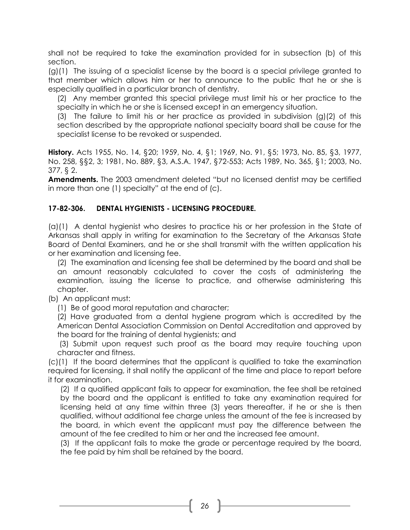shall not be required to take the examination provided for in subsection (b) of this section.

(g)(1) The issuing of a specialist license by the board is a special privilege granted to that member which allows him or her to announce to the public that he or she is especially qualified in a particular branch of dentistry.

(2) Any member granted this special privilege must limit his or her practice to the specialty in which he or she is licensed except in an emergency situation.

(3) The failure to limit his or her practice as provided in subdivision  $(q)(2)$  of this section described by the appropriate national specialty board shall be cause for the specialist license to be revoked or suspended.

**History.** Acts 1955, No. 14, §20; 1959, No. 4, §1; 1969, No. 91, §5; 1973, No. 85, §3, 1977, No. 258, §§2, 3; 1981, No. 889, §3, A.S.A. 1947, §72-553; Acts 1989, No. 365, §1; 2003, No. 377, § 2.

**Amendments.** The 2003 amendment deleted "but no licensed dentist may be certified in more than one (1) specialty" at the end of (c).

#### **17-82-306. DENTAL HYGIENISTS - LICENSING PROCEDURE.**

(a)(1) A dental hygienist who desires to practice his or her profession in the State of Arkansas shall apply in writing for examination to the Secretary of the Arkansas State Board of Dental Examiners, and he or she shall transmit with the written application his or her examination and licensing fee.

(2) The examination and licensing fee shall be determined by the board and shall be an amount reasonably calculated to cover the costs of administering the examination, issuing the license to practice, and otherwise administering this chapter.

(b) An applicant must:

(1) Be of good moral reputation and character;

(2) Have graduated from a dental hygiene program which is accredited by the American Dental Association Commission on Dental Accreditation and approved by the board for the training of dental hygienists; and

(3) Submit upon request such proof as the board may require touching upon character and fitness.

(c)(1) If the board determines that the applicant is qualified to take the examination required for licensing, it shall notify the applicant of the time and place to report before it for examination.

(2) If a qualified applicant fails to appear for examination, the fee shall be retained by the board and the applicant is entitled to take any examination required for licensing held at any time within three (3) years thereafter, if he or she is then qualified, without additional fee charge unless the amount of the fee is increased by the board, in which event the applicant must pay the difference between the amount of the fee credited to him or her and the increased fee amount.

(3) If the applicant fails to make the grade or percentage required by the board, the fee paid by him shall be retained by the board.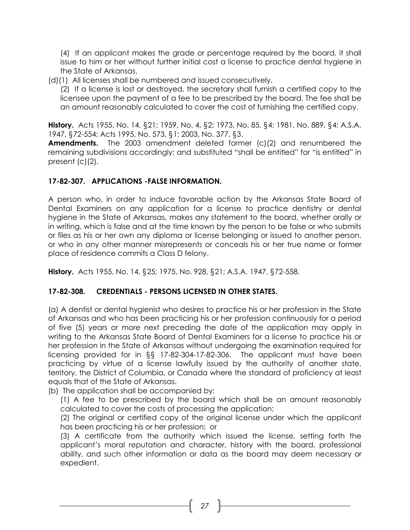(4) If an applicant makes the grade or percentage required by the board, it shall issue to him or her without further initial cost a license to practice dental hygiene in the State of Arkansas.

(d)(1) All licenses shall be numbered and issued consecutively.

(2) If a license is lost or destroyed, the secretary shall furnish a certified copy to the licensee upon the payment of a fee to be prescribed by the board. The fee shall be an amount reasonably calculated to cover the cost of furnishing the certified copy.

**History.** Acts 1955, No. 14, §21; 1959, No. 4, §2; 1973, No. 85, §4; 1981, No. 889, §4; A.S.A. 1947, §72-554; Acts 1995, No. 573, §1; 2003, No. 377, §3.

**Amendments.** The 2003 amendment deleted former (c)(2) and renumbered the remaining subdivisions accordingly; and substituted "shall be entitled" for "is entitled" in present (c)(2).

#### **17-82-307. APPLICATIONS -FALSE INFORMATION.**

A person who, in order to induce favorable action by the Arkansas State Board of Dental Examiners on any application for a license to practice dentistry or dental hygiene in the State of Arkansas, makes any statement to the board, whether orally or in writing, which is false and at the time known by the person to be false or who submits or files as his or her own any diploma or license belonging or issued to another person, or who in any other manner misrepresents or conceals his or her true name or former place of residence commits a Class D felony.

**History.** Acts 1955, No. 14, §25; 1975, No. 928, §21; A.S.A. 1947, §72-558.

#### **17-82-308. CREDENTIALS - PERSONS LICENSED IN OTHER STATES.**

(a) A dentist or dental hygienist who desires to practice his or her profession in the State of Arkansas and who has been practicing his or her profession continuously for a period of five (5) years or more next preceding the date of the application may apply in writing to the Arkansas State Board of Dental Examiners for a license to practice his or her profession in the State of Arkansas without undergoing the examination required for licensing provided for in §§ 17-82-304-17-82-306. The applicant must have been practicing by virtue of a license lawfully issued by the authority of another state, territory, the District of Columbia, or Canada where the standard of proficiency at least equals that of the State of Arkansas.

(b) The application shall be accompanied by:

(1) A fee to be prescribed by the board which shall be an amount reasonably calculated to cover the costs of processing the application;

(2) The original or certified copy of the original license under which the applicant has been practicing his or her profession; or

(3) A certificate from the authority which issued the license, setting forth the applicant's moral reputation and character, history with the board, professional ability, and such other information or data as the board may deem necessary or expedient.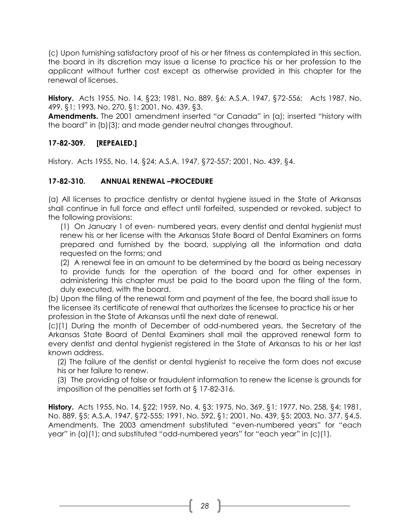(c) Upon furnishing satisfactory proof of his or her fitness as contemplated in this section, the board in its discretion may issue a license to practice his or her profession to the applicant without further cost except as otherwise provided in this chapter for the renewal of licenses.

**History.** Acts 1955, No. 14, §23; 1981, No. 889, §6; A.S.A. 1947, §72-556; Acts 1987, No. 499, §1; 1993, No. 270, §1; 2001, No. 439, §3.

**Amendments.** The 2001 amendment inserted "or Canada" in (a); inserted "history with the board" in (b)(3); and made gender neutral changes throughout.

#### **17-82-309. [REPEALED.]**

History. Acts 1955, No. 14, §24; A.S.A. 1947, §72-557; 2001, No. 439, §4.

#### **17-82-310. ANNUAL RENEWAL –PROCEDURE**

(a) All licenses to practice dentistry or dental hygiene issued in the State of Arkansas shall continue in full force and effect until forfeited, suspended or revoked, subject to the following provisions:

(1) On January 1 of even- numbered years, every dentist and dental hygienist must renew his or her license with the Arkansas State Board of Dental Examiners on forms prepared and furnished by the board, supplying all the information and data requested on the forms; and

(2) A renewal fee in an amount to be determined by the board as being necessary to provide funds for the operation of the board and for other expenses in administering this chapter must be paid to the board upon the filing of the form, duly executed, with the board.

(b) Upon the filing of the renewal form and payment of the fee, the board shall issue to the licensee its certificate of renewal that authorizes the licensee to practice his or her profession in the State of Arkansas until the next date of renewal.

(c)(1) During the month of December of odd-numbered years, the Secretary of the Arkansas State Board of Dental Examiners shall mail the approved renewal form to every dentist and dental hygienist registered in the State of Arkansas to his or her last known address.

(2) The failure of the dentist or dental hygienist to receive the form does not excuse his or her failure to renew.

(3) The providing of false or fraudulent information to renew the license is grounds for imposition of the penalties set forth at § 17-82-316.

**History.** Acts 1955, No. 14, §22; 1959, No. 4, §3; 1975, No. 369, §1; 1977, No. 258, §4; 1981, No. 889, §5; A.S.A. 1947, §72-555; 1991, No. 592, §1; 2001, No. 439, §5; 2003, No. 377, §4,5. Amendments. The 2003 amendment substituted "even-numbered years" for "each year" in  $(a)(1)$ ; and substituted "odd-numbered years" for "each year" in  $(c)(1)$ .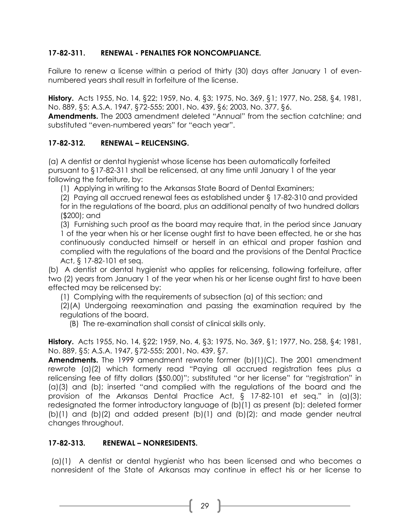#### **17-82-311. RENEWAL - PENALTIES FOR NONCOMPLIANCE.**

Failure to renew a license within a period of thirty (30) days after January 1 of evennumbered years shall result in forfeiture of the license.

**History.** Acts 1955, No. 14, §22; 1959, No. 4, §3; 1975, No. 369, §1; 1977, No. 258, §4, 1981, No. 889, §5; A.S.A. 1947, §72-555; 2001, No. 439, §6; 2003, No. 377, §6.

**Amendments.** The 2003 amendment deleted "Annual" from the section catchline; and substituted "even-numbered years" for "each year".

#### **17-82-312. RENEWAL – RELICENSING.**

(a) A dentist or dental hygienist whose license has been automatically forfeited pursuant to §17-82-311 shall be relicensed, at any time until January 1 of the year following the forfeiture, by:

(1) Applying in writing to the Arkansas State Board of Dental Examiners;

(2) Paying all accrued renewal fees as established under § 17-82-310 and provided for in the regulations of the board, plus an additional penalty of two hundred dollars (\$200); and

(3) Furnishing such proof as the board may require that, in the period since January 1 of the year when his or her license ought first to have been effected, he or she has continuously conducted himself or herself in an ethical and proper fashion and complied with the regulations of the board and the provisions of the Dental Practice Act, § 17-82-101 et seq.

(b) A dentist or dental hygienist who applies for relicensing, following forfeiture, after two (2) years from January 1 of the year when his or her license ought first to have been effected may be relicensed by:

(1) Complying with the requirements of subsection (a) of this section; and

(2)(A) Undergoing reexamination and passing the examination required by the regulations of the board.

(B) The re-examination shall consist of clinical skills only.

**History.** Acts 1955, No. 14, §22; 1959, No. 4, §3; 1975, No. 369, §1; 1977, No. 258, §4; 1981, No. 889, §5; A.S.A. 1947, §72-555; 2001, No. 439, §7.

**Amendments.** The 1999 amendment rewrote former (b)(1)(C). The 2001 amendment rewrote (a)(2) which formerly read "Paying all accrued registration fees plus a relicensing fee of fifty dollars (\$50.00)"; substituted "or her license" for "registration" in  $(a)(3)$  and  $(b)$ ; inserted "and complied with the regulations of the board and the provision of the Arkansas Dental Practice Act,  $\S$  17-82-101 et seq." in (a)(3); redesignated the former introductory language of (b)(1) as present (b); deleted former  $(b)(1)$  and  $(b)(2)$  and added present  $(b)(1)$  and  $(b)(2)$ ; and made gender neutral changes throughout.

#### **17-82-313. RENEWAL – NONRESIDENTS.**

(a)(1) A dentist or dental hygienist who has been licensed and who becomes a nonresident of the State of Arkansas may continue in effect his or her license to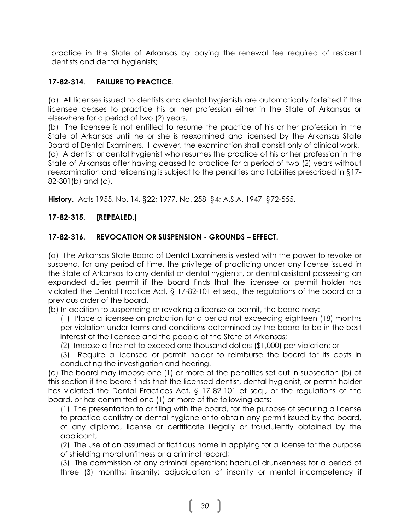practice in the State of Arkansas by paying the renewal fee required of resident dentists and dental hygienists;

#### **17-82-314. FAILURE TO PRACTICE.**

(a) All licenses issued to dentists and dental hygienists are automatically forfeited if the licensee ceases to practice his or her profession either in the State of Arkansas or elsewhere for a period of two (2) years.

(b) The licensee is not entitled to resume the practice of his or her profession in the State of Arkansas until he or she is reexamined and licensed by the Arkansas State Board of Dental Examiners. However, the examination shall consist only of clinical work. (c) A dentist or dental hygienist who resumes the practice of his or her profession in the State of Arkansas after having ceased to practice for a period of two (2) years without reexamination and relicensing is subject to the penalties and liabilities prescribed in §17- 82-301(b) and (c).

**History.** Acts 1955, No. 14, §22; 1977, No. 258, §4; A.S.A. 1947, §72-555.

#### **17-82-315. [REPEALED.]**

#### **17-82-316. REVOCATION OR SUSPENSION - GROUNDS – EFFECT.**

(a) The Arkansas State Board of Dental Examiners is vested with the power to revoke or suspend, for any period of time, the privilege of practicing under any license issued in the State of Arkansas to any dentist or dental hygienist, or dental assistant possessing an expanded duties permit if the board finds that the licensee or permit holder has violated the Dental Practice Act, § 17-82-101 et seq., the regulations of the board or a previous order of the board.

(b) In addition to suspending or revoking a license or permit, the board may:

(1) Place a licensee on probation for a period not exceeding eighteen (18) months per violation under terms and conditions determined by the board to be in the best interest of the licensee and the people of the State of Arkansas;

(2) Impose a fine not to exceed one thousand dollars (\$1,000) per violation; or

(3) Require a licensee or permit holder to reimburse the board for its costs in conducting the investigation and hearing.

(c) The board may impose one (1) or more of the penalties set out in subsection (b) of this section if the board finds that the licensed dentist, dental hygienist, or permit holder has violated the Dental Practices Act, § 17-82-101 et seq., or the regulations of the board, or has committed one (1) or more of the following acts:

(1) The presentation to or filing with the board, for the purpose of securing a license to practice dentistry or dental hygiene or to obtain any permit issued by the board, of any diploma, license or certificate illegally or fraudulently obtained by the applicant;

(2) The use of an assumed or fictitious name in applying for a license for the purpose of shielding moral unfitness or a criminal record;

(3) The commission of any criminal operation; habitual drunkenness for a period of three (3) months; insanity; adjudication of insanity or mental incompetency if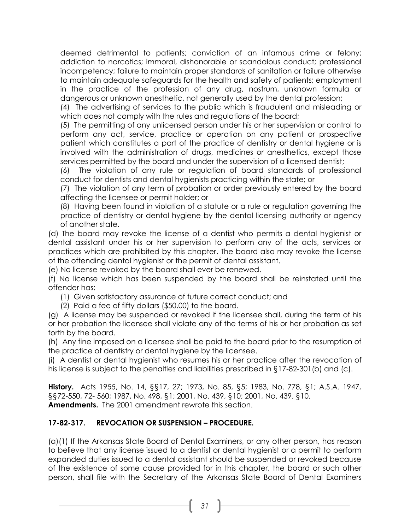deemed detrimental to patients; conviction of an infamous crime or felony; addiction to narcotics; immoral, dishonorable or scandalous conduct; professional incompetency; failure to maintain proper standards of sanitation or failure otherwise to maintain adequate safeguards for the health and safety of patients; employment in the practice of the profession of any drug, nostrum, unknown formula or dangerous or unknown anesthetic, not generally used by the dental profession;

(4) The advertising of services to the public which is fraudulent and misleading or which does not comply with the rules and regulations of the board;

(5) The permitting of any unlicensed person under his or her supervision or control to perform any act, service, practice or operation on any patient or prospective patient which constitutes a part of the practice of dentistry or dental hygiene or is involved with the administration of drugs, medicines or anesthetics, except those services permitted by the board and under the supervision of a licensed dentist;

(6) The violation of any rule or regulation of board standards of professional conduct for dentists and dental hygienists practicing within the state; or

(7) The violation of any term of probation or order previously entered by the board affecting the licensee or permit holder; or

(8) Having been found in violation of a statute or a rule or regulation governing the practice of dentistry or dental hygiene by the dental licensing authority or agency of another state.

(d) The board may revoke the license of a dentist who permits a dental hygienist or dental assistant under his or her supervision to perform any of the acts, services or practices which are prohibited by this chapter. The board also may revoke the license of the offending dental hygienist or the permit of dental assistant.

(e) No license revoked by the board shall ever be renewed.

(f) No license which has been suspended by the board shall be reinstated until the offender has:

- (1) Given satisfactory assurance of future correct conduct; and
- (2) Paid a fee of fifty dollars (\$50.00) to the board.

(g) A license may be suspended or revoked if the licensee shall, during the term of his or her probation the licensee shall violate any of the terms of his or her probation as set forth by the board.

(h) Any fine imposed on a licensee shall be paid to the board prior to the resumption of the practice of dentistry or dental hygiene by the licensee.

(i) A dentist or dental hygienist who resumes his or her practice after the revocation of his license is subject to the penalties and liabilities prescribed in §17-82-301(b) and (c).

**History.** Acts 1955, No. 14, §§17, 27; 1973, No. 85, §5; 1983, No. 778, §1; A.S.A. 1947, §§72-550, 72- 560; 1987, No. 498, §1; 2001, No. 439, §10; 2001, No. 439, §10. **Amendments.** The 2001 amendment rewrote this section.

#### **17-82-317. REVOCATION OR SUSPENSION – PROCEDURE.**

(a)(1) If the Arkansas State Board of Dental Examiners, or any other person, has reason to believe that any license issued to a dentist or dental hygienist or a permit to perform expanded duties issued to a dental assistant should be suspended or revoked because of the existence of some cause provided for in this chapter, the board or such other person, shall file with the Secretary of the Arkansas State Board of Dental Examiners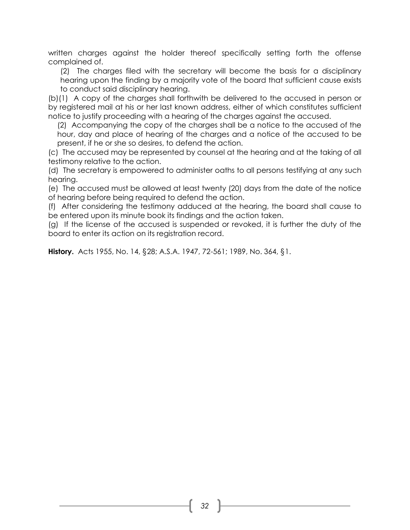written charges against the holder thereof specifically setting forth the offense complained of.

(2) The charges filed with the secretary will become the basis for a disciplinary hearing upon the finding by a majority vote of the board that sufficient cause exists to conduct said disciplinary hearing.

(b)(1) A copy of the charges shall forthwith be delivered to the accused in person or by registered mail at his or her last known address, either of which constitutes sufficient notice to justify proceeding with a hearing of the charges against the accused.

(2) Accompanying the copy of the charges shall be a notice to the accused of the hour, day and place of hearing of the charges and a notice of the accused to be present, if he or she so desires, to defend the action.

(c) The accused may be represented by counsel at the hearing and at the taking of all testimony relative to the action.

(d) The secretary is empowered to administer oaths to all persons testifying at any such hearing.

(e) The accused must be allowed at least twenty (20) days from the date of the notice of hearing before being required to defend the action.

(f) After considering the testimony adduced at the hearing, the board shall cause to be entered upon its minute book its findings and the action taken.

(g) If the license of the accused is suspended or revoked, it is further the duty of the board to enter its action on its registration record.

**History.** Acts 1955, No. 14, §28; A.S.A. 1947, 72-561; 1989, No. 364, §1.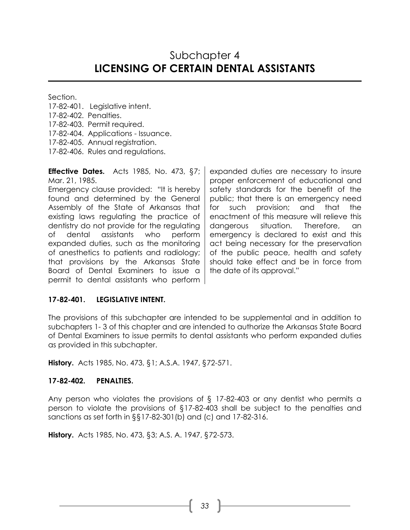## Subchapter 4 **LICENSING OF CERTAIN DENTAL ASSISTANTS**

Section.

17-82-401. Legislative intent. 17-82-402. Penalties. 17-82-403. Permit required. 17-82-404. Applications - Issuance. 17-82-405. Annual registration. 17-82-406. Rules and regulations.

**Effective Dates.** Acts 1985, No. 473, §7; Mar. 21, 1985.

Emergency clause provided: "It is hereby found and determined by the General Assembly of the State of Arkansas that existing laws regulating the practice of dentistry do not provide for the regulating of dental assistants who perform expanded duties, such as the monitoring of anesthetics to patients and radiology; that provisions by the Arkansas State Board of Dental Examiners to issue a permit to dental assistants who perform

expanded duties are necessary to insure proper enforcement of educational and safety standards for the benefit of the public; that there is an emergency need for such provision; and that the enactment of this measure will relieve this dangerous situation. Therefore, an emergency is declared to exist and this act being necessary for the preservation of the public peace, health and safety should take effect and be in force from the date of its approval."

#### **17-82-401. LEGISLATIVE INTENT.**

The provisions of this subchapter are intended to be supplemental and in addition to subchapters 1- 3 of this chapter and are intended to authorize the Arkansas State Board of Dental Examiners to issue permits to dental assistants who perform expanded duties as provided in this subchapter.

**History.** Acts 1985, No. 473, §1; A.S.A. 1947, §72-571.

#### **17-82-402. PENALTIES.**

Any person who violates the provisions of § 17-82-403 or any dentist who permits a person to violate the provisions of §17-82-403 shall be subject to the penalties and sanctions as set forth in §§17-82-301(b) and (c) and 17-82-316.

**History.** Acts 1985, No. 473, §3; A.S. A. 1947, §72-573.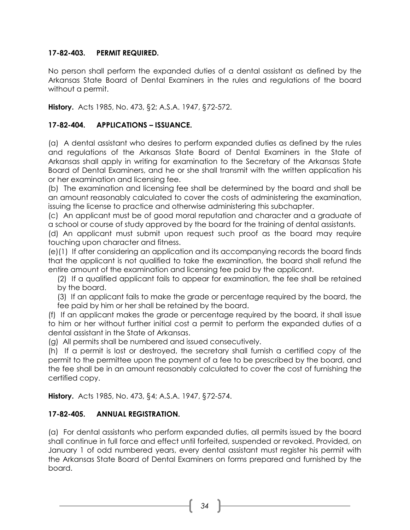#### **17-82-403. PERMIT REQUIRED.**

No person shall perform the expanded duties of a dental assistant as defined by the Arkansas State Board of Dental Examiners in the rules and regulations of the board without a permit.

**History.** Acts 1985, No. 473, §2; A.S.A. 1947, §72-572.

#### **17-82-404. APPLICATIONS – ISSUANCE.**

(a) A dental assistant who desires to perform expanded duties as defined by the rules and regulations of the Arkansas State Board of Dental Examiners in the State of Arkansas shall apply in writing for examination to the Secretary of the Arkansas State Board of Dental Examiners, and he or she shall transmit with the written application his or her examination and licensing fee.

(b) The examination and licensing fee shall be determined by the board and shall be an amount reasonably calculated to cover the costs of administering the examination, issuing the license to practice and otherwise administering this subchapter.

(c) An applicant must be of good moral reputation and character and a graduate of a school or course of study approved by the board for the training of dental assistants.

(d) An applicant must submit upon request such proof as the board may require touching upon character and fitness.

(e)(1) If after considering an application and its accompanying records the board finds that the applicant is not qualified to take the examination, the board shall refund the entire amount of the examination and licensing fee paid by the applicant.

(2) If a qualified applicant fails to appear for examination, the fee shall be retained by the board.

(3) If an applicant fails to make the grade or percentage required by the board, the fee paid by him or her shall be retained by the board.

(f) If an applicant makes the grade or percentage required by the board, it shall issue to him or her without further initial cost a permit to perform the expanded duties of a dental assistant in the State of Arkansas.

(g) All permits shall be numbered and issued consecutively.

(h) If a permit is lost or destroyed, the secretary shall furnish a certified copy of the permit to the permittee upon the payment of a fee to be prescribed by the board, and the fee shall be in an amount reasonably calculated to cover the cost of furnishing the certified copy.

**History.** Acts 1985, No. 473, §4; A.S.A. 1947, §72-574.

#### **17-82-405. ANNUAL REGISTRATION.**

(a) For dental assistants who perform expanded duties, all permits issued by the board shall continue in full force and effect until forfeited, suspended or revoked. Provided, on January 1 of odd numbered years, every dental assistant must register his permit with the Arkansas State Board of Dental Examiners on forms prepared and furnished by the board.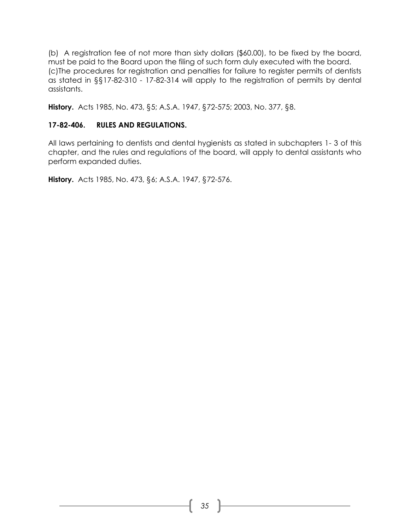(b) A registration fee of not more than sixty dollars (\$60.00), to be fixed by the board, must be paid to the Board upon the filing of such form duly executed with the board. (c)The procedures for registration and penalties for failure to register permits of dentists as stated in §§17-82-310 - 17-82-314 will apply to the registration of permits by dental assistants.

**History.** Acts 1985, No. 473, §5; A.S.A. 1947, §72-575; 2003, No. 377, §8.

#### **17-82-406. RULES AND REGULATIONS.**

All laws pertaining to dentists and dental hygienists as stated in subchapters 1- 3 of this chapter, and the rules and regulations of the board, will apply to dental assistants who perform expanded duties.

**History.** Acts 1985, No. 473, §6; A.S.A. 1947, §72-576.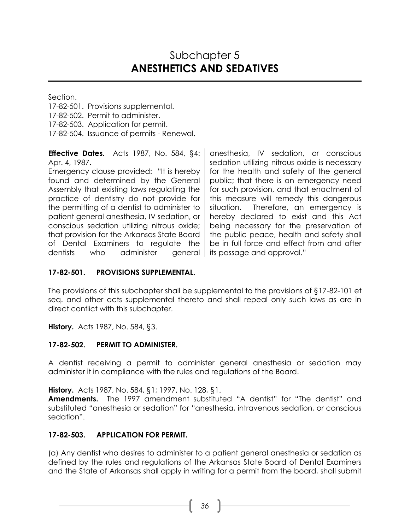## Subchapter 5 **ANESTHETICS AND SEDATIVES**

Section.

17-82-501. Provisions supplemental.

17-82-502. Permit to administer.

17-82-503. Application for permit.

17-82-504. Issuance of permits - Renewal.

**Effective Dates.** Acts 1987, No. 584, §4: Apr. 4, 1987.

Emergency clause provided: "It is hereby found and determined by the General Assembly that existing laws regulating the practice of dentistry do not provide for the permitting of a dentist to administer to patient general anesthesia, IV sedation, or conscious sedation utilizing nitrous oxide; that provision for the Arkansas State Board of Dental Examiners to regulate the dentists who administer

anesthesia, IV sedation, or conscious sedation utilizing nitrous oxide is necessary for the health and safety of the general public; that there is an emergency need for such provision, and that enactment of this measure will remedy this dangerous situation. Therefore, an emergency is hereby declared to exist and this Act being necessary for the preservation of the public peace, health and safety shall be in full force and effect from and after general | its passage and approval."

#### **17-82-501. PROVISIONS SUPPLEMENTAL.**

The provisions of this subchapter shall be supplemental to the provisions of §17-82-101 et seq. and other acts supplemental thereto and shall repeal only such laws as are in direct conflict with this subchapter.

**History.** Acts 1987, No. 584, §3.

#### **17-82-502. PERMIT TO ADMINISTER.**

A dentist receiving a permit to administer general anesthesia or sedation may administer it in compliance with the rules and regulations of the Board.

**History.** Acts 1987, No. 584, §1; 1997, No. 128, §1.

**Amendments.** The 1997 amendment substituted "A dentist" for "The dentist" and substituted "anesthesia or sedation" for "anesthesia, intravenous sedation, or conscious sedation".

#### **17-82-503. APPLICATION FOR PERMIT.**

(a) Any dentist who desires to administer to a patient general anesthesia or sedation as defined by the rules and regulations of the Arkansas State Board of Dental Examiners and the State of Arkansas shall apply in writing for a permit from the board, shall submit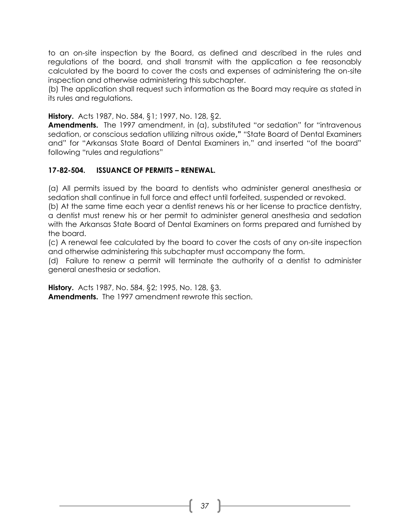to an on-site inspection by the Board, as defined and described in the rules and regulations of the board, and shall transmit with the application a fee reasonably calculated by the board to cover the costs and expenses of administering the on-site inspection and otherwise administering this subchapter.

(b) The application shall request such information as the Board may require as stated in its rules and regulations.

**History.** Acts 1987, No. 584, §1; 1997, No. 128, §2.

Amendments. The 1997 amendment, in (a), substituted "or sedation" for "intravenous sedation, or conscious sedation utilizing nitrous oxide," "State Board of Dental Examiners and" for "Arkansas State Board of Dental Examiners in," and inserted "of the board" following "rules and regulations"

#### **17-82-504. ISSUANCE OF PERMITS – RENEWAL.**

(a) All permits issued by the board to dentists who administer general anesthesia or sedation shall continue in full force and effect until forfeited, suspended or revoked.

(b) At the same time each year a dentist renews his or her license to practice dentistry, a dentist must renew his or her permit to administer general anesthesia and sedation with the Arkansas State Board of Dental Examiners on forms prepared and furnished by the board.

(c) A renewal fee calculated by the board to cover the costs of any on-site inspection and otherwise administering this subchapter must accompany the form.

(d) Failure to renew a permit will terminate the authority of a dentist to administer general anesthesia or sedation.

**History.** Acts 1987, No. 584, §2; 1995, No. 128, §3. **Amendments.** The 1997 amendment rewrote this section.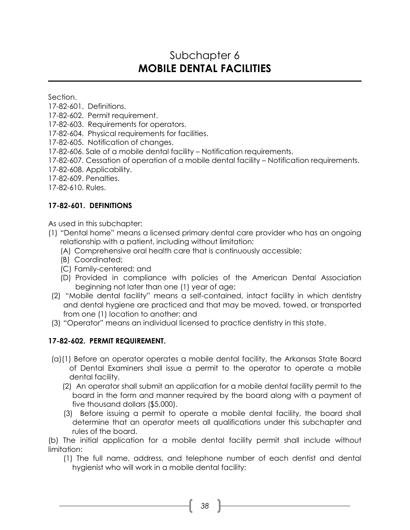# Subchapter 6 **MOBILE DENTAL FACILITIES**

Section.

- 17-82-601. Definitions.
- 17-82-602. Permit requirement.
- 17-82-603. Requirements for operators.
- 17-82-604. Physical requirements for facilities.
- 17-82-605. Notification of changes.
- 17-82-606. Sale of a mobile dental facility Notification requirements.
- 17-82-607. Cessation of operation of a mobile dental facility Notification requirements.
- 17-82-608. Applicability.
- 17-82-609. Penalties.
- 17-82-610. Rules.

### **17-82-601. DEFINITIONS**

As used in this subchapter:

- (1) "Dental home" means a licensed primary dental care provider who has an ongoing relationship with a patient, including without limitation:
	- (A) Comprehensive oral health care that is continuously accessible;
	- (B) Coordinated;
	- (C) Family-centered; and
	- (D) Provided in compliance with policies of the American Dental Association beginning not later than one (1) year of age;
- (2) "Mobile dental facility" means a self-contained, intact facility in which dentistry and dental hygiene are practiced and that may be moved, towed, or transported from one (1) location to another; and
- (3) "Operator" means an individual licensed to practice dentistry in this state.

### **17-82-602. PERMIT REQUIREMENT.**

- (a)(1) Before an operator operates a mobile dental facility, the Arkansas State Board of Dental Examiners shall issue a permit to the operator to operate a mobile dental facility.
	- (2) An operator shall submit an application for a mobile dental facility permit to the board in the form and manner required by the board along with a payment of five thousand dollars (\$5,000).
	- (3) Before issuing a permit to operate a mobile dental facility, the board shall determine that an operator meets all qualifications under this subchapter and rules of the board.

(b) The initial application for a mobile dental facility permit shall include without limitation:

(1) The full name, address, and telephone number of each dentist and dental hygienist who will work in a mobile dental facility;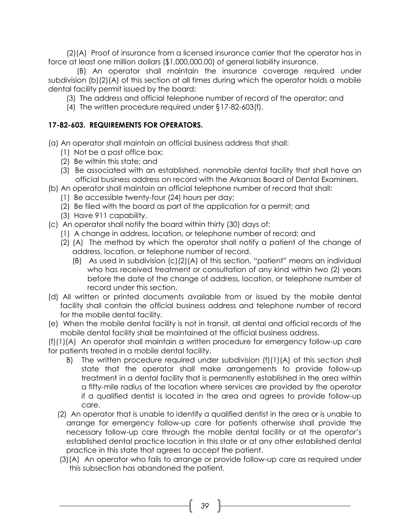(2)(A) Proof of insurance from a licensed insurance carrier that the operator has in force at least one million dollars (\$1,000,000.00) of general liability insurance.

 (B) An operator shall maintain the insurance coverage required under subdivision (b)(2)(A) of this section at all times during which the operator holds a mobile dental facility permit issued by the board;

- (3) The address and official telephone number of record of the operator; and
- (4) The written procedure required under §17-82-603(f).

### **17-82-603. REQUIREMENTS FOR OPERATORS.**

- (a) An operator shall maintain an official business address that shall:
	- (1) Not be a post office box;
	- (2) Be within this state; and
	- (3) Be associated with an established, nonmobile dental facility that shall have an official business address on record with the Arkansas Board of Dental Examiners.
- (b) An operator shall maintain an official telephone number of record that shall:
	- (1) Be accessible twenty-four (24) hours per day;
	- (2) Be filed with the board as part of the application for a permit; and
	- (3) Have 911 capability.
- (c) An operator shall notify the board within thirty (30) days of:
	- (1) A change in address, location, or telephone number of record; and
	- (2) (A) The method by which the operator shall notify a patient of the change of address, location, or telephone number of record.
		- (B) As used in subdivision  $(c)(2)(A)$  of this section, "patient" means an individual who has received treatment or consultation of any kind within two (2) years before the date of the change of address, location, or telephone number of record under this section.
- (d) All written or printed documents available from or issued by the mobile dental facility shall contain the official business address and telephone number of record for the mobile dental facility.
- (e) When the mobile dental facility is not in transit, all dental and official records of the mobile dental facility shall be maintained at the official business address.

(f)(1)(A) An operator shall maintain a written procedure for emergency follow-up care for patients treated in a mobile dental facility.

- B) The written procedure required under subdivision (f)(1)(A) of this section shall state that the operator shall make arrangements to provide follow-up treatment in a dental facility that is permanently established in the area within a fifty-mile radius of the location where services are provided by the operator if a qualified dentist is located in the area and agrees to provide follow-up care.
- (2) An operator that is unable to identify a qualified dentist in the area or is unable to arrange for emergency follow-up care for patients otherwise shall provide the necessary follow-up care through the mobile dental facility or at the operator's established dental practice location in this state or at any other established dental practice in this state that agrees to accept the patient.
- (3)(A) An operator who fails to arrange or provide follow-up care as required under this subsection has abandoned the patient.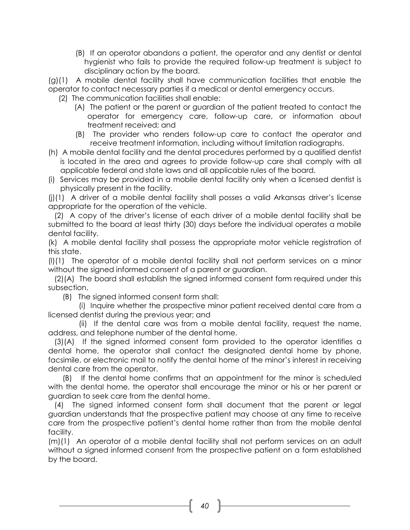(B) If an operator abandons a patient, the operator and any dentist or dental hygienist who fails to provide the required follow-up treatment is subject to disciplinary action by the board.

(g)(1) A mobile dental facility shall have communication facilities that enable the operator to contact necessary parties if a medical or dental emergency occurs.

(2) The communication facilities shall enable:

- (A) The patient or the parent or guardian of the patient treated to contact the operator for emergency care, follow-up care, or information about treatment received; and
- (B) The provider who renders follow-up care to contact the operator and receive treatment information, including without limitation radiographs.
- (h) A mobile dental facility and the dental procedures performed by a qualified dentist is located in the area and agrees to provide follow-up care shall comply with all applicable federal and state laws and all applicable rules of the board.
- (i) Services may be provided in a mobile dental facility only when a licensed dentist is physically present in the facility.

(j)(1) A driver of a mobile dental facility shall posses a valid Arkansas driver's license appropriate for the operation of the vehicle.

 (2) A copy of the driver's license of each driver of a mobile dental facility shall be submitted to the board at least thirty (30) days before the individual operates a mobile dental facility.

(k) A mobile dental facility shall possess the appropriate motor vehicle registration of this state.

(l)(1) The operator of a mobile dental facility shall not perform services on a minor without the signed informed consent of a parent or quardian.

 (2)(A) The board shall establish the signed informed consent form required under this subsection.

(B) The signed informed consent form shall:

 (i) Inquire whether the prospective minor patient received dental care from a licensed dentist during the previous year; and

 (ii) If the dental care was from a mobile dental facility, request the name, address, and telephone number of the dental home.

 (3)(A) If the signed informed consent form provided to the operator identifies a dental home, the operator shall contact the designated dental home by phone, facsimile, or electronic mail to notify the dental home of the minor's interest in receiving dental care from the operator.

 (B) If the dental home confirms that an appointment for the minor is scheduled with the dental home, the operator shall encourage the minor or his or her parent or guardian to seek care from the dental home.

 (4) The signed informed consent form shall document that the parent or legal guardian understands that the prospective patient may choose at any time to receive care from the prospective patient's dental home rather than from the mobile dental facility.

(m)(1) An operator of a mobile dental facility shall not perform services on an adult without a signed informed consent from the prospective patient on a form established by the board.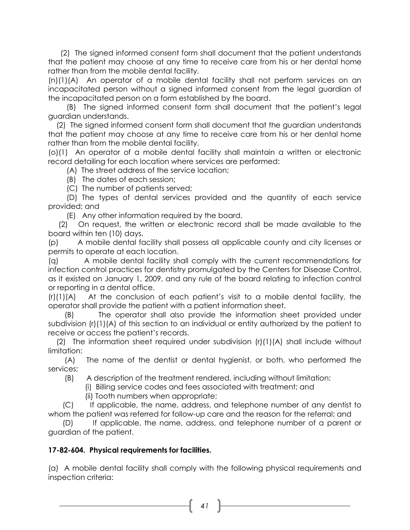(2) The signed informed consent form shall document that the patient understands that the patient may choose at any time to receive care from his or her dental home rather than from the mobile dental facility.

(n)(1)(A) An operator of a mobile dental facility shall not perform services on an incapacitated person without a signed informed consent from the legal guardian of the incapacitated person on a form established by the board.

 (B) The signed informed consent form shall document that the patient's legal guardian understands.

 (2) The signed informed consent form shall document that the guardian understands that the patient may choose at any time to receive care from his or her dental home rather than from the mobile dental facility.

(o)(1) An operator of a mobile dental facility shall maintain a written or electronic record detailing for each location where services are performed:

(A) The street address of the service location;

(B) The dates of each session;

(C) The number of patients served;

 (D) The types of dental services provided and the quantity of each service provided; and

(E) Any other information required by the board.

 (2) On request, the written or electronic record shall be made available to the board within ten (10) days.

(p) A mobile dental facility shall possess all applicable county and city licenses or permits to operate at each location.

(q) A mobile dental facility shall comply with the current recommendations for infection control practices for dentistry promulgated by the Centers for Disease Control, as it existed on January 1, 2009, and any rule of the board relating to infection control or reporting in a dental office.

(r)(1)(A) At the conclusion of each patient's visit to a mobile dental facility, the operator shall provide the patient with a patient information sheet.

 (B) The operator shall also provide the information sheet provided under subdivision (r)(1)(A) of this section to an individual or entity authorized by the patient to receive or access the patient's records.

 (2) The information sheet required under subdivision (r)(1)(A) shall include without limitation:

 (A) The name of the dentist or dental hygienist, or both, who performed the services;

(B) A description of the treatment rendered, including without limitation:

(i) Billing service codes and fees associated with treatment; and

(ii) Tooth numbers when appropriate;

 (C) If applicable, the name, address, and telephone number of any dentist to whom the patient was referred for follow-up care and the reason for the referral; and

 (D) If applicable, the name, address, and telephone number of a parent or guardian of the patient.

#### **17-82-604. Physical requirements for facilities.**

(a) A mobile dental facility shall comply with the following physical requirements and inspection criteria: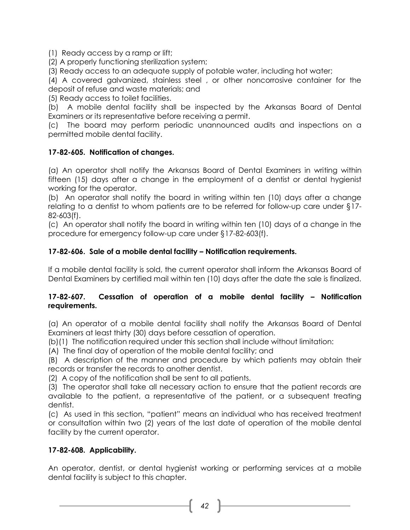(1) Ready access by a ramp or lift;

(2) A properly functioning sterilization system;

(3) Ready access to an adequate supply of potable water, including hot water;

(4) A covered galvanized, stainless steel , or other noncorrosive container for the deposit of refuse and waste materials; and

(5) Ready access to toilet facilities.

(b) A mobile dental facility shall be inspected by the Arkansas Board of Dental Examiners or its representative before receiving a permit.

(c) The board may perform periodic unannounced audits and inspections on a permitted mobile dental facility.

### **17-82-605. Notification of changes.**

(a) An operator shall notify the Arkansas Board of Dental Examiners in writing within fifteen (15) days after a change in the employment of a dentist or dental hygienist working for the operator.

(b) An operator shall notify the board in writing within ten (10) days after a change relating to a dentist to whom patients are to be referred for follow-up care under §17- 82-603(f).

(c) An operator shall notify the board in writing within ten (10) days of a change in the procedure for emergency follow-up care under §17-82-603(f).

#### **17-82-606. Sale of a mobile dental facility – Notification requirements.**

If a mobile dental facility is sold, the current operator shall inform the Arkansas Board of Dental Examiners by certified mail within ten (10) days after the date the sale is finalized.

#### **17-82-607. Cessation of operation of a mobile dental facility – Notification requirements.**

(a) An operator of a mobile dental facility shall notify the Arkansas Board of Dental Examiners at least thirty (30) days before cessation of operation.

(b)(1) The notification required under this section shall include without limitation:

(A) The final day of operation of the mobile dental facility; and

(B) A description of the manner and procedure by which patients may obtain their records or transfer the records to another dentist.

(2) A copy of the notification shall be sent to all patients.

(3) The operator shall take all necessary action to ensure that the patient records are available to the patient, a representative of the patient, or a subsequent treating dentist.

(c) As used in this section, "patient" means an individual who has received treatment or consultation within two (2) years of the last date of operation of the mobile dental facility by the current operator.

#### **17-82-608. Applicability.**

An operator, dentist, or dental hygienist working or performing services at a mobile dental facility is subject to this chapter.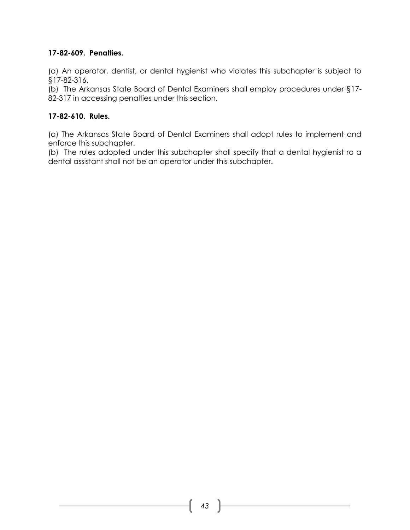### **17-82-609. Penalties.**

(a) An operator, dentist, or dental hygienist who violates this subchapter is subject to §17-82-316.

(b) The Arkansas State Board of Dental Examiners shall employ procedures under §17- 82-317 in accessing penalties under this section.

### **17-82-610. Rules.**

(a) The Arkansas State Board of Dental Examiners shall adopt rules to implement and enforce this subchapter.

(b) The rules adopted under this subchapter shall specify that a dental hygienist ro a dental assistant shall not be an operator under this subchapter.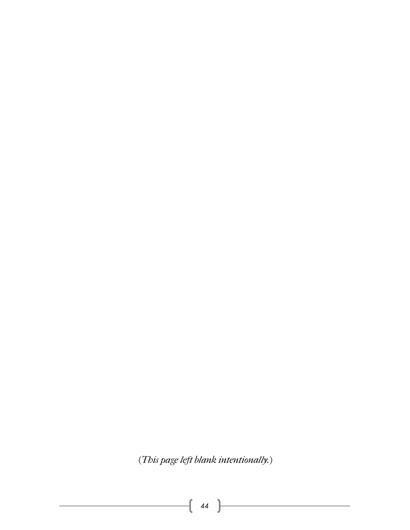*(This page left blank intentionally.)*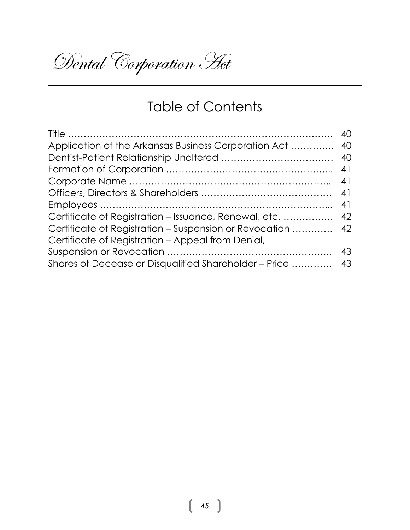Dental Corporation Act

# Table of Contents

| Certificate of Registration - Appeal from Denial,         |  |
|-----------------------------------------------------------|--|
|                                                           |  |
| Shares of Decease or Disqualified Shareholder – Price  43 |  |
|                                                           |  |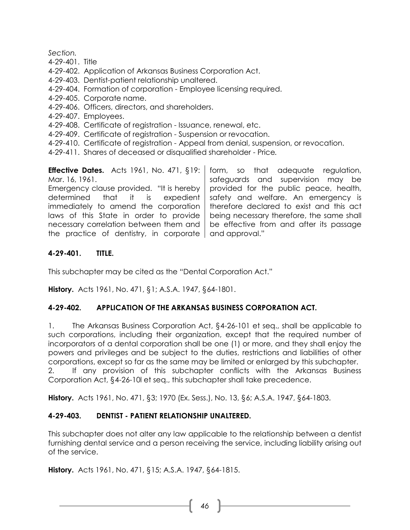#### *Section.*

- 4-29-401. Title
- 4-29-402. Application of Arkansas Business Corporation Act.
- 4-29-403. Dentist-patient relationship unaltered.
- 4-29-404. Formation of corporation Employee licensing required.
- 4-29-405. Corporate name.
- 4-29-406. Officers, directors, and shareholders.
- 4-29-407. Employees.
- 4-29-408. Certificate of registration Issuance, renewal, etc.
- 4-29-409. Certificate of registration Suspension or revocation.
- 4-29-410. Certificate of registration Appeal from denial, suspension, or revocation.
- 4-29-411. Shares of deceased or disqualified shareholder Price*.*

**Effective Dates.** Acts 1961, No. 471, §19: Mar. 16, 1961. Emergency clause provided. "It is hereby determined that it is expedient immediately to amend the corporation laws of this State in order to provide necessary correlation between them and the practice of dentistry, in corporate | and approval." form, so that adequate regulation, safeguards and supervision may be provided for the public peace, health, safety and welfare. An emergency is therefore declared to exist and this act being necessary therefore, the same shall be effective from and after its passage

### **4-29-401. TITLE.**

This subchapter may be cited as the "Dental Corporation Act."

**History.** Acts 1961, No. 471, §1; A.S.A. 1947, §64-1801.

### **4-29-402. APPLICATION OF THE ARKANSAS BUSINESS CORPORATION ACT.**

1. The Arkansas Business Corporation Act, §4-26-101 et seq., shall be applicable to such corporations, including their organization, except that the required number of incorporators of a dental corporation shall be one (1) or more, and they shall enjoy the powers and privileges and be subject to the duties, restrictions and liabilities of other corporations, except so far as the same may be limited or enlarged by this subchapter. 2. If any provision of this subchapter conflicts with the Arkansas Business Corporation Act, §4-26-10l et seq., this subchapter shall take precedence.

**History.** Acts 1961, No. 471, §3; 1970 (Ex. Sess.), No. 13, §6; A.S.A. 1947, §64-1803.

### **4-29-403. DENTIST - PATIENT RELATIONSHIP UNALTERED.**

This subchapter does not alter any law applicable to the relationship between a dentist furnishing dental service and a person receiving the service, including liability arising out of the service.

**History.** Acts 1961, No. 471, §15; A.S.A. 1947, §64-1815.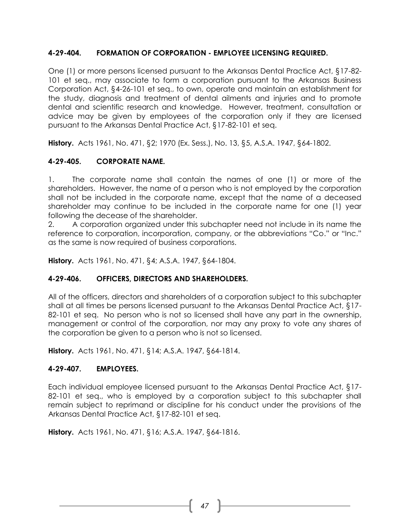### **4-29-404. FORMATION OF CORPORATION - EMPLOYEE LICENSING REQUIRED.**

One (1) or more persons licensed pursuant to the Arkansas Dental Practice Act, §17-82- 101 et seq., may associate to form a corporation pursuant to the Arkansas Business Corporation Act, §4-26-101 et seq., to own, operate and maintain an establishment for the study, diagnosis and treatment of dental ailments and injuries and to promote dental and scientific research and knowledge. However, treatment, consultation or advice may be given by employees of the corporation only if they are licensed pursuant to the Arkansas Dental Practice Act, §17-82-101 et seq.

**History.** Acts 1961, No. 471, §2; 1970 (Ex. Sess.), No. 13, §5, A.S.A. 1947, §64-1802.

## **4-29-405. CORPORATE NAME.**

1. The corporate name shall contain the names of one (1) or more of the shareholders. However, the name of a person who is not employed by the corporation shall not be included in the corporate name, except that the name of a deceased shareholder may continue to be included in the corporate name for one (1) year following the decease of the shareholder.

2. A corporation organized under this subchapter need not include in its name the reference to corporation, incorporation, company, or the abbreviations "Co." or "Inc." as the same is now required of business corporations.

**History.** Acts 1961, No. 471, §4; A.S.A. 1947, §64-1804.

### **4-29-406. OFFICERS, DIRECTORS AND SHAREHOLDERS.**

All of the officers, directors and shareholders of a corporation subject to this subchapter shall at all times be persons licensed pursuant to the Arkansas Dental Practice Act, §17- 82-101 et seq. No person who is not so licensed shall have any part in the ownership, management or control of the corporation, nor may any proxy to vote any shares of the corporation be given to a person who is not so licensed.

**History.** Acts 1961, No. 471, §14; A.S.A. 1947, §64-1814.

### **4-29-407. EMPLOYEES.**

Each individual employee licensed pursuant to the Arkansas Dental Practice Act, §17- 82-101 et seq., who is employed by a corporation subject to this subchapter shall remain subject to reprimand or discipline for his conduct under the provisions of the Arkansas Dental Practice Act, §17-82-101 et seq.

**History.** Acts 1961, No. 471, §16; A.S.A. 1947, §64-1816.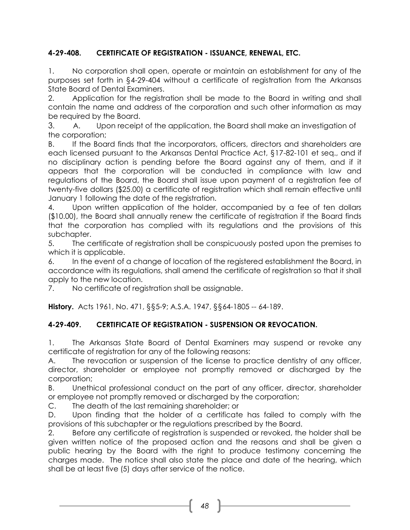### **4-29-408. CERTIFICATE OF REGISTRATION - ISSUANCE, RENEWAL, ETC.**

1. No corporation shall open, operate or maintain an establishment for any of the purposes set forth in §4-29-404 without a certificate of registration from the Arkansas State Board of Dental Examiners.

2. Application for the registration shall be made to the Board in writing and shall contain the name and address of the corporation and such other information as may be required by the Board.

3. A. Upon receipt of the application, the Board shall make an investigation of the corporation;

B. If the Board finds that the incorporators, officers, directors and shareholders are each licensed pursuant to the Arkansas Dental Practice Act, §17-82-101 et seq., and if no disciplinary action is pending before the Board against any of them, and if it appears that the corporation will be conducted in compliance with law and regulations of the Board, the Board shall issue upon payment of a registration fee of twenty-five dollars (\$25.00) a certificate of registration which shall remain effective until January 1 following the date of the registration.

4. Upon written application of the holder, accompanied by a fee of ten dollars (\$10.00), the Board shall annually renew the certificate of registration if the Board finds that the corporation has complied with its regulations and the provisions of this subchapter.

5. The certificate of registration shall be conspicuously posted upon the premises to which it is applicable.

6. In the event of a change of location of the registered establishment the Board, in accordance with its regulations, shall amend the certificate of registration so that it shall apply to the new location.

7. No certificate of registration shall be assignable.

**History.** Acts 1961, No. 471, §§5-9; A.S.A. 1947, §§64-1805 -- 64-189.

# **4-29-409. CERTIFICATE OF REGISTRATION - SUSPENSION OR REVOCATION.**

1. The Arkansas State Board of Dental Examiners may suspend or revoke any certificate of registration for any of the following reasons:

A. The revocation or suspension of the license to practice dentistry of any officer, director, shareholder or employee not promptly removed or discharged by the corporation;

B. Unethical professional conduct on the part of any officer, director, shareholder or employee not promptly removed or discharged by the corporation;

C. The death of the last remaining shareholder; or

D. Upon finding that the holder of a certificate has failed to comply with the provisions of this subchapter or the regulations prescribed by the Board.

2. Before any certificate of registration is suspended or revoked, the holder shall be given written notice of the proposed action and the reasons and shall be given a public hearing by the Board with the right to produce testimony concerning the charges made. The notice shall also state the place and date of the hearing, which shall be at least five (5) days after service of the notice.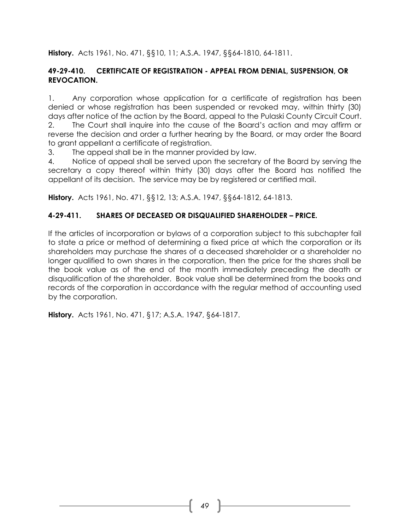**History.** Acts 1961, No. 471, §§10, 11; A.S.A. 1947, §§64-1810, 64-1811.

### **49-29-410. CERTIFICATE OF REGISTRATION - APPEAL FROM DENIAL, SUSPENSION, OR REVOCATION.**

1. Any corporation whose application for a certificate of registration has been denied or whose registration has been suspended or revoked may, within thirty (30) days after notice of the action by the Board, appeal to the Pulaski County Circuit Court. 2. The Court shall inquire into the cause of the Board's action and may affirm or reverse the decision and order a further hearing by the Board, or may order the Board to grant appellant a certificate of registration.

3. The appeal shall be in the manner provided by law.

4. Notice of appeal shall be served upon the secretary of the Board by serving the secretary a copy thereof within thirty (30) days after the Board has notified the appellant of its decision. The service may be by registered or certified mail.

**History.** Acts 1961, No. 471, §§12, 13; A.S.A. 1947, §§64-1812, 64-1813.

### **4-29-411. SHARES OF DECEASED OR DISQUALIFIED SHAREHOLDER – PRICE.**

If the articles of incorporation or bylaws of a corporation subject to this subchapter fail to state a price or method of determining a fixed price at which the corporation or its shareholders may purchase the shares of a deceased shareholder or a shareholder no longer qualified to own shares in the corporation, then the price for the shares shall be the book value as of the end of the month immediately preceding the death or disqualification of the shareholder. Book value shall be determined from the books and records of the corporation in accordance with the regular method of accounting used by the corporation.

**History.** Acts 1961, No. 471, §17; A.S.A. 1947, §64-1817.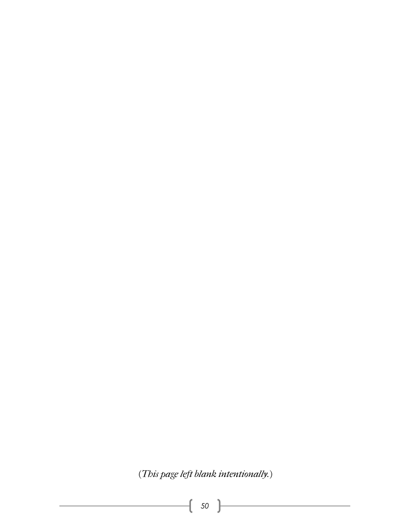*(This page left blank intentionally.)*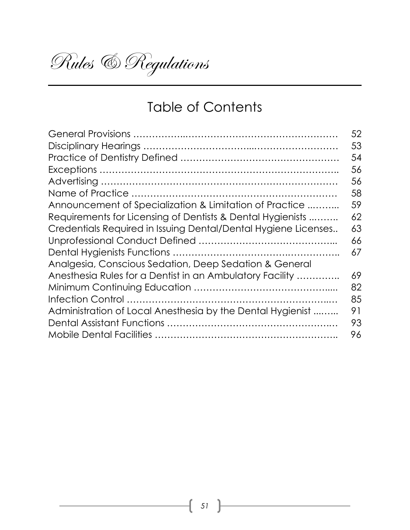

# Table of Contents

|                                                                | 52 |
|----------------------------------------------------------------|----|
|                                                                | 53 |
|                                                                | 54 |
|                                                                | 56 |
|                                                                | 56 |
|                                                                | 58 |
| Announcement of Specialization & Limitation of Practice        | 59 |
| Requirements for Licensing of Dentists & Dental Hygienists     | 62 |
| Credentials Required in Issuing Dental/Dental Hygiene Licenses | 63 |
|                                                                | 66 |
|                                                                | 67 |
| Analgesia, Conscious Sedation, Deep Sedation & General         |    |
| Anesthesia Rules for a Dentist in an Ambulatory Facility       | 69 |
|                                                                | 82 |
|                                                                | 85 |
| Administration of Local Anesthesia by the Dental Hygienist     | 91 |
|                                                                | 93 |
|                                                                | 96 |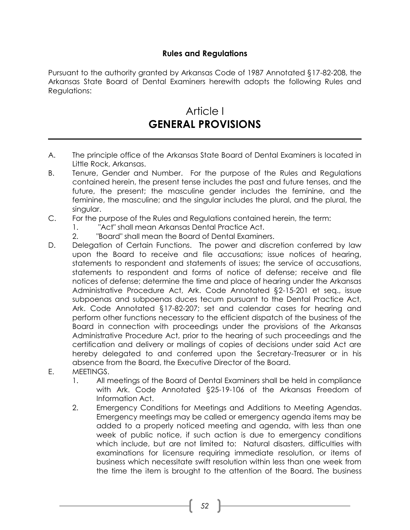### **Rules and Regulations**

Pursuant to the authority granted by Arkansas Code of 1987 Annotated §17-82-208, the Arkansas State Board of Dental Examiners herewith adopts the following Rules and Regulations:

# Article I **GENERAL PROVISIONS**

- A. The principle office of the Arkansas State Board of Dental Examiners is located in Little Rock, Arkansas.
- B. Tenure, Gender and Number. For the purpose of the Rules and Regulations contained herein, the present tense includes the past and future tenses, and the future, the present; the masculine gender includes the feminine, and the feminine, the masculine; and the singular includes the plural, and the plural, the singular.
- C. For the purpose of the Rules and Regulations contained herein, the term:
	- 1. "Act" shall mean Arkansas Dental Practice Act.
	- 2. "Board" shall mean the Board of Dental Examiners.
- D. Delegation of Certain Functions. The power and discretion conferred by law upon the Board to receive and file accusations; issue notices of hearing, statements to respondent and statements of issues; the service of accusations, statements to respondent and forms of notice of defense; receive and file notices of defense; determine the time and place of hearing under the Arkansas Administrative Procedure Act, Ark. Code Annotated §2-15-201 et seq., issue subpoenas and subpoenas duces tecum pursuant to the Dental Practice Act, Ark. Code Annotated §17-82-207; set and calendar cases for hearing and perform other functions necessary to the efficient dispatch of the business of the Board in connection with proceedings under the provisions of the Arkansas Administrative Procedure Act, prior to the hearing of such proceedings and the certification and delivery or mailings of copies of decisions under said Act are hereby delegated to and conferred upon the Secretary-Treasurer or in his absence from the Board, the Executive Director of the Board.
- E. MEETINGS.
	- 1. All meetings of the Board of Dental Examiners shall be held in compliance with Ark. Code Annotated §25-19-106 of the Arkansas Freedom of Information Act.
	- 2. Emergency Conditions for Meetings and Additions to Meeting Agendas. Emergency meetings may be called or emergency agenda items may be added to a properly noticed meeting and agenda, with less than one week of public notice, if such action is due to emergency conditions which include, but are not limited to: Natural disasters, difficulties with examinations for licensure requiring immediate resolution, or items of business which necessitate swift resolution within less than one week from the time the item is brought to the attention of the Board. The business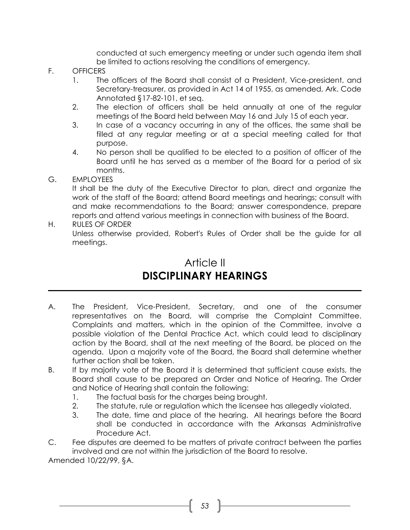conducted at such emergency meeting or under such agenda item shall be limited to actions resolving the conditions of emergency.

- F. OFFICERS
	- 1. The officers of the Board shall consist of a President, Vice-president, and Secretary-treasurer, as provided in Act 14 of 1955, as amended, Ark. Code Annotated §17-82-101, et seq.
	- 2. The election of officers shall be held annually at one of the regular meetings of the Board held between May 16 and July 15 of each year.
	- 3. In case of a vacancy occurring in any of the offices, the same shall be filled at any regular meeting or at a special meeting called for that purpose.
	- 4. No person shall be qualified to be elected to a position of officer of the Board until he has served as a member of the Board for a period of six months.

#### G. EMPLOYEES

It shall be the duty of the Executive Director to plan, direct and organize the work of the staff of the Board; attend Board meetings and hearings; consult with and make recommendations to the Board; answer correspondence, prepare reports and attend various meetings in connection with business of the Board.

## H. RULES OF ORDER

Unless otherwise provided, Robert's Rules of Order shall be the guide for all meetings.

# Article II **DISCIPLINARY HEARINGS**

- A. The President, Vice-President, Secretary, and one of the consumer representatives on the Board, will comprise the Complaint Committee. Complaints and matters, which in the opinion of the Committee, involve a possible violation of the Dental Practice Act, which could lead to disciplinary action by the Board, shall at the next meeting of the Board, be placed on the agenda. Upon a majority vote of the Board, the Board shall determine whether further action shall be taken.
- B. If by majority vote of the Board it is determined that sufficient cause exists, the Board shall cause to be prepared an Order and Notice of Hearing. The Order and Notice of Hearing shall contain the following:
	- 1. The factual basis for the charges being brought.
	- 2. The statute, rule or regulation which the licensee has allegedly violated.
	- 3. The date, time and place of the hearing. All hearings before the Board shall be conducted in accordance with the Arkansas Administrative Procedure Act.
- C. Fee disputes are deemed to be matters of private contract between the parties involved and are not within the jurisdiction of the Board to resolve.

Amended 10/22/99, §A.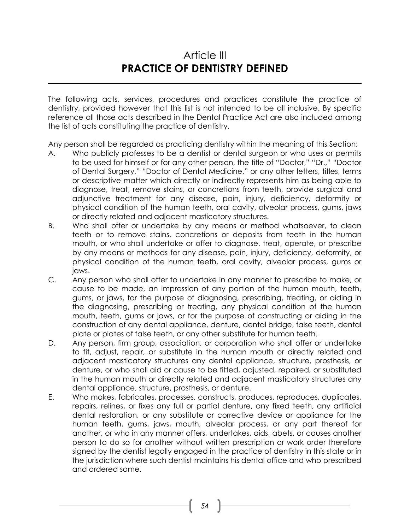# Article III **PRACTICE OF DENTISTRY DEFINED**

The following acts, services, procedures and practices constitute the practice of dentistry, provided however that this list is not intended to be all inclusive. By specific reference all those acts described in the Dental Practice Act are also included among the list of acts constituting the practice of dentistry.

Any person shall be regarded as practicing dentistry within the meaning of this Section:

- A. Who publicly professes to be a dentist or dental surgeon or who uses or permits to be used for himself or for any other person, the title of "Doctor," "Dr.," "Doctor of Dental Surgery," "Doctor of Dental Medicine," or any other letters, titles, terms or descriptive matter which directly or indirectly represents him as being able to diagnose, treat, remove stains, or concretions from teeth, provide surgical and adjunctive treatment for any disease, pain, injury, deficiency, deformity or physical condition of the human teeth, oral cavity, alveolar process, gums, jaws or directly related and adjacent masticatory structures.
- B. Who shall offer or undertake by any means or method whatsoever, to clean teeth or to remove stains, concretions or deposits from teeth in the human mouth, or who shall undertake or offer to diagnose, treat, operate, or prescribe by any means or methods for any disease, pain, injury, deficiency, deformity, or physical condition of the human teeth, oral cavity, alveolar process, gums or jaws.
- C. Any person who shall offer to undertake in any manner to prescribe to make, or cause to be made, an impression of any portion of the human mouth, teeth, gums, or jaws, for the purpose of diagnosing, prescribing, treating, or aiding in the diagnosing, prescribing or treating, any physical condition of the human mouth, teeth, gums or jaws, or for the purpose of constructing or aiding in the construction of any dental appliance, denture, dental bridge, false teeth, dental plate or plates of false teeth, or any other substitute for human teeth.
- D. Any person, firm group, association, or corporation who shall offer or undertake to fit, adjust, repair, or substitute in the human mouth or directly related and adjacent masticatory structures any dental appliance, structure, prosthesis, or denture, or who shall aid or cause to be fitted, adjusted, repaired, or substituted in the human mouth or directly related and adjacent masticatory structures any dental appliance, structure, prosthesis, or denture.
- E. Who makes, fabricates, processes, constructs, produces, reproduces, duplicates, repairs, relines, or fixes any full or partial denture, any fixed teeth, any artificial dental restoration, or any substitute or corrective device or appliance for the human teeth, gums, jaws, mouth, alveolar process, or any part thereof for another, or who in any manner offers, undertakes, aids, abets, or causes another person to do so for another without written prescription or work order therefore signed by the dentist legally engaged in the practice of dentistry in this state or in the jurisdiction where such dentist maintains his dental office and who prescribed and ordered same.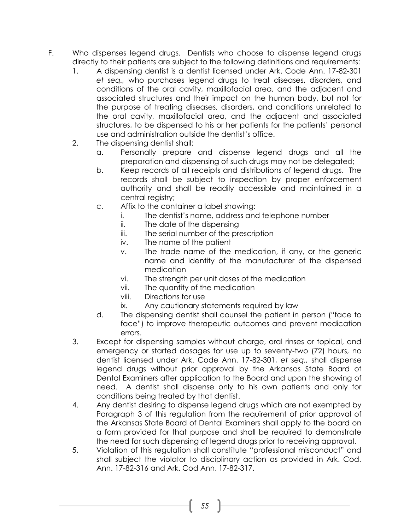- F. Who dispenses legend drugs. Dentists who choose to dispense legend drugs directly to their patients are subject to the following definitions and requirements:
	- 1. A dispensing dentist is a dentist licensed under Ark. Code Ann. 17-82-301 *et seq.,* who purchases legend drugs to treat diseases, disorders, and conditions of the oral cavity, maxillofacial area, and the adjacent and associated structures and their impact on the human body, but not for the purpose of treating diseases, disorders, and conditions unrelated to the oral cavity, maxillofacial area, and the adjacent and associated structures, to be dispensed to his or her patients for the patients' personal use and administration outside the dentist's office.
	- 2. The dispensing dentist shall:
		- a. Personally prepare and dispense legend drugs and all the preparation and dispensing of such drugs may not be delegated;
		- b. Keep records of all receipts and distributions of legend drugs. The records shall be subject to inspection by proper enforcement authority and shall be readily accessible and maintained in a central registry;
		- c. Affix to the container a label showing:
			- i. The dentist's name, address and telephone number
			- ii. The date of the dispensing
			- iii. The serial number of the prescription
			- iv. The name of the patient
			- v. The trade name of the medication, if any, or the generic name and identity of the manufacturer of the dispensed medication
			- vi. The strength per unit doses of the medication
			- vii. The quantity of the medication
			- viii. Directions for use
			- ix. Any cautionary statements required by law
		- d. The dispensing dentist shall counsel the patient in person ("face to face") to improve therapeutic outcomes and prevent medication errors.
	- 3. Except for dispensing samples without charge, oral rinses or topical, and emergency or started dosages for use up to seventy-two (72) hours, no dentist licensed under Ark. Code Ann. 17-82-301, *et seq.,* shall dispense legend drugs without prior approval by the Arkansas State Board of Dental Examiners after application to the Board and upon the showing of need. A dentist shall dispense only to his own patients and only for conditions being treated by that dentist.
	- 4. Any dentist desiring to dispense legend drugs which are not exempted by Paragraph 3 of this regulation from the requirement of prior approval of the Arkansas State Board of Dental Examiners shall apply to the board on a form provided for that purpose and shall be required to demonstrate the need for such dispensing of legend drugs prior to receiving approval.
	- 5. Violation of this regulation shall constitute "professional misconduct" and shall subject the violator to disciplinary action as provided in Ark. Cod. Ann. 17-82-316 and Ark. Cod Ann. 17-82-317.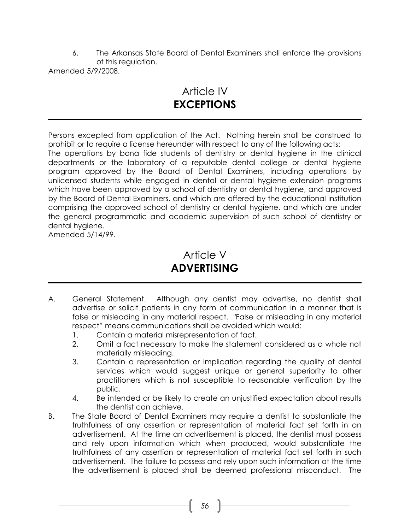6. The Arkansas State Board of Dental Examiners shall enforce the provisions of this regulation.

Amended 5/9/2008.

# Article IV **EXCEPTIONS**

Persons excepted from application of the Act. Nothing herein shall be construed to prohibit or to require a license hereunder with respect to any of the following acts: The operations by bona fide students of dentistry or dental hygiene in the clinical departments or the laboratory of a reputable dental college or dental hygiene

program approved by the Board of Dental Examiners, including operations by unlicensed students while engaged in dental or dental hygiene extension programs which have been approved by a school of dentistry or dental hygiene, and approved by the Board of Dental Examiners, and which are offered by the educational institution comprising the approved school of dentistry or dental hygiene, and which are under the general programmatic and academic supervision of such school of dentistry or dental hygiene.

Amended 5/14/99.

# Article V **ADVERTISING**

- A. General Statement. Although any dentist may advertise, no dentist shall advertise or solicit patients in any form of communication in a manner that is false or misleading in any material respect. "False or misleading in any material respect" means communications shall be avoided which would:
	- 1. Contain a material misrepresentation of fact.
	- 2. Omit a fact necessary to make the statement considered as a whole not materially misleading.
	- 3. Contain a representation or implication regarding the quality of dental services which would suggest unique or general superiority to other practitioners which is not susceptible to reasonable verification by the public.
	- 4. Be intended or be likely to create an unjustified expectation about results the dentist can achieve.
- B. The State Board of Dental Examiners may require a dentist to substantiate the truthfulness of any assertion or representation of material fact set forth in an advertisement. At the time an advertisement is placed, the dentist must possess and rely upon information which when produced, would substantiate the truthfulness of any assertion or representation of material fact set forth in such advertisement. The failure to possess and rely upon such information at the time the advertisement is placed shall be deemed professional misconduct. The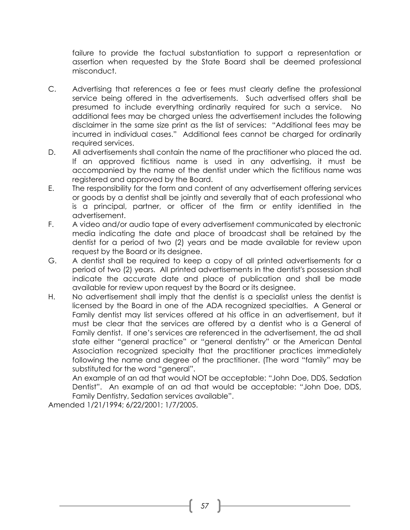failure to provide the factual substantiation to support a representation or assertion when requested by the State Board shall be deemed professional misconduct.

- C. Advertising that references a fee or fees must clearly define the professional service being offered in the advertisements. Such advertised offers shall be presumed to include everything ordinarily required for such a service. No additional fees may be charged unless the advertisement includes the following disclaimer in the same size print as the list of services: "Additional fees may be incurred in individual cases.‖ Additional fees cannot be charged for ordinarily required services.
- D. All advertisements shall contain the name of the practitioner who placed the ad. If an approved fictitious name is used in any advertising, it must be accompanied by the name of the dentist under which the fictitious name was registered and approved by the Board.
- E. The responsibility for the form and content of any advertisement offering services or goods by a dentist shall be jointly and severally that of each professional who is a principal, partner, or officer of the firm or entity identified in the advertisement.
- F. A video and/or audio tape of every advertisement communicated by electronic media indicating the date and place of broadcast shall be retained by the dentist for a period of two (2) years and be made available for review upon request by the Board or its designee.
- G. A dentist shall be required to keep a copy of all printed advertisements for a period of two (2) years. All printed advertisements in the dentist's possession shall indicate the accurate date and place of publication and shall be made available for review upon request by the Board or its designee.
- H. No advertisement shall imply that the dentist is a specialist unless the dentist is licensed by the Board in one of the ADA recognized specialties. A General or Family dentist may list services offered at his office in an advertisement, but it must be clear that the services are offered by a dentist who is a General of Family dentist. If one's services are referenced in the advertisement, the ad shall state either "general practice" or "general dentistry" or the American Dental Association recognized specialty that the practitioner practices immediately following the name and degree of the practitioner. (The word "family" may be substituted for the word "general".

An example of an ad that would NOT be acceptable: "John Doe, DDS, Sedation Dentist". An example of an ad that would be acceptable: "John Doe, DDS, Family Dentistry, Sedation services available".

Amended 1/21/1994; 6/22/2001; 1/7/2005.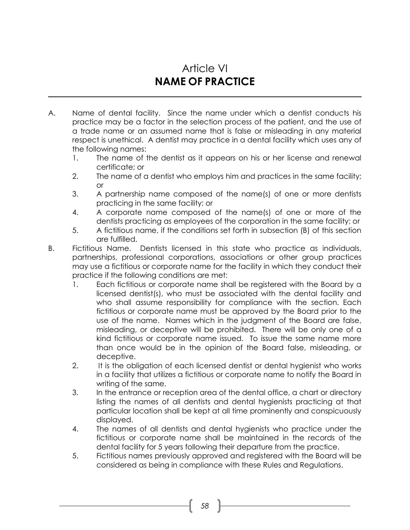# Article VI **NAME OF PRACTICE**

- A. Name of dental facility. Since the name under which a dentist conducts his practice may be a factor in the selection process of the patient, and the use of a trade name or an assumed name that is false or misleading in any material respect is unethical. A dentist may practice in a dental facility which uses any of the following names:
	- 1. The name of the dentist as it appears on his or her license and renewal certificate; or
	- 2. The name of a dentist who employs him and practices in the same facility; or
	- 3. A partnership name composed of the name(s) of one or more dentists practicing in the same facility; or
	- 4. A corporate name composed of the name(s) of one or more of the dentists practicing as employees of the corporation in the same facility; or
	- 5. A fictitious name, if the conditions set forth in subsection (B) of this section are fulfilled.
- B. Fictitious Name. Dentists licensed in this state who practice as individuals, partnerships, professional corporations, associations or other group practices may use a fictitious or corporate name for the facility in which they conduct their practice if the following conditions are met:
	- 1. Each fictitious or corporate name shall be registered with the Board by a licensed dentist(s), who must be associated with the dental facility and who shall assume responsibility for compliance with the section. Each fictitious or corporate name must be approved by the Board prior to the use of the name. Names which in the judgment of the Board are false, misleading, or deceptive will be prohibited. There will be only one of a kind fictitious or corporate name issued. To issue the same name more than once would be in the opinion of the Board false, misleading, or deceptive.
	- 2. It is the obligation of each licensed dentist or dental hygienist who works in a facility that utilizes a fictitious or corporate name to notify the Board in writing of the same.
	- 3. In the entrance or reception area of the dental office, a chart or directory listing the names of all dentists and dental hygienists practicing at that particular location shall be kept at all time prominently and conspicuously displayed.
	- 4. The names of all dentists and dental hygienists who practice under the fictitious or corporate name shall be maintained in the records of the dental facility for 5 years following their departure from the practice.
	- 5. Fictitious names previously approved and registered with the Board will be considered as being in compliance with these Rules and Regulations.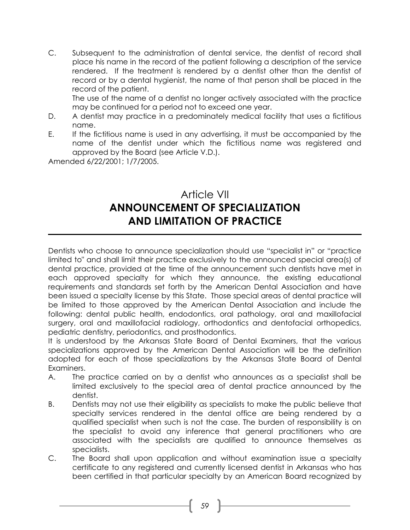C. Subsequent to the administration of dental service, the dentist of record shall place his name in the record of the patient following a description of the service rendered. If the treatment is rendered by a dentist other than the dentist of record or by a dental hygienist, the name of that person shall be placed in the record of the patient.

The use of the name of a dentist no longer actively associated with the practice may be continued for a period not to exceed one year.

- D. A dentist may practice in a predominately medical facility that uses a fictitious name.
- E. If the fictitious name is used in any advertising, it must be accompanied by the name of the dentist under which the fictitious name was registered and approved by the Board (see Article V.D.).

Amended 6/22/2001; 1/7/2005.

# Article VII **ANNOUNCEMENT OF SPECIALIZATION AND LIMITATION OF PRACTICE**

Dentists who choose to announce specialization should use "specialist in" or "practice" limited to" and shall limit their practice exclusively to the announced special area(s) of dental practice, provided at the time of the announcement such dentists have met in each approved specialty for which they announce, the existing educational requirements and standards set forth by the American Dental Association and have been issued a specialty license by this State. Those special areas of dental practice will be limited to those approved by the American Dental Association and include the following: dental public health, endodontics, oral pathology, oral and maxillofacial surgery, oral and maxillofacial radiology, orthodontics and dentofacial orthopedics, pediatric dentistry, periodontics, and prosthodontics.

It is understood by the Arkansas State Board of Dental Examiners, that the various specializations approved by the American Dental Association will be the definition adopted for each of those specializations by the Arkansas State Board of Dental Examiners.

- A. The practice carried on by a dentist who announces as a specialist shall be limited exclusively to the special area of dental practice announced by the dentist.
- B. Dentists may not use their eligibility as specialists to make the public believe that specialty services rendered in the dental office are being rendered by a qualified specialist when such is not the case. The burden of responsibility is on the specialist to avoid any inference that general practitioners who are associated with the specialists are qualified to announce themselves as specialists.
- C. The Board shall upon application and without examination issue a specialty certificate to any registered and currently licensed dentist in Arkansas who has been certified in that particular specialty by an American Board recognized by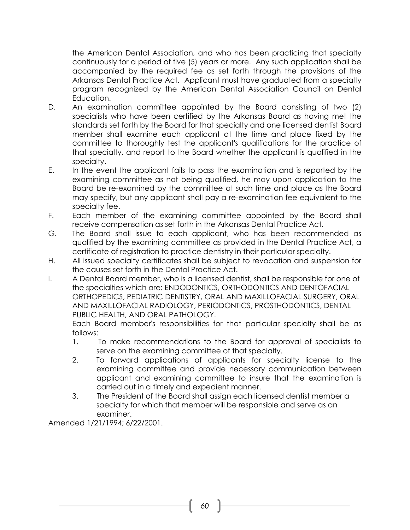the American Dental Association, and who has been practicing that specialty continuously for a period of five (5) years or more. Any such application shall be accompanied by the required fee as set forth through the provisions of the Arkansas Dental Practice Act. Applicant must have graduated from a specialty program recognized by the American Dental Association Council on Dental Education.

- D. An examination committee appointed by the Board consisting of two (2) specialists who have been certified by the Arkansas Board as having met the standards set forth by the Board for that specialty and one licensed dentist Board member shall examine each applicant at the time and place fixed by the committee to thoroughly test the applicant's qualifications for the practice of that specialty, and report to the Board whether the applicant is qualified in the specialty.
- E. In the event the applicant fails to pass the examination and is reported by the examining committee as not being qualified, he may upon application to the Board be re-examined by the committee at such time and place as the Board may specify, but any applicant shall pay a re-examination fee equivalent to the specialty fee.
- F. Each member of the examining committee appointed by the Board shall receive compensation as set forth in the Arkansas Dental Practice Act.
- G. The Board shall issue to each applicant, who has been recommended as qualified by the examining committee as provided in the Dental Practice Act, a certificate of registration to practice dentistry in their particular specialty.
- H. All issued specialty certificates shall be subject to revocation and suspension for the causes set forth in the Dental Practice Act.
- I. A Dental Board member, who is a licensed dentist, shall be responsible for one of the specialties which are: ENDODONTICS, ORTHODONTICS AND DENTOFACIAL ORTHOPEDICS, PEDIATRIC DENTISTRY, ORAL AND MAXILLOFACIAL SURGERY, ORAL AND MAXILLOFACIAL RADIOLOGY, PERIODONTICS, PROSTHODONTICS, DENTAL PUBLIC HEALTH, AND ORAL PATHOLOGY.

Each Board member's responsibilities for that particular specialty shall be as follows:

- 1. To make recommendations to the Board for approval of specialists to serve on the examining committee of that specialty.
- 2. To forward applications of applicants for specialty license to the examining committee and provide necessary communication between applicant and examining committee to insure that the examination is carried out in a timely and expedient manner.
- 3. The President of the Board shall assign each licensed dentist member a specialty for which that member will be responsible and serve as an examiner.

Amended 1/21/1994; 6/22/2001.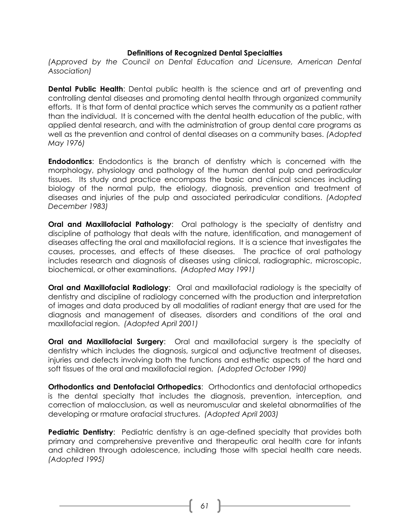#### **Definitions of Recognized Dental Specialties**

*(Approved by the Council on Dental Education and Licensure, American Dental Association)*

**Dental Public Health**: Dental public health is the science and art of preventing and controlling dental diseases and promoting dental health through organized community efforts. It is that form of dental practice which serves the community as a patient rather than the individual. It is concerned with the dental health education of the public, with applied dental research, and with the administration of group dental care programs as well as the prevention and control of dental diseases on a community bases. *(Adopted May 1976)*

**Endodontics**: Endodontics is the branch of dentistry which is concerned with the morphology, physiology and pathology of the human dental pulp and periradicular tissues. Its study and practice encompass the basic and clinical sciences including biology of the normal pulp, the etiology, diagnosis, prevention and treatment of diseases and injuries of the pulp and associated periradicular conditions. *(Adopted December 1983)*

**Oral and Maxillofacial Pathology:** Oral pathology is the specialty of dentistry and discipline of pathology that deals with the nature, identification, and management of diseases affecting the oral and maxillofacial regions. It is a science that investigates the causes, processes, and effects of these diseases. The practice of oral pathology includes research and diagnosis of diseases using clinical, radiographic, microscopic, biochemical, or other examinations. *(Adopted May 1991)*

**Oral and Maxillofacial Radiology**: Oral and maxillofacial radiology is the specialty of dentistry and discipline of radiology concerned with the production and interpretation of images and data produced by all modalities of radiant energy that are used for the diagnosis and management of diseases, disorders and conditions of the oral and maxillofacial region. *(Adopted April 2001)*

**Oral and Maxillofacial Surgery:** Oral and maxillofacial surgery is the specialty of dentistry which includes the diagnosis, surgical and adjunctive treatment of diseases, injuries and defects involving both the functions and esthetic aspects of the hard and soft tissues of the oral and maxillofacial region. *(Adopted October 1990)*

**Orthodontics and Dentofacial Orthopedics**: Orthodontics and dentofacial orthopedics is the dental specialty that includes the diagnosis, prevention, interception, and correction of malocclusion, as well as neuromuscular and skeletal abnormalities of the developing or rmature orafacial structures. *(Adopted April 2003)*

**Pediatric Dentistry:** Pediatric dentistry is an age-defined specialty that provides both primary and comprehensive preventive and therapeutic oral health care for infants and children through adolescence, including those with special health care needs. *(Adopted 1995)*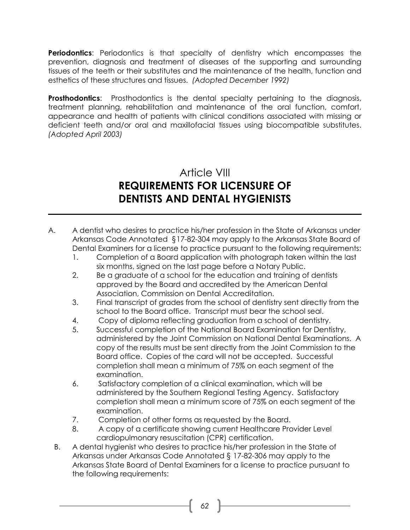**Periodontics:** Periodontics is that specialty of dentistry which encompasses the prevention, diagnosis and treatment of diseases of the supporting and surrounding tissues of the teeth or their substitutes and the maintenance of the health, function and esthetics of these structures and tissues. *(Adopted December 1992)*

**Prosthodontics:** Prosthodontics is the dental specialty pertaining to the diagnosis, treatment planning, rehabilitation and maintenance of the oral function, comfort, appearance and health of patients with clinical conditions associated with missing or deficient teeth and/or oral and maxillofacial tissues using biocompatible substitutes. *(Adopted April 2003)*

# Article VIII **REQUIREMENTS FOR LICENSURE OF DENTISTS AND DENTAL HYGIENISTS**

- A. A dentist who desires to practice his/her profession in the State of Arkansas under Arkansas Code Annotated §17-82-304 may apply to the Arkansas State Board of Dental Examiners for a license to practice pursuant to the following requirements:
	- 1. Completion of a Board application with photograph taken within the last six months, signed on the last page before a Notary Public.
	- 2. Be a graduate of a school for the education and training of dentists approved by the Board and accredited by the American Dental Association, Commission on Dental Accreditation.
	- 3. Final transcript of grades from the school of dentistry sent directly from the school to the Board office. Transcript must bear the school seal.
	- 4. Copy of diploma reflecting graduation from a school of dentistry.
	- 5. Successful completion of the National Board Examination for Dentistry, administered by the Joint Commission on National Dental Examinations. A copy of the results must be sent directly from the Joint Commission to the Board office. Copies of the card will not be accepted. Successful completion shall mean a minimum of 75% on each segment of the examination.
	- 6. Satisfactory completion of a clinical examination, which will be administered by the Southern Regional Testing Agency. Satisfactory completion shall mean a minimum score of 75% on each segment of the examination.
	- 7. Completion of other forms as requested by the Board.
	- 8. A copy of a certificate showing current Healthcare Provider Level cardiopulmonary resuscitation (CPR) certification.
	- B. A dental hygienist who desires to practice his/her profession in the State of Arkansas under Arkansas Code Annotated § 17-82-306 may apply to the Arkansas State Board of Dental Examiners for a license to practice pursuant to the following requirements: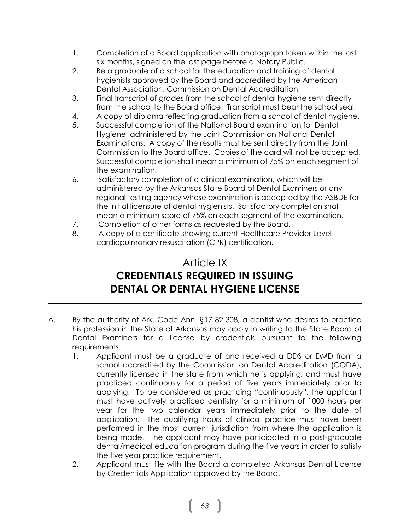- 1. Completion of a Board application with photograph taken within the last six months, signed on the last page before a Notary Public.
- 2. Be a graduate of a school for the education and training of dental hygienists approved by the Board and accredited by the American Dental Association, Commission on Dental Accreditation.
- 3. Final transcript of grades from the school of dental hygiene sent directly from the school to the Board office. Transcript must bear the school seal.
- 4. A copy of diploma reflecting graduation from a school of dental hygiene.
- 5. Successful completion of the National Board examination for Dental Hygiene, administered by the Joint Commission on National Dental Examinations. A copy of the results must be sent directly from the Joint Commission to the Board office. Copies of the card will not be accepted. Successful completion shall mean a minimum of 75% on each segment of the examination.
- 6. Satisfactory completion of a clinical examination, which will be administered by the Arkansas State Board of Dental Examiners or any regional testing agency whose examination is accepted by the ASBDE for the initial licensure of dental hygienists. Satisfactory completion shall mean a minimum score of 75% on each segment of the examination.
- 7. Completion of other forms as requested by the Board.
- 8. A copy of a certificate showing current Healthcare Provider Level cardiopulmonary resuscitation (CPR) certification.

# Article IX **CREDENTIALS REQUIRED IN ISSUING DENTAL OR DENTAL HYGIENE LICENSE**

- A. By the authority of Ark. Code Ann. §17-82-308, a dentist who desires to practice his profession in the State of Arkansas may apply in writing to the State Board of Dental Examiners for a license by credentials pursuant to the following requirements:
	- 1. Applicant must be a graduate of and received a DDS or DMD from a school accredited by the Commission on Dental Accreditation (CODA), currently licensed in the state from which he is applying, and must have practiced continuously for a period of five years immediately prior to applying. To be considered as practicing "continuously", the applicant must have actively practiced dentistry for a minimum of 1000 hours per year for the two calendar years immediately prior to the date of application. The qualifying hours of clinical practice must have been performed in the most current jurisdiction from where the application is being made. The applicant may have participated in a post-graduate dental/medical education program during the five years in order to satisfy the five year practice requirement.
	- 2. Applicant must file with the Board a completed Arkansas Dental License by Credentials Application approved by the Board.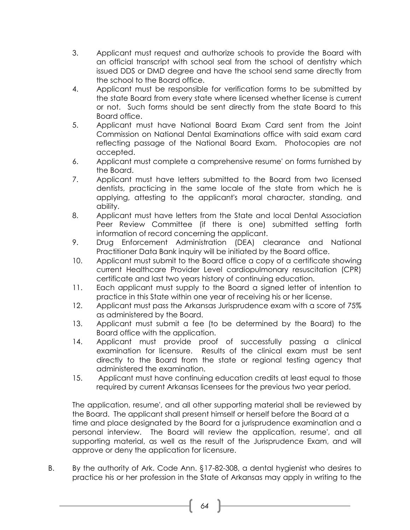- 3. Applicant must request and authorize schools to provide the Board with an official transcript with school seal from the school of dentistry which issued DDS or DMD degree and have the school send same directly from the school to the Board office.
- 4. Applicant must be responsible for verification forms to be submitted by the state Board from every state where licensed whether license is current or not. Such forms should be sent directly from the state Board to this Board office.
- 5. Applicant must have National Board Exam Card sent from the Joint Commission on National Dental Examinations office with said exam card reflecting passage of the National Board Exam. Photocopies are not accepted.
- 6. Applicant must complete a comprehensive resume' on forms furnished by the Board.
- 7. Applicant must have letters submitted to the Board from two licensed dentists, practicing in the same locale of the state from which he is applying, attesting to the applicant's moral character, standing, and ability.
- 8. Applicant must have letters from the State and local Dental Association Peer Review Committee (if there is one) submitted setting forth information of record concerning the applicant.
- 9. Drug Enforcement Administration (DEA) clearance and National Practitioner Data Bank inquiry will be initiated by the Board office.
- 10. Applicant must submit to the Board office a copy of a certificate showing current Healthcare Provider Level cardiopulmonary resuscitation (CPR) certificate and last two years history of continuing education.
- 11. Each applicant must supply to the Board a signed letter of intention to practice in this State within one year of receiving his or her license.
- 12. Applicant must pass the Arkansas Jurisprudence exam with a score of 75% as administered by the Board.
- 13. Applicant must submit a fee (to be determined by the Board) to the Board office with the application.
- 14. Applicant must provide proof of successfully passing a clinical examination for licensure. Results of the clinical exam must be sent directly to the Board from the state or regional testing agency that administered the examination.
- 15. Applicant must have continuing education credits at least equal to those required by current Arkansas licensees for the previous two year period.

The application, resume', and all other supporting material shall be reviewed by the Board. The applicant shall present himself or herself before the Board at a time and place designated by the Board for a jurisprudence examination and a personal interview. The Board will review the application, resume', and all supporting material, as well as the result of the Jurisprudence Exam, and will approve or deny the application for licensure.

B. By the authority of Ark. Code Ann. §17-82-308, a dental hygienist who desires to practice his or her profession in the State of Arkansas may apply in writing to the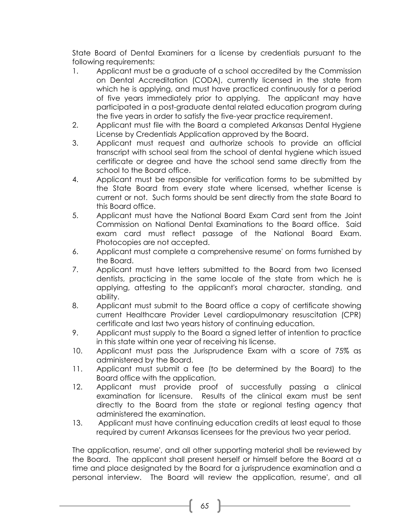State Board of Dental Examiners for a license by credentials pursuant to the following requirements:

- 1. Applicant must be a graduate of a school accredited by the Commission on Dental Accreditation (CODA), currently licensed in the state from which he is applying, and must have practiced continuously for a period of five years immediately prior to applying. The applicant may have participated in a post-graduate dental related education program during the five years in order to satisfy the five-year practice requirement.
- 2. Applicant must file with the Board a completed Arkansas Dental Hygiene License by Credentials Application approved by the Board.
- 3. Applicant must request and authorize schools to provide an official transcript with school seal from the school of dental hygiene which issued certificate or degree and have the school send same directly from the school to the Board office.
- 4. Applicant must be responsible for verification forms to be submitted by the State Board from every state where licensed, whether license is current or not. Such forms should be sent directly from the state Board to this Board office.
- 5. Applicant must have the National Board Exam Card sent from the Joint Commission on National Dental Examinations to the Board office. Said exam card must reflect passage of the National Board Exam. Photocopies are not accepted.
- 6. Applicant must complete a comprehensive resume' on forms furnished by the Board.
- 7. Applicant must have letters submitted to the Board from two licensed dentists, practicing in the same locale of the state from which he is applying, attesting to the applicant's moral character, standing, and ability.
- 8. Applicant must submit to the Board office a copy of certificate showing current Healthcare Provider Level cardiopulmonary resuscitation (CPR) certificate and last two years history of continuing education.
- 9. Applicant must supply to the Board a signed letter of intention to practice in this state within one year of receiving his license.
- 10. Applicant must pass the Jurisprudence Exam with a score of 75% as administered by the Board.
- 11. Applicant must submit a fee (to be determined by the Board) to the Board office with the application.
- 12. Applicant must provide proof of successfully passing a clinical examination for licensure. Results of the clinical exam must be sent directly to the Board from the state or regional testing agency that administered the examination.
- 13. Applicant must have continuing education credits at least equal to those required by current Arkansas licensees for the previous two year period.

The application, resume', and all other supporting material shall be reviewed by the Board. The applicant shall present herself or himself before the Board at a time and place designated by the Board for a jurisprudence examination and a personal interview. The Board will review the application, resume', and all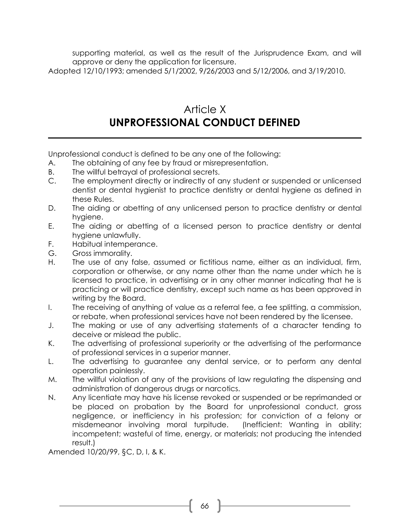supporting material, as well as the result of the Jurisprudence Exam, and will approve or deny the application for licensure.

Adopted 12/10/1993; amended 5/1/2002, 9/26/2003 and 5/12/2006, and 3/19/2010.

# Article X **UNPROFESSIONAL CONDUCT DEFINED**

Unprofessional conduct is defined to be any one of the following:

- A. The obtaining of any fee by fraud or misrepresentation.
- B. The willful betrayal of professional secrets.
- C. The employment directly or indirectly of any student or suspended or unlicensed dentist or dental hygienist to practice dentistry or dental hygiene as defined in these Rules.
- D. The aiding or abetting of any unlicensed person to practice dentistry or dental hygiene.
- E. The aiding or abetting of a licensed person to practice dentistry or dental hygiene unlawfully.
- F. Habitual intemperance.
- G. Gross immorality.
- H. The use of any false, assumed or fictitious name, either as an individual, firm, corporation or otherwise, or any name other than the name under which he is licensed to practice, in advertising or in any other manner indicating that he is practicing or will practice dentistry, except such name as has been approved in writing by the Board.
- I. The receiving of anything of value as a referral fee, a fee splitting, a commission, or rebate, when professional services have not been rendered by the licensee.
- J. The making or use of any advertising statements of a character tending to deceive or mislead the public.
- K. The advertising of professional superiority or the advertising of the performance of professional services in a superior manner.
- L. The advertising to guarantee any dental service, or to perform any dental operation painlessly.
- M. The willful violation of any of the provisions of law regulating the dispensing and administration of dangerous drugs or narcotics.
- N. Any licentiate may have his license revoked or suspended or be reprimanded or be placed on probation by the Board for unprofessional conduct, gross negligence, or inefficiency in his profession; for conviction of a felony or misdemeanor involving moral turpitude. (Inefficient: Wanting in ability; incompetent; wasteful of time, energy, or materials; not producing the intended result.)

Amended 10/20/99, §C, D, I, & K.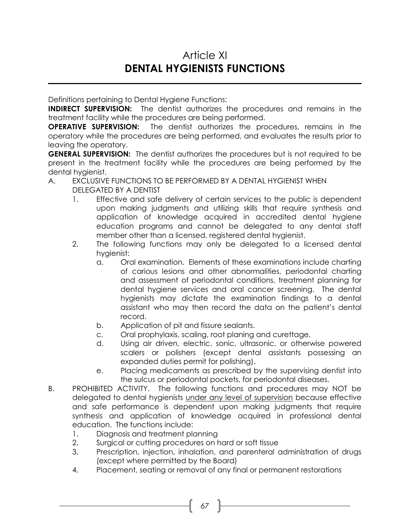# Article XI **DENTAL HYGIENISTS FUNCTIONS**

Definitions pertaining to Dental Hygiene Functions:

**INDIRECT SUPERVISION:** The dentist authorizes the procedures and remains in the treatment facility while the procedures are being performed.

**OPERATIVE SUPERVISION:** The dentist authorizes the procedures, remains in the operatory while the procedures are being performed, and evaluates the results prior to leaving the operatory.

**GENERAL SUPERVISION:** The dentist authorizes the procedures but is not required to be present in the treatment facility while the procedures are being performed by the dental hygienist.

- A. EXCLUSIVE FUNCTIONS TO BE PERFORMED BY A DENTAL HYGIENIST WHEN DELEGATED BY A DENTIST
	- 1. Effective and safe delivery of certain services to the public is dependent upon making judgments and utilizing skills that require synthesis and application of knowledge acquired in accredited dental hygiene education programs and cannot be delegated to any dental staff member other than a licensed, registered dental hygienist.
	- 2. The following functions may only be delegated to a licensed dental hygienist:
		- a. Oral examination. Elements of these examinations include charting of carious lesions and other abnormalities, periodontal charting and assessment of periodontal conditions, treatment planning for dental hygiene services and oral cancer screening. The dental hygienists may dictate the examination findings to a dental assistant who may then record the data on the patient's dental record.
		- b. Application of pit and fissure sealants.
		- c. Oral prophylaxis, scaling, root planing and curettage.
		- d. Using air driven, electric, sonic, ultrasonic, or otherwise powered scalers or polishers (except dental assistants possessing an expanded duties permit for polishing).
		- e. Placing medicaments as prescribed by the supervising dentist into the sulcus or periodontal pockets, for periodontal diseases.
- B. PROHIBITED ACTIVITY. The following functions and procedures may NOT be delegated to dental hygienists under any level of supervision because effective and safe performance is dependent upon making judgments that require synthesis and application of knowledge acquired in professional dental education. The functions include:
	- 1. Diagnosis and treatment planning
	- 2. Surgical or cutting procedures on hard or soft tissue
	- 3. Prescription, injection, inhalation, and parenteral administration of drugs (except where permitted by the Board)
	- 4. Placement, seating or removal of any final or permanent restorations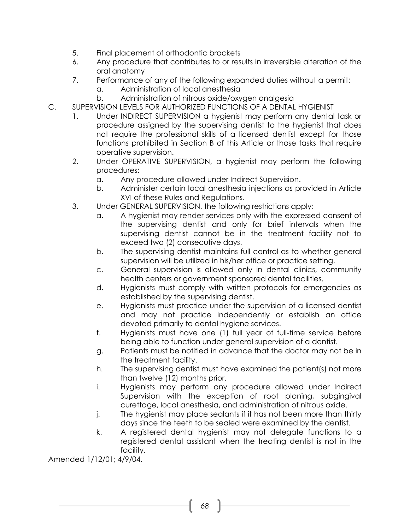- 5. Final placement of orthodontic brackets
- 6. Any procedure that contributes to or results in irreversible alteration of the oral anatomy
- 7. Performance of any of the following expanded duties without a permit:
	- a. Administration of local anesthesia
	- b. Administration of nitrous oxide/oxygen analgesia
- C. SUPERVISION LEVELS FOR AUTHORIZED FUNCTIONS OF A DENTAL HYGIENIST
	- 1. Under INDIRECT SUPERVISION a hygienist may perform any dental task or procedure assigned by the supervising dentist to the hygienist that does not require the professional skills of a licensed dentist except for those functions prohibited in Section B of this Article or those tasks that require operative supervision.
	- 2. Under OPERATIVE SUPERVISION, a hygienist may perform the following procedures:
		- a. Any procedure allowed under Indirect Supervision.
		- b. Administer certain local anesthesia injections as provided in Article XVI of these Rules and Regulations.
	- 3. Under GENERAL SUPERVISION, the following restrictions apply:
		- a. A hygienist may render services only with the expressed consent of the supervising dentist and only for brief intervals when the supervising dentist cannot be in the treatment facility not to exceed two (2) consecutive days.
		- b. The supervising dentist maintains full control as to whether general supervision will be utilized in his/her office or practice setting.
		- c. General supervision is allowed only in dental clinics, community health centers or government sponsored dental facilities.
		- d. Hygienists must comply with written protocols for emergencies as established by the supervising dentist.
		- e. Hygienists must practice under the supervision of a licensed dentist and may not practice independently or establish an office devoted primarily to dental hygiene services.
		- f. Hygienists must have one (1) full year of full-time service before being able to function under general supervision of a dentist.
		- g. Patients must be notified in advance that the doctor may not be in the treatment facility.
		- h. The supervising dentist must have examined the patient(s) not more than twelve (12) months prior.
		- i. Hygienists may perform any procedure allowed under Indirect Supervision with the exception of root planing, subgingival curettage, local anesthesia, and administration of nitrous oxide.
		- j. The hygienist may place sealants if it has not been more than thirty days since the teeth to be sealed were examined by the dentist.
		- k. A registered dental hygienist may not delegate functions to a registered dental assistant when the treating dentist is not in the facility.

Amended 1/12/01; 4/9/04.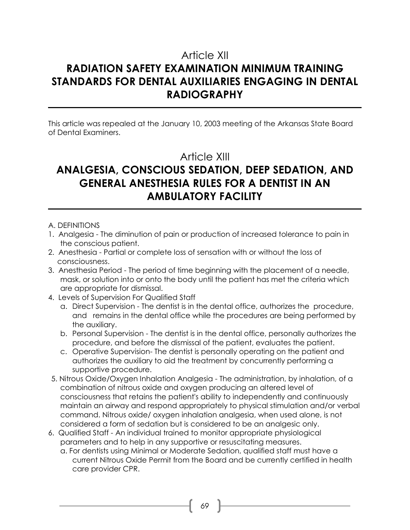# Article XII **RADIATION SAFETY EXAMINATION MINIMUM TRAINING STANDARDS FOR DENTAL AUXILIARIES ENGAGING IN DENTAL RADIOGRAPHY**

This article was repealed at the January 10, 2003 meeting of the Arkansas State Board of Dental Examiners.

Article XIII

# **ANALGESIA, CONSCIOUS SEDATION, DEEP SEDATION, AND GENERAL ANESTHESIA RULES FOR A DENTIST IN AN AMBULATORY FACILITY**

### A. DEFINITIONS

- 1. Analgesia The diminution of pain or production of increased tolerance to pain in the conscious patient.
- 2. Anesthesia Partial or complete loss of sensation with or without the loss of consciousness.
- 3. Anesthesia Period The period of time beginning with the placement of a needle, mask, or solution into or onto the body until the patient has met the criteria which are appropriate for dismissal.
- 4. Levels of Supervision For Qualified Staff
	- a. Direct Supervision The dentist is in the dental office, authorizes the procedure, and remains in the dental office while the procedures are being performed by the auxiliary.
	- b. Personal Supervision The dentist is in the dental office, personally authorizes the procedure, and before the dismissal of the patient, evaluates the patient.
	- c. Operative Supervision- The dentist is personally operating on the patient and authorizes the auxiliary to aid the treatment by concurrently performing a supportive procedure.
- 5. Nitrous Oxide/Oxygen Inhalation Analgesia The administration, by inhalation, of a combination of nitrous oxide and oxygen producing an altered level of consciousness that retains the patient's ability to independently and continuously maintain an airway and respond appropriately to physical stimulation and/or verbal command. Nitrous oxide/ oxygen inhalation analgesia, when used alone, is not considered a form of sedation but is considered to be an analgesic only.
- 6. Qualified Staff An individual trained to monitor appropriate physiological parameters and to help in any supportive or resuscitating measures.
	- a. For dentists using Minimal or Moderate Sedation, qualified staff must have a current Nitrous Oxide Permit from the Board and be currently certified in health care provider CPR.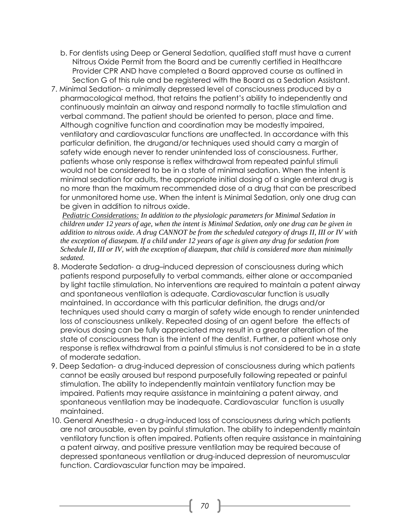- b. For dentists using Deep or General Sedation, qualified staff must have a current Nitrous Oxide Permit from the Board and be currently certified in Healthcare Provider CPR AND have completed a Board approved course as outlined in Section G of this rule and be registered with the Board as a Sedation Assistant.
- 7. Minimal Sedation- a minimally depressed level of consciousness produced by a pharmacological method, that retains the patient's ability to independently and continuously maintain an airway and respond normally to tactile stimulation and verbal command. The patient should be oriented to person, place and time. Although cognitive function and coordination may be modestly impaired, ventilatory and cardiovascular functions are unaffected. In accordance with this particular definition, the drugand/or techniques used should carry a margin of safety wide enough never to render unintended loss of consciousness. Further, patients whose only response is reflex withdrawal from repeated painful stimuli would not be considered to be in a state of minimal sedation. When the intent is minimal sedation for adults, the appropriate initial dosing of a single enteral drug is no more than the maximum recommended dose of a drug that can be prescribed for unmonitored home use. When the intent is Minimal Sedation, only one drug can be given in addition to nitrous oxide.

*Pediatric Considerations: In addition to the physiologic parameters for Minimal Sedation in children under 12 years of age, when the intent is Minimal Sedation, only one drug can be given in addition to nitrous oxide. A drug CANNOT be from the scheduled category of drugs II, III or IV with the exception of diasepam. If a child under 12 years of age is given any drug for sedation from Schedule II, III or IV, with the exception of diazepam, that child is considered more than minimally sedated.* 

- 8. Moderate Sedation- a drug–induced depression of consciousness during which patients respond purposefully to verbal commands, either alone or accompanied by light tactile stimulation. No interventions are required to maintain a patent airway and spontaneous ventilation is adequate. Cardiovascular function is usually maintained. In accordance with this particular definition, the drugs and/or techniques used should carry a margin of safety wide enough to render unintended loss of consciousness unlikely. Repeated dosing of an agent before the effects of previous dosing can be fully appreciated may result in a greater alteration of the state of consciousness than is the intent of the dentist. Further, a patient whose only response is reflex withdrawal from a painful stimulus is not considered to be in a state of moderate sedation.
- 9. Deep Sedation- a drug-induced depression of consciousness during which patients cannot be easily aroused but respond purposefully following repeated or painful stimulation. The ability to independently maintain ventilatory function may be impaired. Patients may require assistance in maintaining a patent airway, and spontaneous ventilation may be inadequate. Cardiovascular function is usually maintained.
- 10. General Anesthesia a drug-induced loss of consciousness during which patients are not arousable, even by painful stimulation. The ability to independently maintain ventilatory function is often impaired. Patients often require assistance in maintaining a patent airway, and positive pressure ventilation may be required because of depressed spontaneous ventilation or drug-induced depression of neuromuscular function. Cardiovascular function may be impaired.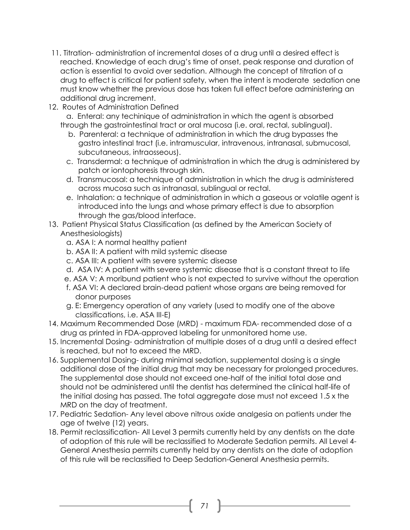- 11. Titration- administration of incremental doses of a drug until a desired effect is reached. Knowledge of each drug's time of onset, peak response and duration of action is essential to avoid over sedation. Although the concept of titration of a drug to effect is critical for patient safety, when the intent is moderate sedation one must know whether the previous dose has taken full effect before administering an additional drug increment.
- 12. Routes of Administration Defined

 a. Enteral: any techinique of administration in which the agent is absorbed through the gastrointestinal tract or oral mucosa (i.e. oral, rectal, sublingual).

- b. Parenteral: a technique of administration in which the drug bypasses the gastro intestinal tract (i.e. intramuscular, intravenous, intranasal, submucosal, subcutaneous, intraosseous).
- c. Transdermal: a technique of administration in which the drug is administered by patch or iontophoresis through skin.
- d. Transmucosal: a technique of administration in which the drug is administered across mucosa such as intranasal, sublingual or rectal.
- e. Inhalation: a technique of administration in which a gaseous or volatile agent is introduced into the lungs and whose primary effect is due to absorption through the gas/blood interface.
- 13. Patient Physical Status Classification (as defined by the American Society of Anesthesiologists)
	- a. ASA I: A normal healthy patient
	- b. ASA II: A patient with mild systemic disease
	- c. ASA III: A patient with severe systemic disease
	- d. ASA IV: A patient with severe systemic disease that is a constant threat to life
	- e. ASA V: A moribund patient who is not expected to survive without the operation
	- f. ASA VI: A declared brain-dead patient whose organs are being removed for donor purposes
	- g. E: Emergency operation of any variety (used to modify one of the above classifications, i.e. ASA III-E)
- 14. Maximum Recommended Dose (MRD) maximum FDA- recommended dose of a drug as printed in FDA-approved labeling for unmonitored home use.
- 15. Incremental Dosing- administration of multiple doses of a drug until a desired effect is reached, but not to exceed the MRD.
- 16. Supplemental Dosing- during minimal sedation, supplemental dosing is a single additional dose of the initial drug that may be necessary for prolonged procedures. The supplemental dose should not exceed one-half of the initial total dose and should not be administered until the dentist has determined the clinical half-life of the initial dosing has passed. The total aggregate dose must not exceed 1.5 x the MRD on the day of treatment.
- 17. Pediatric Sedation- Any level above nitrous oxide analgesia on patients under the age of twelve (12) years.
- 18. Permit reclassification- All Level 3 permits currently held by any dentists on the date of adoption of this rule will be reclassified to Moderate Sedation permits. All Level 4- General Anesthesia permits currently held by any dentists on the date of adoption of this rule will be reclassified to Deep Sedation-General Anesthesia permits.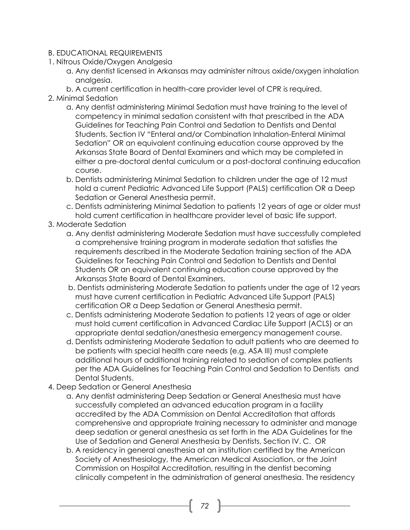#### B. EDUCATIONAL REQUIREMENTS

- 1. Nitrous Oxide/Oxygen Analgesia
	- a. Any dentist licensed in Arkansas may administer nitrous oxide/oxygen inhalation analgesia.
	- b. A current certification in health-care provider level of CPR is required.
- 2. Minimal Sedation
	- a. Any dentist administering Minimal Sedation must have training to the level of competency in minimal sedation consistent with that prescribed in the ADA Guidelines for Teaching Pain Control and Sedation to Dentists and Dental Students, Section IV "Enteral and/or Combination Inhalation-Enteral Minimal Sedation" OR an equivalent continuing education course approved by the Arkansas State Board of Dental Examiners and which may be completed in either a pre-doctoral dental curriculum or a post-doctoral continuing education course.
	- b. Dentists administering Minimal Sedation to children under the age of 12 must hold a current Pediatric Advanced Life Support (PALS) certification OR a Deep Sedation or General Anesthesia permit.
	- c. Dentists administering Minimal Sedation to patients 12 years of age or older must hold current certification in healthcare provider level of basic life support.
- 3. Moderate Sedation
	- a. Any dentist administering Moderate Sedation must have successfully completed a comprehensive training program in moderate sedation that satisfies the requirements described in the Moderate Sedation training section of the ADA Guidelines for Teaching Pain Control and Sedation to Dentists and Dental Students OR an equivalent continuing education course approved by the Arkansas State Board of Dental Examiners.
	- b. Dentists administering Moderate Sedation to patients under the age of 12 years must have current certification in Pediatric Advanced Life Support (PALS) certification OR a Deep Sedation or General Anesthesia permit.
	- c. Dentists administering Moderate Sedation to patients 12 years of age or older must hold current certification in Advanced Cardiac Life Support (ACLS) or an appropriate dental sedation/anesthesia emergency management course.
	- d. Dentists administering Moderate Sedation to adult patients who are deemed to be patients with special health care needs (e.g. ASA III) must complete additional hours of additional training related to sedation of complex patients per the ADA Guidelines for Teaching Pain Control and Sedation to Dentists and Dental Students.
- 4. Deep Sedation or General Anesthesia
	- a. Any dentist administering Deep Sedation or General Anesthesia must have successfully completed an advanced education program in a facility accredited by the ADA Commission on Dental Accreditation that affords comprehensive and appropriate training necessary to administer and manage deep sedation or general anesthesia as set forth in the ADA Guidelines for the Use of Sedation and General Anesthesia by Dentists, Section IV. C. OR
	- b. A residency in general anesthesia at an institution certified by the American Society of Anesthesiology, the American Medical Association, or the Joint Commission on Hospital Accreditation, resulting in the dentist becoming clinically competent in the administration of general anesthesia. The residency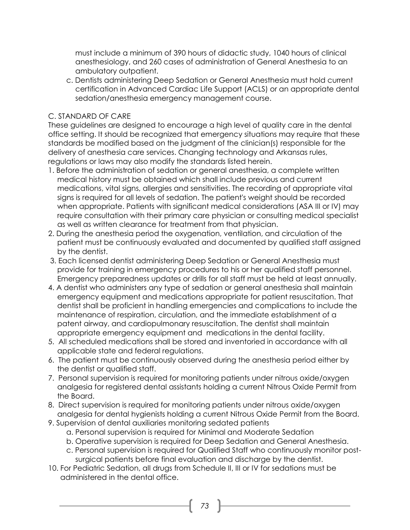must include a minimum of 390 hours of didactic study, 1040 hours of clinical anesthesiology, and 260 cases of administration of General Anesthesia to an ambulatory outpatient.

c. Dentists administering Deep Sedation or General Anesthesia must hold current certification in Advanced Cardiac Life Support (ACLS) or an appropriate dental sedation/anesthesia emergency management course.

## C. STANDARD OF CARE

These guidelines are designed to encourage a high level of quality care in the dental office setting. It should be recognized that emergency situations may require that these standards be modified based on the judgment of the clinician(s) responsible for the delivery of anesthesia care services. Changing technology and Arkansas rules, regulations or laws may also modify the standards listed herein.

- 1. Before the administration of sedation or general anesthesia, a complete written medical history must be obtained which shall include previous and current medications, vital signs, allergies and sensitivities. The recording of appropriate vital signs is required for all levels of sedation. The patient's weight should be recorded when appropriate. Patients with significant medical considerations (ASA III or IV) may require consultation with their primary care physician or consulting medical specialist as well as written clearance for treatment from that physician.
- 2. During the anesthesia period the oxygenation, ventilation, and circulation of the patient must be continuously evaluated and documented by qualified staff assigned by the dentist.
- 3. Each licensed dentist administering Deep Sedation or General Anesthesia must provide for training in emergency procedures to his or her qualified staff personnel. Emergency preparedness updates or drills for all staff must be held at least annually.
- 4. A dentist who administers any type of sedation or general anesthesia shall maintain emergency equipment and medications appropriate for patient resuscitation. That dentist shall be proficient in handling emergencies and complications to include the maintenance of respiration, circulation, and the immediate establishment of a patent airway, and cardiopulmonary resuscitation. The dentist shall maintain appropriate emergency equipment and medications in the dental facility.
- 5. All scheduled medications shall be stored and inventoried in accordance with all applicable state and federal regulations.
- 6. The patient must be continuously observed during the anesthesia period either by the dentist or qualified staff.
- 7. Personal supervision is required for monitoring patients under nitrous oxide/oxygen analgesia for registered dental assistants holding a current Nitrous Oxide Permit from the Board.
- 8. Direct supervision is required for monitoring patients under nitrous oxide/oxygen analgesia for dental hygienists holding a current Nitrous Oxide Permit from the Board.
- 9. Supervision of dental auxiliaries monitoring sedated patients
	- a. Personal supervision is required for Minimal and Moderate Sedation
	- b. Operative supervision is required for Deep Sedation and General Anesthesia.

- c. Personal supervision is required for Qualified Staff who continuously monitor postsurgical patients before final evaluation and discharge by the dentist.
- 10. For Pediatric Sedation, all drugs from Schedule II, III or IV for sedations must be administered in the dental office.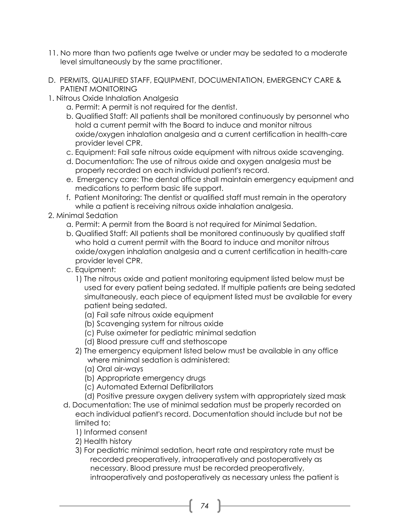- 11. No more than two patients age twelve or under may be sedated to a moderate level simultaneously by the same practitioner.
- D. PERMITS, QUALIFIED STAFF, EQUIPMENT, DOCUMENTATION, EMERGENCY CARE & PATIENT MONITORING
- 1. Nitrous Oxide Inhalation Analgesia
	- a. Permit: A permit is not required for the dentist.
	- b. Qualified Staff: All patients shall be monitored continuously by personnel who hold a current permit with the Board to induce and monitor nitrous oxide/oxygen inhalation analgesia and a current certification in health-care provider level CPR.
	- c. Equipment: Fail safe nitrous oxide equipment with nitrous oxide scavenging.
	- d. Documentation: The use of nitrous oxide and oxygen analgesia must be properly recorded on each individual patient's record.
	- e. Emergency care: The dental office shall maintain emergency equipment and medications to perform basic life support.
	- f. Patient Monitoring: The dentist or qualified staff must remain in the operatory while a patient is receiving nitrous oxide inhalation analgesia.
- 2. Minimal Sedation
	- a. Permit: A permit from the Board is not required for Minimal Sedation.
	- b. Qualified Staff: All patients shall be monitored continuously by qualified staff who hold a current permit with the Board to induce and monitor nitrous oxide/oxygen inhalation analgesia and a current certification in health-care provider level CPR.
	- c. Equipment:
		- 1) The nitrous oxide and patient monitoring equipment listed below must be used for every patient being sedated. If multiple patients are being sedated simultaneously, each piece of equipment listed must be available for every patient being sedated.
			- (a) Fail safe nitrous oxide equipment
			- (b) Scavenging system for nitrous oxide
			- (c) Pulse oximeter for pediatric minimal sedation
			- (d) Blood pressure cuff and stethoscope
		- 2) The emergency equipment listed below must be available in any office where minimal sedation is administered:
			- (a) Oral air-ways
			- (b) Appropriate emergency drugs
			- (c) Automated External Defibrillators
			- (d) Positive pressure oxygen delivery system with appropriately sized mask
	- d. Documentation: The use of minimal sedation must be properly recorded on each individual patient's record. Documentation should include but not be limited to:
		- 1) Informed consent
		- 2) Health history
		- 3) For pediatric minimal sedation, heart rate and respiratory rate must be recorded preoperatively, intraoperatively and postoperatively as necessary. Blood pressure must be recorded preoperatively, intraoperatively and postoperatively as necessary unless the patient is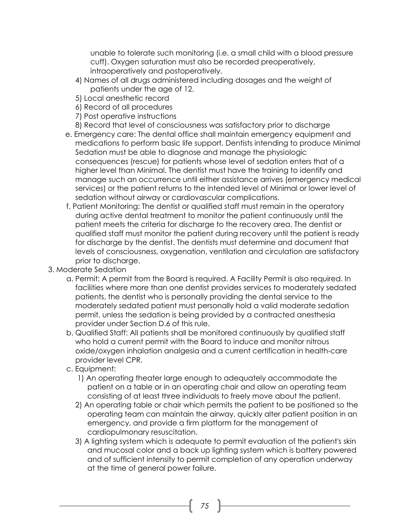unable to tolerate such monitoring (i.e. a small child with a blood pressure cuff). Oxygen saturation must also be recorded preoperatively, intraoperatively and postoperatively.

- 4) Names of all drugs administered including dosages and the weight of patients under the age of 12.
- 5) Local anesthetic record
- 6) Record of all procedures
- 7) Post operative instructions
- 8) Record that level of consciousness was satisfactory prior to discharge
- e. Emergency care: The dental office shall maintain emergency equipment and medications to perform basic life support. Dentists intending to produce Minimal Sedation must be able to diagnose and manage the physiologic consequences (rescue) for patients whose level of sedation enters that of a higher level than Minimal. The dentist must have the training to identify and manage such an occurrence until either assistance arrives (emergency medical services) or the patient returns to the intended level of Minimal or lower level of sedation without airway or cardiovascular complications.
- f. Patient Monitoring: The dentist or qualified staff must remain in the operatory during active dental treatment to monitor the patient continuously until the patient meets the criteria for discharge to the recovery area. The dentist or qualified staff must monitor the patient during recovery until the patient is ready for discharge by the dentist. The dentists must determine and document that levels of consciousness, oxygenation, ventilation and circulation are satisfactory prior to discharge.
- 3. Moderate Sedation
	- a. Permit: A permit from the Board is required. A Facility Permit is also required. In facilities where more than one dentist provides services to moderately sedated patients, the dentist who is personally providing the dental service to the moderately sedated patient must personally hold a valid moderate sedation permit, unless the sedation is being provided by a contracted anesthesia provider under Section D.6 of this rule.
	- b. Qualified Staff: All patients shall be monitored continuously by qualified staff who hold a current permit with the Board to induce and monitor nitrous oxide/oxygen inhalation analgesia and a current certification in health-care provider level CPR.
	- c. Equipment:
		- 1) An operating theater large enough to adequately accommodate the patient on a table or in an operating chair and allow an operating team consisting of at least three individuals to freely move about the patient.
		- 2) An operating table or chair which permits the patient to be positioned so the operating team can maintain the airway, quickly alter patient position in an emergency, and provide a firm platform for the management of cardiopulmonary resuscitation.
		- 3) A lighting system which is adequate to permit evaluation of the patient's skin and mucosal color and a back up lighting system which is battery powered and of sufficient intensity to permit completion of any operation underway at the time of general power failure.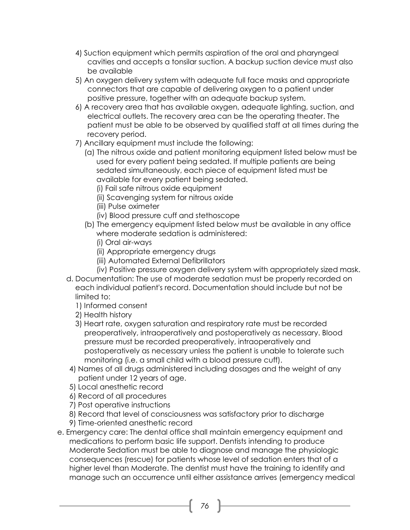- 4) Suction equipment which permits aspiration of the oral and pharyngeal cavities and accepts a tonsilar suction. A backup suction device must also be available
- 5) An oxygen delivery system with adequate full face masks and appropriate connectors that are capable of delivering oxygen to a patient under positive pressure, together with an adequate backup system.
- 6) A recovery area that has available oxygen, adequate lighting, suction, and electrical outlets. The recovery area can be the operating theater. The patient must be able to be observed by qualified staff at all times during the recovery period.
- 7) Ancillary equipment must include the following:
	- (a) The nitrous oxide and patient monitoring equipment listed below must be used for every patient being sedated. If multiple patients are being sedated simultaneously, each piece of equipment listed must be available for every patient being sedated.
		- (i) Fail safe nitrous oxide equipment
		- (ii) Scavenging system for nitrous oxide
		- (iii) Pulse oximeter
		- (iv) Blood pressure cuff and stethoscope
	- (b) The emergency equipment listed below must be available in any office where moderate sedation is administered:
		- (i) Oral air-ways
		- (ii) Appropriate emergency drugs
		- (iii) Automated External Defibrillators
		- (iv) Positive pressure oxygen delivery system with appropriately sized mask.
- d. Documentation: The use of moderate sedation must be properly recorded on each individual patient's record. Documentation should include but not be limited to:
	- 1) Informed consent
	- 2) Health history
	- 3) Heart rate, oxygen saturation and respiratory rate must be recorded preoperatively, intraoperatively and postoperatively as necessary. Blood pressure must be recorded preoperatively, intraoperatively and postoperatively as necessary unless the patient is unable to tolerate such monitoring (i.e. a small child with a blood pressure cuff).
- 4) Names of all drugs administered including dosages and the weight of any patient under 12 years of age.
- 5) Local anesthetic record
- 6) Record of all procedures
- 7) Post operative instructions
- 8) Record that level of consciousness was satisfactory prior to discharge
- 9) Time-oriented anesthetic record
- e. Emergency care: The dental office shall maintain emergency equipment and medications to perform basic life support. Dentists intending to produce Moderate Sedation must be able to diagnose and manage the physiologic consequences (rescue) for patients whose level of sedation enters that of a higher level than Moderate. The dentist must have the training to identify and manage such an occurrence until either assistance arrives (emergency medical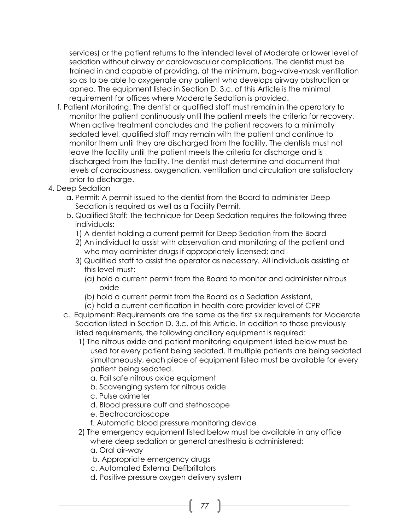services) or the patient returns to the intended level of Moderate or lower level of sedation without airway or cardiovascular complications. The dentist must be trained in and capable of providing, at the minimum, bag-valve-mask ventilation so as to be able to oxygenate any patient who develops airway obstruction or apnea. The equipment listed in Section D. 3.c. of this Article is the minimal requirement for offices where Moderate Sedation is provided.

- f. Patient Monitoring: The dentist or qualified staff must remain in the operatory to monitor the patient continuously until the patient meets the criteria for recovery. When active treatment concludes and the patient recovers to a minimally sedated level, qualified staff may remain with the patient and continue to monitor them until they are discharged from the facility. The dentists must not leave the facility until the patient meets the criteria for discharge and is discharged from the facility. The dentist must determine and document that levels of consciousness, oxygenation, ventilation and circulation are satisfactory prior to discharge.
- 4. Deep Sedation
	- a. Permit: A permit issued to the dentist from the Board to administer Deep Sedation is required as well as a Facility Permit.
	- b. Qualified Staff: The technique for Deep Sedation requires the following three individuals:
		- 1) A dentist holding a current permit for Deep Sedation from the Board
		- 2) An individual to assist with observation and monitoring of the patient and who may administer drugs if appropriately licensed; and
		- 3) Qualified staff to assist the operator as necessary. All individuals assisting at this level must:
			- (a) hold a current permit from the Board to monitor and administer nitrous oxide
			- (b) hold a current permit from the Board as a Sedation Assistant,
			- (c) hold a current certification in health-care provider level of CPR
	- c. Equipment: Requirements are the same as the first six requirements for Moderate Sedation listed in Section D. 3.c. of this Article. In addition to those previously listed requirements, the following ancillary equipment is required:
		- 1) The nitrous oxide and patient monitoring equipment listed below must be used for every patient being sedated. If multiple patients are being sedated simultaneously, each piece of equipment listed must be available for every patient being sedated.
			- a. Fail safe nitrous oxide equipment
			- b. Scavenging system for nitrous oxide
			- c. Pulse oximeter
			- d. Blood pressure cuff and stethoscope
			- e. Electrocardioscope
			- f. Automatic blood pressure monitoring device
		- 2) The emergency equipment listed below must be available in any office where deep sedation or general anesthesia is administered: a. Oral air-way

- b. Appropriate emergency drugs
- c. Automated External Defibrillators
- d. Positive pressure oxygen delivery system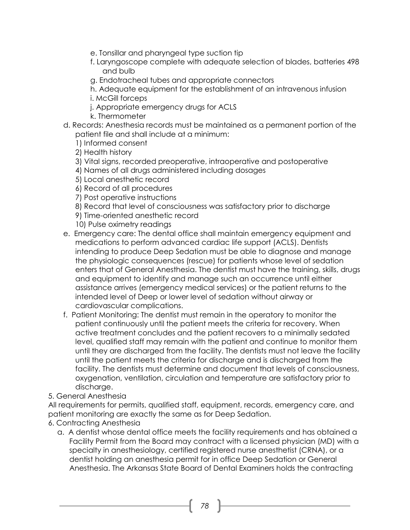- e. Tonsillar and pharyngeal type suction tip
- f. Laryngoscope complete with adequate selection of blades, batteries 498 and bulb
- g. Endotracheal tubes and appropriate connectors
- h. Adequate equipment for the establishment of an intravenous infusion
- i. McGill forceps
- j. Appropriate emergency drugs for ACLS
- k. Thermometer
- d. Records: Anesthesia records must be maintained as a permanent portion of the patient file and shall include at a minimum:
	- 1) Informed consent
	- 2) Health history
	- 3) Vital signs, recorded preoperative, intraoperative and postoperative
	- 4) Names of all drugs administered including dosages
	- 5) Local anesthetic record
	- 6) Record of all procedures
	- 7) Post operative instructions
	- 8) Record that level of consciousness was satisfactory prior to discharge
	- 9) Time-oriented anesthetic record
	- 10) Pulse oximetry readings
- e. Emergency care: The dental office shall maintain emergency equipment and medications to perform advanced cardiac life support (ACLS). Dentists intending to produce Deep Sedation must be able to diagnose and manage the physiologic consequences (rescue) for patients whose level of sedation enters that of General Anesthesia. The dentist must have the training, skills, drugs and equipment to identify and manage such an occurrence until either assistance arrives (emergency medical services) or the patient returns to the intended level of Deep or lower level of sedation without airway or cardiovascular complications.
- f. Patient Monitoring: The dentist must remain in the operatory to monitor the patient continuously until the patient meets the criteria for recovery. When active treatment concludes and the patient recovers to a minimally sedated level, qualified staff may remain with the patient and continue to monitor them until they are discharged from the facility. The dentists must not leave the facility until the patient meets the criteria for discharge and is discharged from the facility. The dentists must determine and document that levels of consciousness, oxygenation, ventilation, circulation and temperature are satisfactory prior to discharge.
- 5. General Anesthesia

All requirements for permits, qualified staff, equipment, records, emergency care, and patient monitoring are exactly the same as for Deep Sedation.

- 6. Contracting Anesthesia
	- a. A dentist whose dental office meets the facility requirements and has obtained a Facility Permit from the Board may contract with a licensed physician (MD) with a specialty in anesthesiology, certified registered nurse anesthetist (CRNA), or a dentist holding an anesthesia permit for in office Deep Sedation or General Anesthesia. The Arkansas State Board of Dental Examiners holds the contracting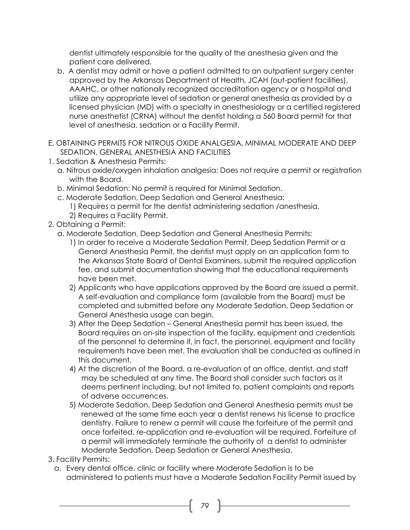dentist ultimately responsible for the quality of the anesthesia given and the patient care delivered.

- b. A dentist may admit or have a patient admitted to an outpatient surgery center approved by the Arkansas Department of Health, JCAH (out-patient facilities), AAAHC, or other nationally recognized accreditation agency or a hospital and utilize any appropriate level of sedation or general anesthesia as provided by a licensed physician (MD) with a specialty in anesthesiology or a certified registered nurse anesthetist (CRNA) without the dentist holding a 560 Board permit for that level of anesthesia, sedation or a Facility Permit.
- E. OBTAINING PERMITS FOR NITROUS OXIDE ANALGESIA, MINIMAL MODERATE AND DEEP SEDATION, GENERAL ANESTHESIA AND FACILITIES
- 1. Sedation & Anesthesia Permits:
	- a. Nitrous oxide/oxygen inhalation analgesia: Does not require a permit or registration with the Board.
	- b. Minimal Sedation: No permit is required for Minimal Sedation.
	- c. Moderate Sedation, Deep Sedation and General Anesthesia:
		- 1) Requires a permit for the dentist administering sedation /anesthesia.
		- 2) Requires a Facility Permit.
- 2. Obtaining a Permit:
	- a. Moderate Sedation, Deep Sedation and General Anesthesia Permits:
		- 1) In order to receive a Moderate Sedation Permit, Deep Sedation Permit or a General Anesthesia Permit, the dentist must apply on an application form to the Arkansas State Board of Dental Examiners, submit the required application fee, and submit documentation showing that the educational requirements have been met.
		- 2) Applicants who have applications approved by the Board are issued a permit. A self-evaluation and compliance form (available from the Board) must be completed and submitted before any Moderate Sedation, Deep Sedation or General Anesthesia usage can begin.
		- 3) After the Deep Sedation General Anesthesia permit has been issued, the Board requires an on-site inspection of the facility, equipment and credentials of the personnel to determine if, in fact, the personnel, equipment and facility requirements have been met. The evaluation shall be conducted as outlined in this document.
		- 4) At the discretion of the Board, a re-evaluation of an office, dentist, and staff may be scheduled at any time. The Board shall consider such factors as it deems pertinent including, but not limited to, patient complaints and reports of adverse occurrences.
		- 5) Moderate Sedation, Deep Sedation and General Anesthesia permits must be renewed at the same time each year a dentist renews his license to practice dentistry. Failure to renew a permit will cause the forfeiture of the permit and once forfeited, re-application and re-evaluation will be required. Forfeiture of a permit will immediately terminate the authority of a dentist to administer Moderate Sedation, Deep Sedation or General Anesthesia.
- 3. Facility Permits:
	- a. Every dental office, clinic or facility where Moderate Sedation is to be administered to patients must have a Moderate Sedation Facility Permit issued by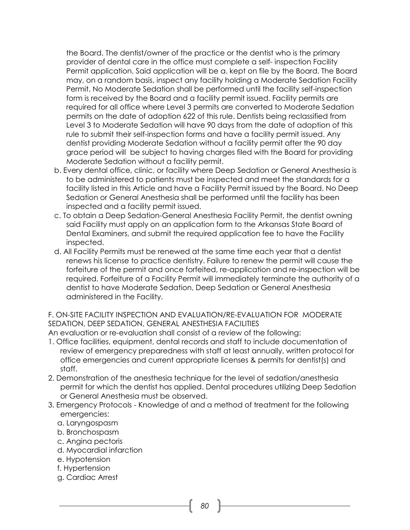the Board. The dentist/owner of the practice or the dentist who is the primary provider of dental care in the office must complete a self- inspection Facility Permit application. Said application will be a. kept on file by the Board. The Board may, on a random basis, inspect any facility holding a Moderate Sedation Facility Permit. No Moderate Sedation shall be performed until the facility self-inspection form is received by the Board and a facility permit issued. Facility permits are required for all office where Level 3 permits are converted to Moderate Sedation permits on the date of adoption 622 of this rule. Dentists being reclassified from Level 3 to Moderate Sedation will have 90 days from the date of adoption of this rule to submit their self-inspection forms and have a facility permit issued. Any dentist providing Moderate Sedation without a facility permit after the 90 day grace period will be subject to having charges filed with the Board for providing Moderate Sedation without a facility permit.

- b. Every dental office, clinic, or facility where Deep Sedation or General Anesthesia is to be administered to patients must be inspected and meet the standards for a facility listed in this Article and have a Facility Permit issued by the Board. No Deep Sedation or General Anesthesia shall be performed until the facility has been inspected and a facility permit issued.
- c. To obtain a Deep Sedation-General Anesthesia Facility Permit, the dentist owning said Facility must apply on an application form to the Arkansas State Board of Dental Examiners, and submit the required application fee to have the Facility inspected.
- d. All Facility Permits must be renewed at the same time each year that a dentist renews his license to practice dentistry. Failure to renew the permit will cause the forfeiture of the permit and once forfeited, re-application and re-inspection will be required. Forfeiture of a Facility Permit will immediately terminate the authority of a dentist to have Moderate Sedation, Deep Sedation or General Anesthesia administered in the Facility.

F. ON-SITE FACILITY INSPECTION AND EVALUATION/RE-EVALUATION FOR MODERATE SEDATION, DEEP SEDATION, GENERAL ANESTHESIA FACILITIES

An evaluation or re-evaluation shall consist of a review of the following:

- 1. Office facilities, equipment, dental records and staff to include documentation of review of emergency preparedness with staff at least annually, written protocol for office emergencies and current appropriate licenses & permits for dentist(s) and staff.
- 2. Demonstration of the anesthesia technique for the level of sedation/anesthesia permit for which the dentist has applied. Dental procedures utilizing Deep Sedation or General Anesthesia must be observed.
- 3. Emergency Protocols Knowledge of and a method of treatment for the following emergencies:
	- a. Laryngospasm
	- b. Bronchospasm
	- c. Angina pectoris
	- d. Myocardial infarction
	- e. Hypotension
	- f. Hypertension
	- g. Cardiac Arrest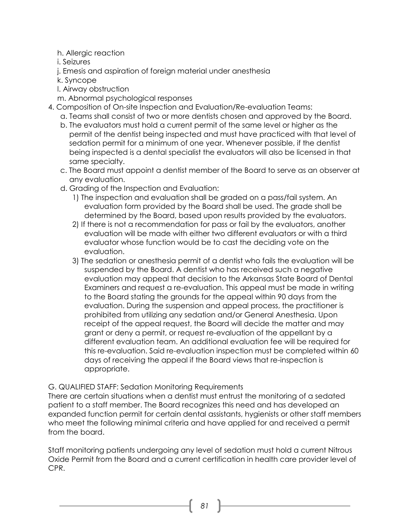h. Allergic reaction

i. Seizures

j. Emesis and aspiration of foreign material under anesthesia

- k. Syncope
- l. Airway obstruction
- m. Abnormal psychological responses
- 4. Composition of On-site Inspection and Evaluation/Re-evaluation Teams:
	- a. Teams shall consist of two or more dentists chosen and approved by the Board.
	- b. The evaluators must hold a current permit of the same level or higher as the permit of the dentist being inspected and must have practiced with that level of sedation permit for a minimum of one year. Whenever possible, if the dentist being inspected is a dental specialist the evaluators will also be licensed in that same specialty.
	- c. The Board must appoint a dentist member of the Board to serve as an observer at any evaluation.
	- d. Grading of the Inspection and Evaluation:
		- 1) The inspection and evaluation shall be graded on a pass/fail system. An evaluation form provided by the Board shall be used. The grade shall be determined by the Board, based upon results provided by the evaluators.
		- 2) If there is not a recommendation for pass or fail by the evaluators, another evaluation will be made with either two different evaluators or with a third evaluator whose function would be to cast the deciding vote on the evaluation.
		- 3) The sedation or anesthesia permit of a dentist who fails the evaluation will be suspended by the Board. A dentist who has received such a negative evaluation may appeal that decision to the Arkansas State Board of Dental Examiners and request a re-evaluation. This appeal must be made in writing to the Board stating the grounds for the appeal within 90 days from the evaluation. During the suspension and appeal process, the practitioner is prohibited from utilizing any sedation and/or General Anesthesia. Upon receipt of the appeal request, the Board will decide the matter and may grant or deny a permit, or request re-evaluation of the appellant by a different evaluation team. An additional evaluation fee will be required for this re-evaluation. Said re-evaluation inspection must be completed within 60 days of receiving the appeal if the Board views that re-inspection is appropriate.

## G. QUALIFIED STAFF: Sedation Monitoring Requirements

There are certain situations when a dentist must entrust the monitoring of a sedated patient to a staff member. The Board recognizes this need and has developed an expanded function permit for certain dental assistants, hygienists or other staff members who meet the following minimal criteria and have applied for and received a permit from the board.

Staff monitoring patients undergoing any level of sedation must hold a current Nitrous Oxide Permit from the Board and a current certification in health care provider level of CPR.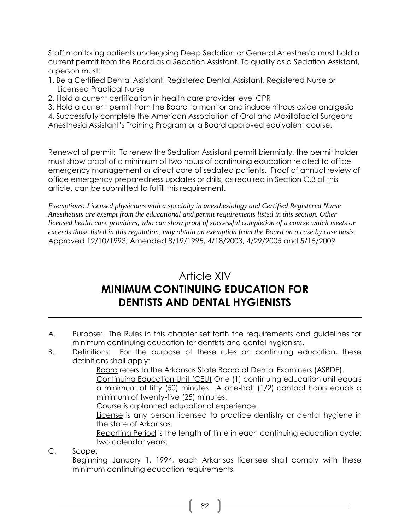Staff monitoring patients undergoing Deep Sedation or General Anesthesia must hold a current permit from the Board as a Sedation Assistant. To qualify as a Sedation Assistant, a person must:

- 1. Be a Certified Dental Assistant, Registered Dental Assistant, Registered Nurse or Licensed Practical Nurse
- 2. Hold a current certification in health care provider level CPR

3. Hold a current permit from the Board to monitor and induce nitrous oxide analgesia

4. Successfully complete the American Association of Oral and Maxillofacial Surgeons Anesthesia Assistant's Training Program or a Board approved equivalent course.

Renewal of permit: To renew the Sedation Assistant permit biennially, the permit holder must show proof of a minimum of two hours of continuing education related to office emergency management or direct care of sedated patients. Proof of annual review of office emergency preparedness updates or drills, as required in Section C.3 of this article, can be submitted to fulfill this requirement.

*Exemptions: Licensed physicians with a specialty in anesthesiology and Certified Registered Nurse Anesthetists are exempt from the educational and permit requirements listed in this section. Other licensed health care providers, who can show proof of successful completion of a course which meets or exceeds those listed in this regulation, may obtain an exemption from the Board on a case by case basis.*  Approved 12/10/1993; Amended 8/19/1995, 4/18/2003, 4/29/2005 and 5/15/2009

## Article XIV **MINIMUM CONTINUING EDUCATION FOR DENTISTS AND DENTAL HYGIENISTS**

- A. Purpose: The Rules in this chapter set forth the requirements and guidelines for minimum continuing education for dentists and dental hygienists.
- B. Definitions: For the purpose of these rules on continuing education, these definitions shall apply:

Board refers to the Arkansas State Board of Dental Examiners (ASBDE).

Continuing Education Unit (CEU) One (1) continuing education unit equals a minimum of fifty (50) minutes. A one-half (1/2) contact hours equals a minimum of twenty-five (25) minutes.

Course is a planned educational experience.

License is any person licensed to practice dentistry or dental hygiene in the state of Arkansas.

Reporting Period is the length of time in each continuing education cycle; two calendar years.

C. Scope:

Beginning January 1, 1994, each Arkansas licensee shall comply with these minimum continuing education requirements.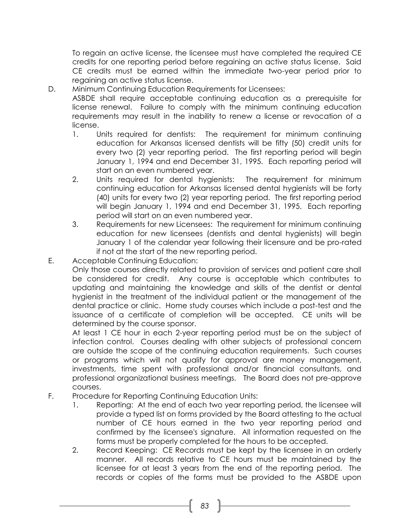To regain an active license, the licensee must have completed the required CE credits for one reporting period before regaining an active status license. Said CE credits must be earned within the immediate two-year period prior to regaining an active status license.

D. Minimum Continuing Education Requirements for Licensees:

ASBDE shall require acceptable continuing education as a prerequisite for license renewal. Failure to comply with the minimum continuing education requirements may result in the inability to renew a license or revocation of a license.

- 1. Units required for dentists: The requirement for minimum continuing education for Arkansas licensed dentists will be fifty (50) credit units for every two (2) year reporting period. The first reporting period will begin January 1, 1994 and end December 31, 1995. Each reporting period will start on an even numbered year.
- 2. Units required for dental hygienists: The requirement for minimum continuing education for Arkansas licensed dental hygienists will be forty (40) units for every two (2) year reporting period. The first reporting period will begin January 1, 1994 and end December 31, 1995. Each reporting period will start on an even numbered year.
- 3. Requirements for new Licensees: The requirement for minimum continuing education for new licensees (dentists and dental hygienists) will begin January 1 of the calendar year following their licensure and be pro-rated if not at the start of the new reporting period.
- E. Acceptable Continuing Education:

Only those courses directly related to provision of services and patient care shall be considered for credit. Any course is acceptable which contributes to updating and maintaining the knowledge and skills of the dentist or dental hygienist in the treatment of the individual patient or the management of the dental practice or clinic. Home study courses which include a post-test and the issuance of a certificate of completion will be accepted. CE units will be determined by the course sponsor.

At least 1 CE hour in each 2-year reporting period must be on the subject of infection control. Courses dealing with other subjects of professional concern are outside the scope of the continuing education requirements. Such courses or programs which will not qualify for approval are money management, investments, time spent with professional and/or financial consultants, and professional organizational business meetings. The Board does not pre-approve courses.

- F. Procedure for Reporting Continuing Education Units:
	- 1. Reporting: At the end of each two year reporting period, the licensee will provide a typed list on forms provided by the Board attesting to the actual number of CE hours earned in the two year reporting period and confirmed by the licensee's signature. All information requested on the forms must be properly completed for the hours to be accepted.
	- 2. Record Keeping: CE Records must be kept by the licensee in an orderly manner. All records relative to CE hours must be maintained by the licensee for at least 3 years from the end of the reporting period. The records or copies of the forms must be provided to the ASBDE upon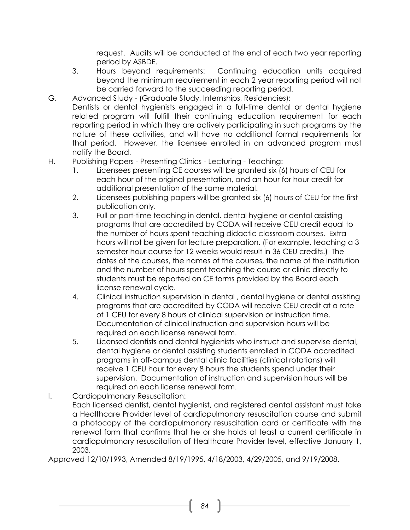request. Audits will be conducted at the end of each two year reporting period by ASBDE.

- 3. Hours beyond requirements: Continuing education units acquired beyond the minimum requirement in each 2 year reporting period will not be carried forward to the succeeding reporting period.
- G. Advanced Study (Graduate Study, Internships, Residencies): Dentists or dental hygienists engaged in a full-time dental or dental hygiene related program will fulfill their continuing education requirement for each reporting period in which they are actively participating in such programs by the nature of these activities, and will have no additional formal requirements for that period. However, the licensee enrolled in an advanced program must notify the Board.
- H. Publishing Papers Presenting Clinics Lecturing Teaching:
	- 1. Licensees presenting CE courses will be granted six (6) hours of CEU for each hour of the original presentation, and an hour for hour credit for additional presentation of the same material.
	- 2. Licensees publishing papers will be granted six (6) hours of CEU for the first publication only.
	- 3. Full or part-time teaching in dental, dental hygiene or dental assisting programs that are accredited by CODA will receive CEU credit equal to the number of hours spent teaching didactic classroom courses. Extra hours will not be given for lecture preparation. (For example, teaching a 3 semester hour course for 12 weeks would result in 36 CEU credits.) The dates of the courses, the names of the courses, the name of the institution and the number of hours spent teaching the course or clinic directly to students must be reported on CE forms provided by the Board each license renewal cycle.
	- 4. Clinical instruction supervision in dental , dental hygiene or dental assisting programs that are accredited by CODA will receive CEU credit at a rate of 1 CEU for every 8 hours of clinical supervision or instruction time. Documentation of clinical instruction and supervision hours will be required on each license renewal form.
	- 5. Licensed dentists and dental hygienists who instruct and supervise dental, dental hygiene or dental assisting students enrolled in CODA accredited programs in off-campus dental clinic facilities (clinical rotations) will receive 1 CEU hour for every 8 hours the students spend under their supervision. Documentation of instruction and supervision hours will be required on each license renewal form.

I. Cardiopulmonary Resuscitation: Each licensed dentist, dental hygienist, and registered dental assistant must take a Healthcare Provider level of cardiopulmonary resuscitation course and submit a photocopy of the cardiopulmonary resuscitation card or certificate with the renewal form that confirms that he or she holds at least a current certificate in cardiopulmonary resuscitation of Healthcare Provider level, effective January 1, 2003.

Approved 12/10/1993, Amended 8/19/1995, 4/18/2003, 4/29/2005, and 9/19/2008.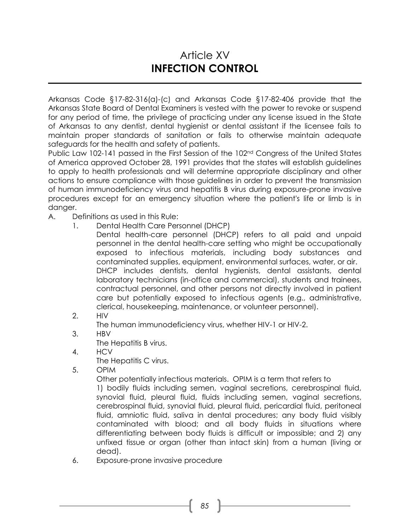# Article XV **INFECTION CONTROL**

Arkansas Code §17-82-316(a)-(c) and Arkansas Code §17-82-406 provide that the Arkansas State Board of Dental Examiners is vested with the power to revoke or suspend for any period of time, the privilege of practicing under any license issued in the State of Arkansas to any dentist, dental hygienist or dental assistant if the licensee fails to maintain proper standards of sanitation or fails to otherwise maintain adequate safeguards for the health and safety of patients.

Public Law 102-141 passed in the First Session of the 102<sup>nd</sup> Congress of the United States of America approved October 28, 1991 provides that the states will establish guidelines to apply to health professionals and will determine appropriate disciplinary and other actions to ensure compliance with those guidelines in order to prevent the transmission of human immunodeficiency virus and hepatitis B virus during exposure-prone invasive procedures except for an emergency situation where the patient's life or limb is in danger.

- A. Definitions as used in this Rule:
	- 1. Dental Health Care Personnel (DHCP)
		- Dental health-care personnel (DHCP) refers to all paid and unpaid personnel in the dental health-care setting who might be occupationally exposed to infectious materials, including body substances and contaminated supplies, equipment, environmental surfaces, water, or air. DHCP includes dentists, dental hygienists, dental assistants, dental laboratory technicians (in-office and commercial), students and trainees, contractual personnel, and other persons not directly involved in patient care but potentially exposed to infectious agents (e.g., administrative, clerical, housekeeping, maintenance, or volunteer personnel).
	- 2. HIV
		- The human immunodeficiency virus, whether HIV-1 or HIV-2.
	- 3. HBV
		- The Hepatitis B virus.
	- 4. HCV
		- The Hepatitis C virus.
	- 5. OPIM

Other potentially infectious materials. OPIM is a term that refers to

*85*

1) bodily fluids including semen, vaginal secretions, cerebrospinal fluid, synovial fluid, pleural fluid, fluids including semen, vaginal secretions, cerebrospinal fluid, synovial fluid, pleural fluid, pericardial fluid, peritoneal fluid, amniotic fluid, saliva in dental procedures; any body fluid visibly contaminated with blood; and all body fluids in situations where differentiating between body fluids is difficult or impossible; and 2) any unfixed tissue or organ (other than intact skin) from a human (living or dead).

6. Exposure-prone invasive procedure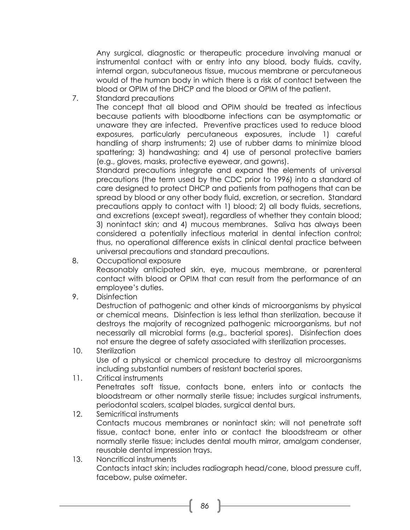Any surgical, diagnostic or therapeutic procedure involving manual or instrumental contact with or entry into any blood, body fluids, cavity, internal organ, subcutaneous tissue, mucous membrane or percutaneous would of the human body in which there is a risk of contact between the blood or OPIM of the DHCP and the blood or OPIM of the patient.

7. Standard precautions

The concept that all blood and OPIM should be treated as infectious because patients with bloodborne infections can be asymptomatic or unaware they are infected. Preventive practices used to reduce blood exposures, particularly percutaneous exposures, include 1) careful handling of sharp instruments; 2) use of rubber dams to minimize blood spattering; 3) handwashing; and 4) use of personal protective barriers (e.g., gloves, masks, protective eyewear, and gowns).

Standard precautions integrate and expand the elements of universal precautions (the term used by the CDC prior to 1996) into a standard of care designed to protect DHCP and patients from pathogens that can be spread by blood or any other body fluid, excretion, or secretion. Standard precautions apply to contact with 1) blood; 2) all body fluids, secretions, and excretions (except sweat), regardless of whether they contain blood; 3) nonintact skin; and 4) mucous membranes. Saliva has always been considered a potentially infectious material in dental infection control; thus, no operational difference exists in clinical dental practice between universal precautions and standard precautions.

8. Occupational exposure

Reasonably anticipated skin, eye, mucous membrane, or parenteral contact with blood or OPIM that can result from the performance of an employee's duties.

9. Disinfection

Destruction of pathogenic and other kinds of microorganisms by physical or chemical means. Disinfection is less lethal than sterilization, because it destroys the majority of recognized pathogenic microorganisms, but not necessarily all microbial forms (e.g., bacterial spores). Disinfection does not ensure the degree of safety associated with sterilization processes.

- 10. Sterilization Use of a physical or chemical procedure to destroy all microorganisms including substantial numbers of resistant bacterial spores.
- 11. Critical instruments Penetrates soft tissue, contacts bone, enters into or contacts the bloodstream or other normally sterile tissue; includes surgical instruments, periodontal scalers, scalpel blades, surgical dental burs.
- 12. Semicritical instruments Contacts mucous membranes or nonintact skin; will not penetrate soft tissue, contact bone, enter into or contact the bloodstream or other normally sterile tissue; includes dental mouth mirror, amalgam condenser, reusable dental impression trays.
- 13. Noncritical instruments Contacts intact skin; includes radiograph head/cone, blood pressure cuff, facebow, pulse oximeter.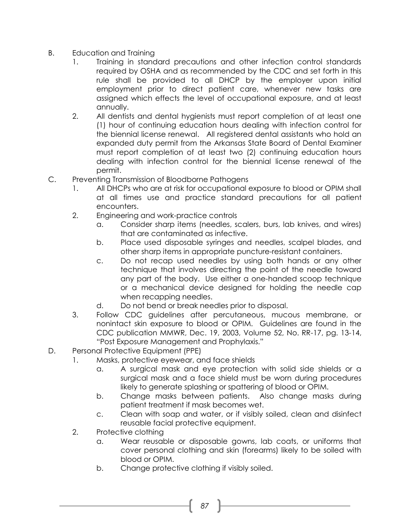- B. Education and Training
	- 1. Training in standard precautions and other infection control standards required by OSHA and as recommended by the CDC and set forth in this rule shall be provided to all DHCP by the employer upon initial employment prior to direct patient care, whenever new tasks are assigned which effects the level of occupational exposure, and at least annually.
	- 2. All dentists and dental hygienists must report completion of at least one (1) hour of continuing education hours dealing with infection control for the biennial license renewal. All registered dental assistants who hold an expanded duty permit from the Arkansas State Board of Dental Examiner must report completion of at least two (2) continuing education hours dealing with infection control for the biennial license renewal of the permit.
- C. Preventing Transmission of Bloodborne Pathogens
	- 1. All DHCPs who are at risk for occupational exposure to blood or OPIM shall at all times use and practice standard precautions for all patient encounters.
	- 2. Engineering and work-practice controls
		- a. Consider sharp items (needles, scalers, burs, lab knives, and wires) that are contaminated as infective.
		- b. Place used disposable syringes and needles, scalpel blades, and other sharp items in appropriate puncture-resistant containers.
		- c. Do not recap used needles by using both hands or any other technique that involves directing the point of the needle toward any part of the body. Use either a one-handed scoop technique or a mechanical device designed for holding the needle cap when recapping needles.
		- d. Do not bend or break needles prior to disposal.
	- 3. Follow CDC guidelines after percutaneous, mucous membrane, or nonintact skin exposure to blood or OPIM. Guidelines are found in the CDC publication MMWR, Dec. 19, 2003, Volume 52, No. RR-17, pg. 13-14, "Post Exposure Management and Prophylaxis."
- D. Personal Protective Equipment (PPE)
	- 1. Masks, protective eyewear, and face shields
		- a. A surgical mask and eye protection with solid side shields or a surgical mask and a face shield must be worn during procedures likely to generate splashing or spattering of blood or OPIM.
		- b. Change masks between patients. Also change masks during patient treatment if mask becomes wet.
		- c. Clean with soap and water, or if visibly soiled, clean and disinfect reusable facial protective equipment.
	- 2. Protective clothing
		- a. Wear reusable or disposable gowns, lab coats, or uniforms that cover personal clothing and skin (forearms) likely to be soiled with blood or OPIM.
		- b. Change protective clothing if visibly soiled.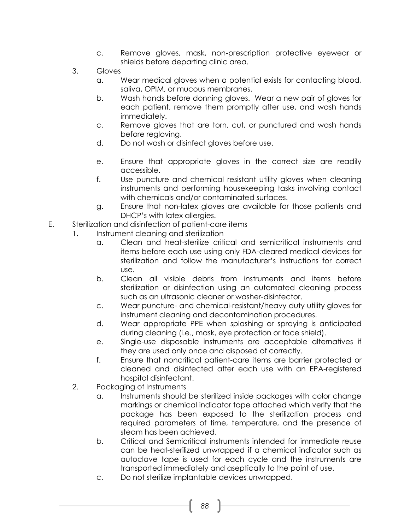- c. Remove gloves, mask, non-prescription protective eyewear or shields before departing clinic area.
- 3. Gloves
	- a. Wear medical gloves when a potential exists for contacting blood, saliva, OPIM, or mucous membranes.
	- b. Wash hands before donning gloves. Wear a new pair of gloves for each patient, remove them promptly after use, and wash hands immediately.
	- c. Remove gloves that are torn, cut, or punctured and wash hands before regloving.
	- d. Do not wash or disinfect gloves before use.
	- e. Ensure that appropriate gloves in the correct size are readily accessible.
	- f. Use puncture and chemical resistant utility gloves when cleaning instruments and performing housekeeping tasks involving contact with chemicals and/or contaminated surfaces.
	- g. Ensure that non-latex gloves are available for those patients and DHCP's with latex allergies.
- E. Sterilization and disinfection of patient-care items
	- 1. Instrument cleaning and sterilization
		- a. Clean and heat-sterilize critical and semicritical instruments and items before each use using only FDA-cleared medical devices for sterilization and follow the manufacturer's instructions for correct use.
		- b. Clean all visible debris from instruments and items before sterilization or disinfection using an automated cleaning process such as an ultrasonic cleaner or washer-disinfector.
		- c. Wear puncture- and chemical-resistant/heavy duty utility gloves for instrument cleaning and decontamination procedures.
		- d. Wear appropriate PPE when splashing or spraying is anticipated during cleaning (i.e., mask, eye protection or face shield).
		- e. Single-use disposable instruments are acceptable alternatives if they are used only once and disposed of correctly.
		- f. Ensure that noncritical patient-care items are barrier protected or cleaned and disinfected after each use with an EPA-registered hospital disinfectant.
		- 2. Packaging of Instruments
			- a. Instruments should be sterilized inside packages with color change markings or chemical indicator tape attached which verify that the package has been exposed to the sterilization process and required parameters of time, temperature, and the presence of steam has been achieved.
			- b. Critical and Semicritical instruments intended for immediate reuse can be heat-sterilized unwrapped if a chemical indicator such as autoclave tape is used for each cycle and the instruments are transported immediately and aseptically to the point of use.
			- c. Do not sterilize implantable devices unwrapped.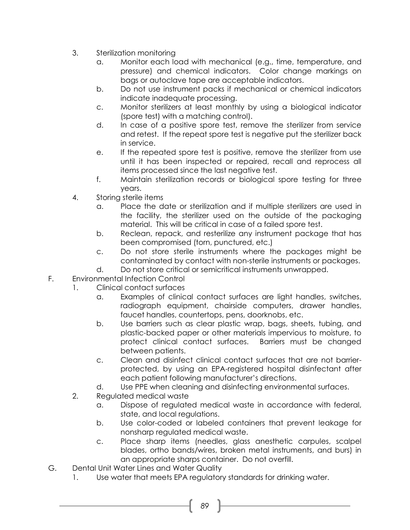- 3. Sterilization monitoring
	- a. Monitor each load with mechanical (e.g., time, temperature, and pressure) and chemical indicators. Color change markings on bags or autoclave tape are acceptable indicators.
	- b. Do not use instrument packs if mechanical or chemical indicators indicate inadequate processing.
	- c. Monitor sterilizers at least monthly by using a biological indicator (spore test) with a matching control).
	- d. In case of a positive spore test, remove the sterilizer from service and retest. If the repeat spore test is negative put the sterilizer back in service.
	- e. If the repeated spore test is positive, remove the sterilizer from use until it has been inspected or repaired, recall and reprocess all items processed since the last negative test.
	- f. Maintain sterilization records or biological spore testing for three years.
- 4. Storing sterile items
	- a. Place the date or sterilization and if multiple sterilizers are used in the facility, the sterilizer used on the outside of the packaging material. This will be critical in case of a failed spore test.
	- b. Reclean, repack, and resterilize any instrument package that has been compromised (torn, punctured, etc.)
	- c. Do not store sterile instruments where the packages might be contaminated by contact with non-sterile instruments or packages.
	- d. Do not store critical or semicritical instruments unwrapped.
- F. Environmental Infection Control
	- 1. Clinical contact surfaces
		- a. Examples of clinical contact surfaces are light handles, switches, radiograph equipment, chairside computers, drawer handles, faucet handles, countertops, pens, doorknobs, etc.
		- b. Use barriers such as clear plastic wrap, bags, sheets, tubing, and plastic-backed paper or other materials impervious to moisture, to protect clinical contact surfaces. Barriers must be changed between patients.
		- c. Clean and disinfect clinical contact surfaces that are not barrierprotected, by using an EPA-registered hospital disinfectant after each patient following manufacturer's directions.
		- d. Use PPE when cleaning and disinfecting environmental surfaces.
	- 2. Regulated medical waste
		- a. Dispose of regulated medical waste in accordance with federal, state, and local regulations.
		- b. Use color-coded or labeled containers that prevent leakage for nonsharp regulated medical waste.
		- c. Place sharp items (needles, glass anesthetic carpules, scalpel blades, ortho bands/wires, broken metal instruments, and burs) in an appropriate sharps container. Do not overfill.
- G. Dental Unit Water Lines and Water Quality
	- 1. Use water that meets EPA regulatory standards for drinking water.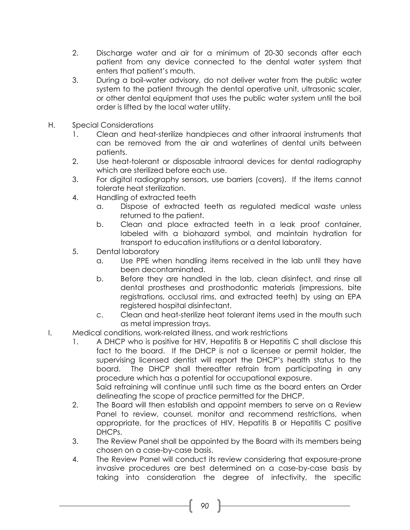- 2. Discharge water and air for a minimum of 20-30 seconds after each patient from any device connected to the dental water system that enters that patient's mouth.
- 3. During a boil-water advisory, do not deliver water from the public water system to the patient through the dental operative unit, ultrasonic scaler, or other dental equipment that uses the public water system until the boil order is lifted by the local water utility.
- H. Special Considerations
	- 1. Clean and heat-sterilize handpieces and other intraoral instruments that can be removed from the air and waterlines of dental units between patients.
	- 2. Use heat-tolerant or disposable intraoral devices for dental radiography which are sterilized before each use.
	- 3. For digital radiography sensors, use barriers (covers). If the items cannot tolerate heat sterilization.
	- 4. Handling of extracted teeth
		- a. Dispose of extracted teeth as regulated medical waste unless returned to the patient.
		- b. Clean and place extracted teeth in a leak proof container, labeled with a biohazard symbol, and maintain hydration for transport to education institutions or a dental laboratory.
	- 5. Dental laboratory
		- a. Use PPE when handling items received in the lab until they have been decontaminated.
		- b. Before they are handled in the lab, clean disinfect, and rinse all dental prostheses and prosthodontic materials (impressions, bite registrations, occlusal rims, and extracted teeth) by using an EPA registered hospital disinfectant.
		- c. Clean and heat-sterilize heat tolerant items used in the mouth such as metal impression trays.
- I. Medical conditions, work-related illness, and work restrictions
	- 1. A DHCP who is positive for HIV, Hepatitis B or Hepatitis C shall disclose this fact to the board. If the DHCP is not a licensee or permit holder, the supervising licensed dentist will report the DHCP's health status to the board. The DHCP shall thereafter refrain from participating in any procedure which has a potential for occupational exposure.

Said refraining will continue until such time as the board enters an Order delineating the scope of practice permitted for the DHCP.

- 2. The Board will then establish and appoint members to serve on a Review Panel to review, counsel, monitor and recommend restrictions, when appropriate, for the practices of HIV, Hepatitis B or Hepatitis C positive DHCPs.
- 3. The Review Panel shall be appointed by the Board with its members being chosen on a case-by-case basis.
- 4. The Review Panel will conduct its review considering that exposure-prone invasive procedures are best determined on a case-by-case basis by taking into consideration the degree of infectivity, the specific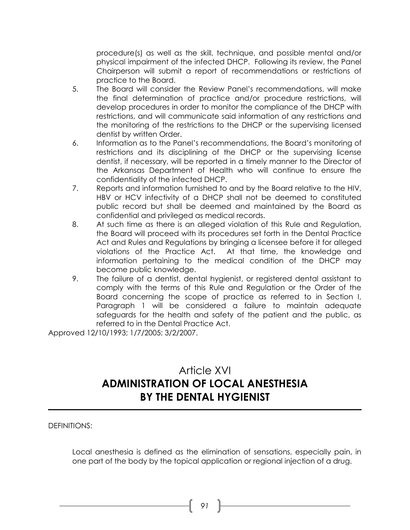procedure(s) as well as the skill, technique, and possible mental and/or physical impairment of the infected DHCP. Following its review, the Panel Chairperson will submit a report of recommendations or restrictions of practice to the Board.

- 5. The Board will consider the Review Panel's recommendations, will make the final determination of practice and/or procedure restrictions, will develop procedures in order to monitor the compliance of the DHCP with restrictions, and will communicate said information of any restrictions and the monitoring of the restrictions to the DHCP or the supervising licensed dentist by written Order.
- 6. Information as to the Panel's recommendations, the Board's monitoring of restrictions and its disciplining of the DHCP or the supervising license dentist, if necessary, will be reported in a timely manner to the Director of the Arkansas Department of Health who will continue to ensure the confidentiality of the infected DHCP.
- 7. Reports and information furnished to and by the Board relative to the HIV, HBV or HCV infectivity of a DHCP shall not be deemed to constituted public record but shall be deemed and maintained by the Board as confidential and privileged as medical records.
- 8. At such time as there is an alleged violation of this Rule and Regulation, the Board will proceed with its procedures set forth in the Dental Practice Act and Rules and Regulations by bringing a licensee before it for alleged violations of the Practice Act. At that time, the knowledge and information pertaining to the medical condition of the DHCP may become public knowledge.
- 9. The failure of a dentist, dental hygienist, or registered dental assistant to comply with the terms of this Rule and Regulation or the Order of the Board concerning the scope of practice as referred to in Section I, Paragraph 1 will be considered a failure to maintain adequate safeguards for the health and safety of the patient and the public, as referred to in the Dental Practice Act.

Approved 12/10/1993; 1/7/2005; 3/2/2007.

## Article XVI **ADMINISTRATION OF LOCAL ANESTHESIA BY THE DENTAL HYGIENIST**

## DEFINITIONS:

Local anesthesia is defined as the elimination of sensations, especially pain, in one part of the body by the topical application or regional injection of a drug.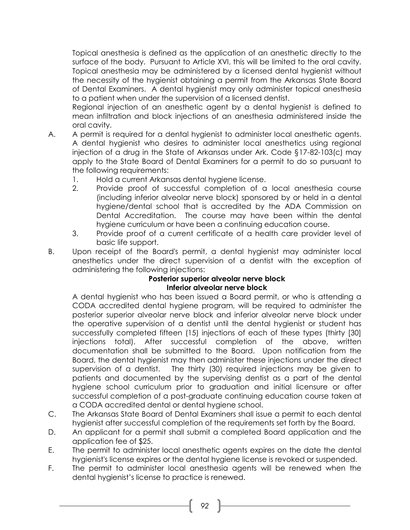Topical anesthesia is defined as the application of an anesthetic directly to the surface of the body. Pursuant to Article XVI, this will be limited to the oral cavity. Topical anesthesia may be administered by a licensed dental hygienist without the necessity of the hygienist obtaining a permit from the Arkansas State Board of Dental Examiners. A dental hygienist may only administer topical anesthesia to a patient when under the supervision of a licensed dentist.

Regional injection of an anesthetic agent by a dental hygienist is defined to mean infiltration and block injections of an anesthesia administered inside the oral cavity.

- A. A permit is required for a dental hygienist to administer local anesthetic agents. A dental hygienist who desires to administer local anesthetics using regional injection of a drug in the State of Arkansas under Ark. Code §17-82-103(c) may apply to the State Board of Dental Examiners for a permit to do so pursuant to the following requirements:
	- 1. Hold a current Arkansas dental hygiene license.
	- 2. Provide proof of successful completion of a local anesthesia course (including inferior alveolar nerve block) sponsored by or held in a dental hygiene/dental school that is accredited by the ADA Commission on Dental Accreditation. The course may have been within the dental hygiene curriculum or have been a continuing education course.
	- 3. Provide proof of a current certificate of a health care provider level of basic life support.
- B. Upon receipt of the Board's permit, a dental hygienist may administer local anesthetics under the direct supervision of a dentist with the exception of administering the following injections:

#### **Posterior superior alveolar nerve block Inferior alveolar nerve block**

A dental hygienist who has been issued a Board permit, or who is attending a CODA accredited dental hygiene program, will be required to administer the posterior superior alveolar nerve block and inferior alveolar nerve block under the operative supervision of a dentist until the dental hygienist or student has successfully completed fifteen (15) injections of each of these types (thirty [30] injections total). After successful completion of the above, written documentation shall be submitted to the Board. Upon notification from the Board, the dental hygienist may then administer these injections under the direct supervision of a dentist. The thirty (30) required injections may be given to patients and documented by the supervising dentist as a part of the dental hygiene school curriculum prior to graduation and initial licensure or after successful completion of a post-graduate continuing education course taken at a CODA accredited dental or dental hygiene school.

- C. The Arkansas State Board of Dental Examiners shall issue a permit to each dental hygienist after successful completion of the requirements set forth by the Board.
- D. An applicant for a permit shall submit a completed Board application and the application fee of \$25.
- E. The permit to administer local anesthetic agents expires on the date the dental hygienist's license expires or the dental hygiene license is revoked or suspended.
- F. The permit to administer local anesthesia agents will be renewed when the dental hygienist's license to practice is renewed.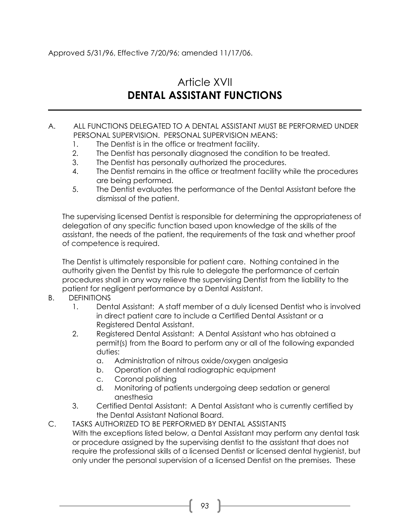Approved 5/31/96, Effective 7/20/96; amended 11/17/06.

# Article XVII **DENTAL ASSISTANT FUNCTIONS**

#### A. ALL FUNCTIONS DELEGATED TO A DENTAL ASSISTANT MUST BE PERFORMED UNDER PERSONAL SUPERVISION. PERSONAL SUPERVISION MEANS:

- 1. The Dentist is in the office or treatment facility.
- 2. The Dentist has personally diagnosed the condition to be treated.
- 3. The Dentist has personally authorized the procedures.
- 4. The Dentist remains in the office or treatment facility while the procedures are being performed.
- 5. The Dentist evaluates the performance of the Dental Assistant before the dismissal of the patient.

The supervising licensed Dentist is responsible for determining the appropriateness of delegation of any specific function based upon knowledge of the skills of the assistant, the needs of the patient, the requirements of the task and whether proof of competence is required.

The Dentist is ultimately responsible for patient care. Nothing contained in the authority given the Dentist by this rule to delegate the performance of certain procedures shall in any way relieve the supervising Dentist from the liability to the patient for negligent performance by a Dental Assistant.

## B. DEFINITIONS

- 1. Dental Assistant: A staff member of a duly licensed Dentist who is involved in direct patient care to include a Certified Dental Assistant or a Registered Dental Assistant.
- 2. Registered Dental Assistant: A Dental Assistant who has obtained a permit(s) from the Board to perform any or all of the following expanded duties:
	- a. Administration of nitrous oxide/oxygen analgesia
	- b. Operation of dental radiographic equipment
	- c. Coronal polishing
	- d. Monitoring of patients undergoing deep sedation or general anesthesia
- 3. Certified Dental Assistant: A Dental Assistant who is currently certified by the Dental Assistant National Board.
- C. TASKS AUTHORIZED TO BE PERFORMED BY DENTAL ASSISTANTS With the exceptions listed below, a Dental Assistant may perform any dental task or procedure assigned by the supervising dentist to the assistant that does not require the professional skills of a licensed Dentist or licensed dental hygienist, but only under the personal supervision of a licensed Dentist on the premises. These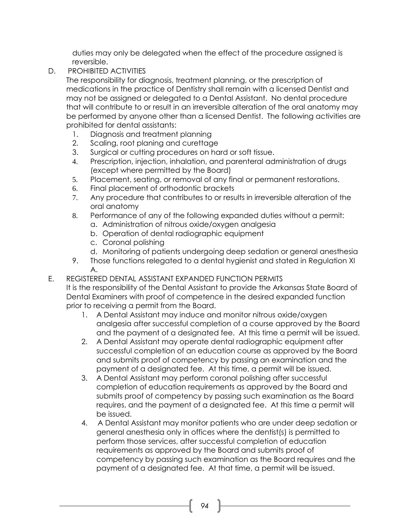duties may only be delegated when the effect of the procedure assigned is reversible.

D. PROHIBITED ACTIVITIES

The responsibility for diagnosis, treatment planning, or the prescription of medications in the practice of Dentistry shall remain with a licensed Dentist and may not be assigned or delegated to a Dental Assistant. No dental procedure that will contribute to or result in an irreversible alteration of the oral anatomy may be performed by anyone other than a licensed Dentist. The following activities are prohibited for dental assistants:

- 1. Diagnosis and treatment planning
- 2. Scaling, root planing and curettage
- 3. Surgical or cutting procedures on hard or soft tissue.
- 4. Prescription, injection, inhalation, and parenteral administration of drugs (except where permitted by the Board)
- 5. Placement, seating, or removal of any final or permanent restorations.
- 6. Final placement of orthodontic brackets
- 7. Any procedure that contributes to or results in irreversible alteration of the oral anatomy
- 8. Performance of any of the following expanded duties without a permit:
	- a. Administration of nitrous oxide/oxygen analgesia
	- b. Operation of dental radiographic equipment
	- c. Coronal polishing
	- d. Monitoring of patients undergoing deep sedation or general anesthesia
- 9. Those functions relegated to a dental hygienist and stated in Regulation XI A.
- E. REGISTERED DENTAL ASSISTANT EXPANDED FUNCTION PERMITS

It is the responsibility of the Dental Assistant to provide the Arkansas State Board of Dental Examiners with proof of competence in the desired expanded function prior to receiving a permit from the Board.

- 1. A Dental Assistant may induce and monitor nitrous oxide/oxygen analgesia after successful completion of a course approved by the Board and the payment of a designated fee. At this time a permit will be issued.
- 2. A Dental Assistant may operate dental radiographic equipment after successful completion of an education course as approved by the Board and submits proof of competency by passing an examination and the payment of a designated fee. At this time, a permit will be issued.
- 3. A Dental Assistant may perform coronal polishing after successful completion of education requirements as approved by the Board and submits proof of competency by passing such examination as the Board requires, and the payment of a designated fee. At this time a permit will be issued.
- 4. A Dental Assistant may monitor patients who are under deep sedation or general anesthesia only in offices where the dentist(s) is permitted to perform those services, after successful completion of education requirements as approved by the Board and submits proof of competency by passing such examination as the Board requires and the payment of a designated fee. At that time, a permit will be issued.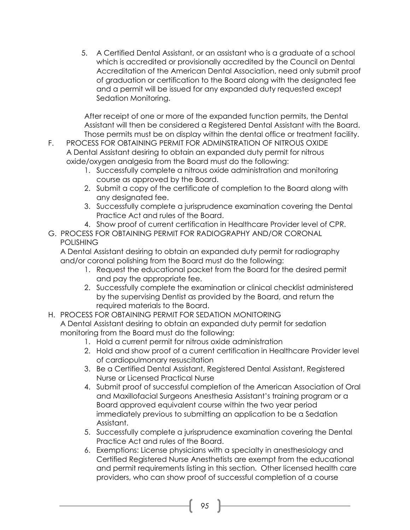5. A Certified Dental Assistant, or an assistant who is a graduate of a school which is accredited or provisionally accredited by the Council on Dental Accreditation of the American Dental Association, need only submit proof of graduation or certification to the Board along with the designated fee and a permit will be issued for any expanded duty requested except Sedation Monitoring.

After receipt of one or more of the expanded function permits, the Dental Assistant will then be considered a Registered Dental Assistant with the Board. Those permits must be on display within the dental office or treatment facility.

- F. PROCESS FOR OBTAINING PERMIT FOR ADMINSTRATION OF NITROUS OXIDE A Dental Assistant desiring to obtain an expanded duty permit for nitrous oxide/oxygen analgesia from the Board must do the following:
	- 1. Successfully complete a nitrous oxide administration and monitoring course as approved by the Board.
	- 2. Submit a copy of the certificate of completion to the Board along with any designated fee.
	- 3. Successfully complete a jurisprudence examination covering the Dental Practice Act and rules of the Board.
	- 4. Show proof of current certification in Healthcare Provider level of CPR.
- G. PROCESS FOR OBTAINING PERMIT FOR RADIOGRAPHY AND/OR CORONAL POLISHING

A Dental Assistant desiring to obtain an expanded duty permit for radiography and/or coronal polishing from the Board must do the following:

- 1. Request the educational packet from the Board for the desired permit and pay the appropriate fee.
- 2. Successfully complete the examination or clinical checklist administered by the supervising Dentist as provided by the Board, and return the required materials to the Board.
- H. PROCESS FOR OBTAINING PERMIT FOR SEDATION MONITORING A Dental Assistant desiring to obtain an expanded duty permit for sedation monitoring from the Board must do the following:
	- 1. Hold a current permit for nitrous oxide administration
	- 2. Hold and show proof of a current certification in Healthcare Provider level of cardiopulmonary resuscitation
	- 3. Be a Certified Dental Assistant, Registered Dental Assistant, Registered Nurse or Licensed Practical Nurse
	- 4. Submit proof of successful completion of the American Association of Oral and Maxillofacial Surgeons Anesthesia Assistant's training program or a Board approved equivalent course within the two year period immediately previous to submitting an application to be a Sedation Assistant.
	- 5. Successfully complete a jurisprudence examination covering the Dental Practice Act and rules of the Board.
	- 6. Exemptions: License physicians with a specialty in anesthesiology and Certified Registered Nurse Anesthetists are exempt from the educational and permit requirements listing in this section. Other licensed health care providers, who can show proof of successful completion of a course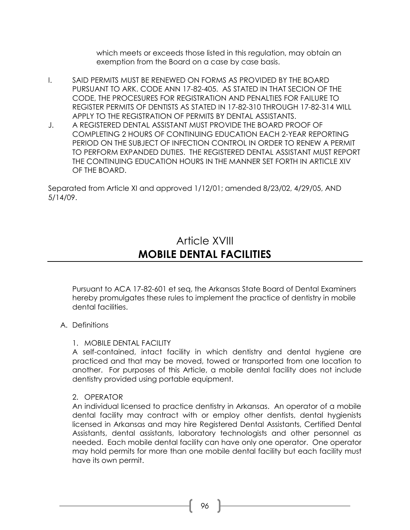which meets or exceeds those listed in this regulation, may obtain an exemption from the Board on a case by case basis.

- I. SAID PERMITS MUST BE RENEWED ON FORMS AS PROVIDED BY THE BOARD PURSUANT TO ARK. CODE ANN 17-82-405. AS STATED IN THAT SECION OF THE CODE, THE PROCESURES FOR REGISTRATION AND PENALTIES FOR FAILURE TO REGISTER PERMITS OF DENTISTS AS STATED IN 17-82-310 THROUGH 17-82-314 WILL APPLY TO THE REGISTRATION OF PERMITS BY DENTAL ASSISTANTS.
- J. A REGISTERED DENTAL ASSISTANT MUST PROVIDE THE BOARD PROOF OF COMPLETING 2 HOURS OF CONTINUING EDUCATION EACH 2-YEAR REPORTING PERIOD ON THE SUBJECT OF INFECTION CONTROL IN ORDER TO RENEW A PERMIT TO PERFORM EXPANDED DUTIES. THE REGISTERED DENTAL ASSISTANT MUST REPORT THE CONTINUING EDUCATION HOURS IN THE MANNER SET FORTH IN ARTICLE XIV OF THE BOARD.

Separated from Article XI and approved 1/12/01; amended 8/23/02, 4/29/05, AND 5/14/09.

## Article XVIII **MOBILE DENTAL FACILITIES**

Pursuant to ACA 17-82-601 et seq, the Arkansas State Board of Dental Examiners hereby promulgates these rules to implement the practice of dentistry in mobile dental facilities.

## A. Definitions

1. MOBILE DENTAL FACILITY

A self-contained, intact facility in which dentistry and dental hygiene are practiced and that may be moved, towed or transported from one location to another. For purposes of this Article, a mobile dental facility does not include dentistry provided using portable equipment.

#### 2. OPERATOR

An individual licensed to practice dentistry in Arkansas. An operator of a mobile dental facility may contract with or employ other dentists, dental hygienists licensed in Arkansas and may hire Registered Dental Assistants, Certified Dental Assistants, dental assistants, laboratory technologists and other personnel as needed. Each mobile dental facility can have only one operator. One operator may hold permits for more than one mobile dental facility but each facility must have its own permit.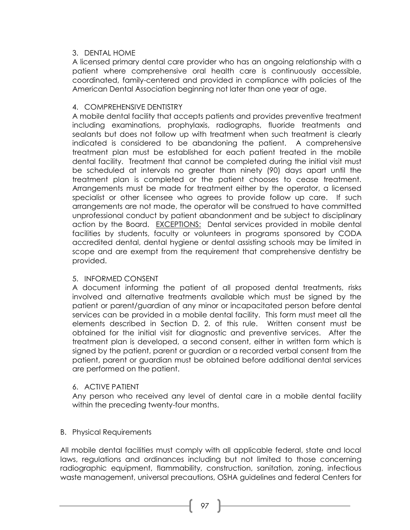## 3. DENTAL HOME

A licensed primary dental care provider who has an ongoing relationship with a patient where comprehensive oral health care is continuously accessible, coordinated, family-centered and provided in compliance with policies of the American Dental Association beginning not later than one year of age.

#### 4. COMPREHENSIVE DENTISTRY

A mobile dental facility that accepts patients and provides preventive treatment including examinations, prophylaxis, radiographs, fluoride treatments and sealants but does not follow up with treatment when such treatment is clearly indicated is considered to be abandoning the patient. A comprehensive treatment plan must be established for each patient treated in the mobile dental facility. Treatment that cannot be completed during the initial visit must be scheduled at intervals no greater than ninety (90) days apart until the treatment plan is completed or the patient chooses to cease treatment. Arrangements must be made for treatment either by the operator, a licensed specialist or other licensee who agrees to provide follow up care. If such arrangements are not made, the operator will be construed to have committed unprofessional conduct by patient abandonment and be subject to disciplinary action by the Board. EXCEPTIONS: Dental services provided in mobile dental facilities by students, faculty or volunteers in programs sponsored by CODA accredited dental, dental hygiene or dental assisting schools may be limited in scope and are exempt from the requirement that comprehensive dentistry be provided.

#### 5. INFORMED CONSENT

A document informing the patient of all proposed dental treatments, risks involved and alternative treatments available which must be signed by the patient or parent/guardian of any minor or incapacitated person before dental services can be provided in a mobile dental facility. This form must meet all the elements described in Section D. 2. of this rule. Written consent must be obtained for the initial visit for diagnostic and preventive services. After the treatment plan is developed, a second consent, either in written form which is signed by the patient, parent or guardian or a recorded verbal consent from the patient, parent or guardian must be obtained before additional dental services are performed on the patient.

#### 6. ACTIVE PATIENT

Any person who received any level of dental care in a mobile dental facility within the preceding twenty-four months.

#### B. Physical Requirements

All mobile dental facilities must comply with all applicable federal, state and local laws, regulations and ordinances including but not limited to those concerning radiographic equipment, flammability, construction, sanitation, zoning, infectious waste management, universal precautions, OSHA guidelines and federal Centers for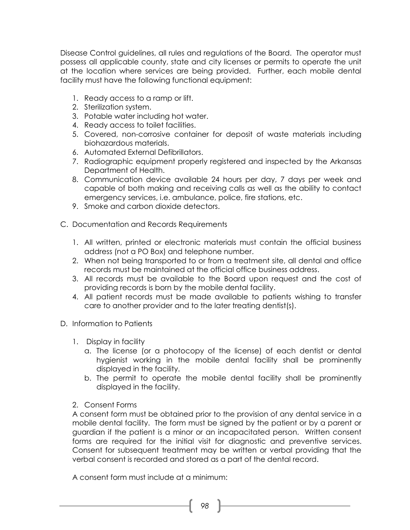Disease Control guidelines, all rules and regulations of the Board. The operator must possess all applicable county, state and city licenses or permits to operate the unit at the location where services are being provided. Further, each mobile dental facility must have the following functional equipment:

- 1. Ready access to a ramp or lift.
- 2. Sterilization system.
- 3. Potable water including hot water.
- 4. Ready access to toilet facilities.
- 5. Covered, non-corrosive container for deposit of waste materials including biohazardous materials.
- 6. Automated External Defibrillators.
- 7. Radiographic equipment properly registered and inspected by the Arkansas Department of Health.
- 8. Communication device available 24 hours per day, 7 days per week and capable of both making and receiving calls as well as the ability to contact emergency services, i.e. ambulance, police, fire stations, etc.
- 9. Smoke and carbon dioxide detectors.
- C. Documentation and Records Requirements
	- 1. All written, printed or electronic materials must contain the official business address (not a PO Box) and telephone number.
	- 2. When not being transported to or from a treatment site, all dental and office records must be maintained at the official office business address.
	- 3. All records must be available to the Board upon request and the cost of providing records is born by the mobile dental facility.
	- 4. All patient records must be made available to patients wishing to transfer care to another provider and to the later treating dentist(s).
- D. Information to Patients
	- 1. Display in facility
		- a. The license (or a photocopy of the license) of each dentist or dental hygienist working in the mobile dental facility shall be prominently displayed in the facility.
		- b. The permit to operate the mobile dental facility shall be prominently displayed in the facility.
	- 2. Consent Forms

A consent form must be obtained prior to the provision of any dental service in a mobile dental facility. The form must be signed by the patient or by a parent or guardian if the patient is a minor or an incapacitated person. Written consent forms are required for the initial visit for diagnostic and preventive services. Consent for subsequent treatment may be written or verbal providing that the verbal consent is recorded and stored as a part of the dental record.

A consent form must include at a minimum: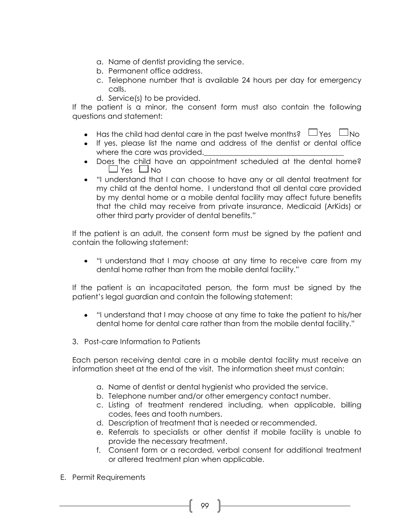- a. Name of dentist providing the service.
- b. Permanent office address.
- c. Telephone number that is available 24 hours per day for emergency calls.
- d. Service(s) to be provided.

If the patient is a minor, the consent form must also contain the following questions and statement:

- Has the child had dental care in the past twelve months?  $\Box$  Yes  $\Box$  No
- If yes, please list the name and address of the dentist or dental office where the care was provided.
- Does the child have an appointment scheduled at the dental home?  $\Box$  Yes  $\Box$  No
- ―I understand that I can choose to have any or all dental treatment for  $\bullet$ my child at the dental home. I understand that all dental care provided by my dental home or a mobile dental facility may affect future benefits that the child may receive from private insurance, Medicaid (ArKids) or other third party provider of dental benefits."

If the patient is an adult, the consent form must be signed by the patient and contain the following statement:

• "I understand that I may choose at any time to receive care from my dental home rather than from the mobile dental facility."

If the patient is an incapacitated person, the form must be signed by the patient's legal guardian and contain the following statement:

- "I understand that I may choose at any time to take the patient to his/her dental home for dental care rather than from the mobile dental facility."
- 3. Post-care Information to Patients

Each person receiving dental care in a mobile dental facility must receive an information sheet at the end of the visit. The information sheet must contain:

- a. Name of dentist or dental hygienist who provided the service.
- b. Telephone number and/or other emergency contact number.
- c. Listing of treatment rendered including, when applicable, billing codes, fees and tooth numbers.
- d. Description of treatment that is needed or recommended.

- e. Referrals to specialists or other dentist if mobile facility is unable to provide the necessary treatment.
- f. Consent form or a recorded, verbal consent for additional treatment or altered treatment plan when applicable.
- E. Permit Requirements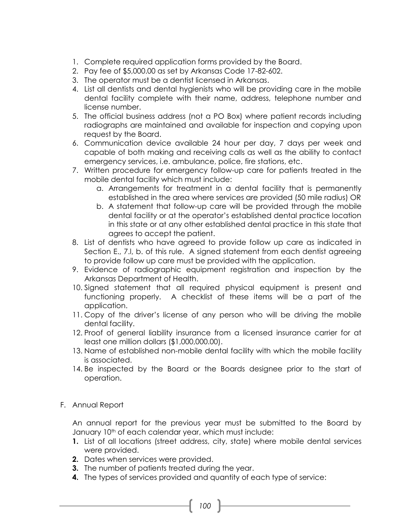- 1. Complete required application forms provided by the Board.
- 2. Pay fee of \$5,000.00 as set by Arkansas Code 17-82-602.
- 3. The operator must be a dentist licensed in Arkansas.
- 4. List all dentists and dental hygienists who will be providing care in the mobile dental facility complete with their name, address, telephone number and license number.
- 5. The official business address (not a PO Box) where patient records including radiographs are maintained and available for inspection and copying upon request by the Board.
- 6. Communication device available 24 hour per day, 7 days per week and capable of both making and receiving calls as well as the ability to contact emergency services, i.e. ambulance, police, fire stations, etc.
- 7. Written procedure for emergency follow-up care for patients treated in the mobile dental facility which must include:
	- a. Arrangements for treatment in a dental facility that is permanently established in the area where services are provided (50 mile radius) OR
	- b. A statement that follow-up care will be provided through the mobile dental facility or at the operator's established dental practice location in this state or at any other established dental practice in this state that agrees to accept the patient.
- 8. List of dentists who have agreed to provide follow up care as indicated in Section E., 7.l, b. of this rule. A signed statement from each dentist agreeing to provide follow up care must be provided with the application.
- 9. Evidence of radiographic equipment registration and inspection by the Arkansas Department of Health.
- 10. Signed statement that all required physical equipment is present and functioning properly. A checklist of these items will be a part of the application.
- 11. Copy of the driver's license of any person who will be driving the mobile dental facility.
- 12. Proof of general liability insurance from a licensed insurance carrier for at least one million dollars (\$1,000,000.00).
- 13. Name of established non-mobile dental facility with which the mobile facility is associated.
- 14. Be inspected by the Board or the Boards designee prior to the start of operation.
- F. Annual Report

An annual report for the previous year must be submitted to the Board by January 10<sup>th</sup> of each calendar year, which must include:

- **1.** List of all locations (street address, city, state) where mobile dental services were provided.
- **2.** Dates when services were provided.
- **3.** The number of patients treated during the year.
- **4.** The types of services provided and quantity of each type of service: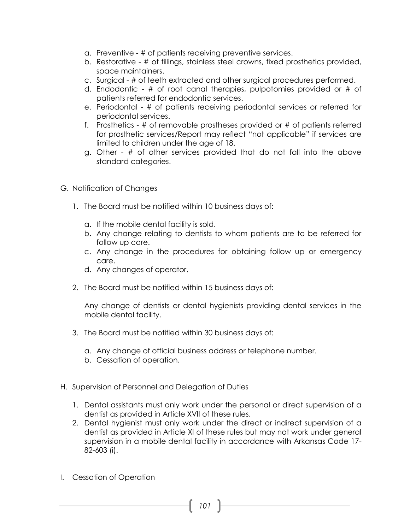- a. Preventive # of patients receiving preventive services.
- b. Restorative # of fillings, stainless steel crowns, fixed prosthetics provided, space maintainers.
- c. Surgical # of teeth extracted and other surgical procedures performed.
- d. Endodontic # of root canal therapies, pulpotomies provided or # of patients referred for endodontic services.
- e. Periodontal # of patients receiving periodontal services or referred for periodontal services.
- f. Prosthetics # of removable prostheses provided or # of patients referred for prosthetic services/Report may reflect "not applicable" if services are limited to children under the age of 18.
- g. Other # of other services provided that do not fall into the above standard categories.
- G. Notification of Changes
	- 1. The Board must be notified within 10 business days of:
		- a. If the mobile dental facility is sold.
		- b. Any change relating to dentists to whom patients are to be referred for follow up care.
		- c. Any change in the procedures for obtaining follow up or emergency care.
		- d. Any changes of operator.
	- 2. The Board must be notified within 15 business days of:

Any change of dentists or dental hygienists providing dental services in the mobile dental facility.

- 3. The Board must be notified within 30 business days of:
	- a. Any change of official business address or telephone number.
	- b. Cessation of operation.
- H. Supervision of Personnel and Delegation of Duties
	- 1. Dental assistants must only work under the personal or direct supervision of a dentist as provided in Article XVII of these rules.
	- 2. Dental hygienist must only work under the direct or indirect supervision of a dentist as provided in Article XI of these rules but may not work under general supervision in a mobile dental facility in accordance with Arkansas Code 17- 82-603 (i).

*101*

I. Cessation of Operation